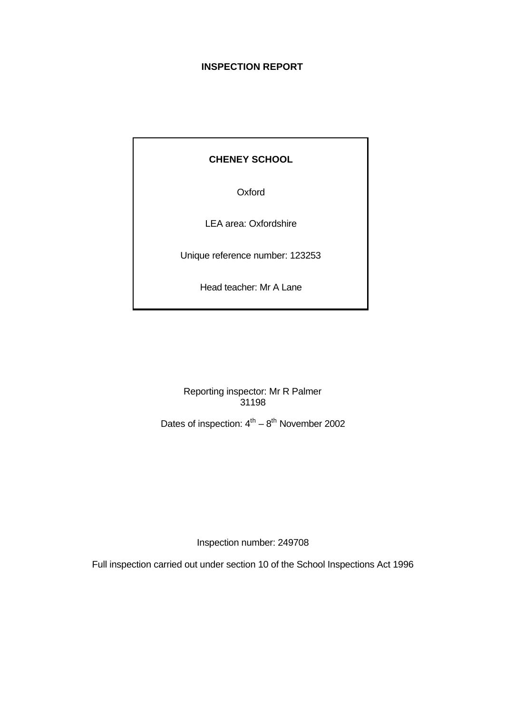# **INSPECTION REPORT**

# **CHENEY SCHOOL**

**Oxford** 

LEA area: Oxfordshire

Unique reference number: 123253

Head teacher: Mr A Lane

Reporting inspector: Mr R Palmer 31198

Dates of inspection:  $4^{th} - 8^{th}$  November 2002

Inspection number: 249708

Full inspection carried out under section 10 of the School Inspections Act 1996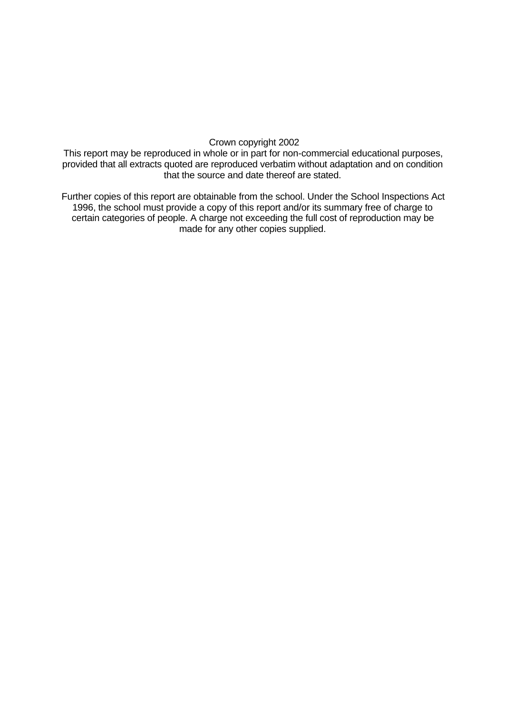#### Crown copyright 2002

This report may be reproduced in whole or in part for non-commercial educational purposes, provided that all extracts quoted are reproduced verbatim without adaptation and on condition that the source and date thereof are stated.

Further copies of this report are obtainable from the school. Under the School Inspections Act 1996, the school must provide a copy of this report and/or its summary free of charge to certain categories of people. A charge not exceeding the full cost of reproduction may be made for any other copies supplied.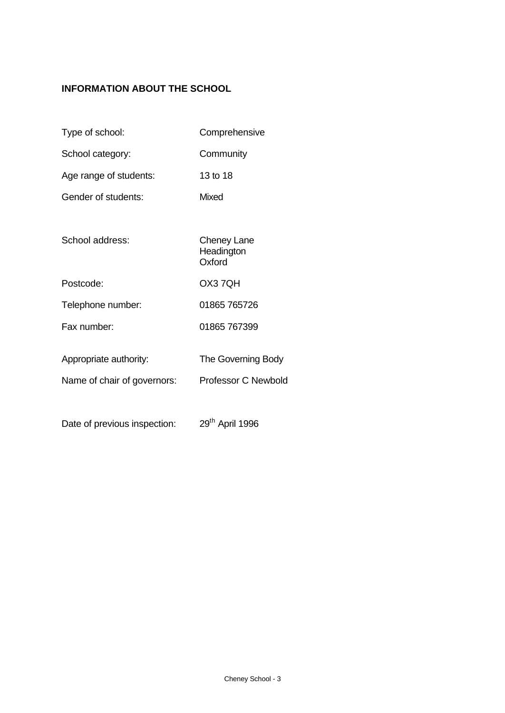# **INFORMATION ABOUT THE SCHOOL**

- Type of school: Comprehensive
- School category: Community
- Age range of students: 13 to 18
- Gender of students: Mixed
- School address: Cheney Lane **Headington**
- Postcode: OX3 7QH
- Telephone number: 01865 765726
- Fax number: 01865 767399
- Appropriate authority: The Governing Body
- Name of chair of governors: Professor C Newbold

**Oxford** 

Date of previous inspection: 29<sup>th</sup> April 1996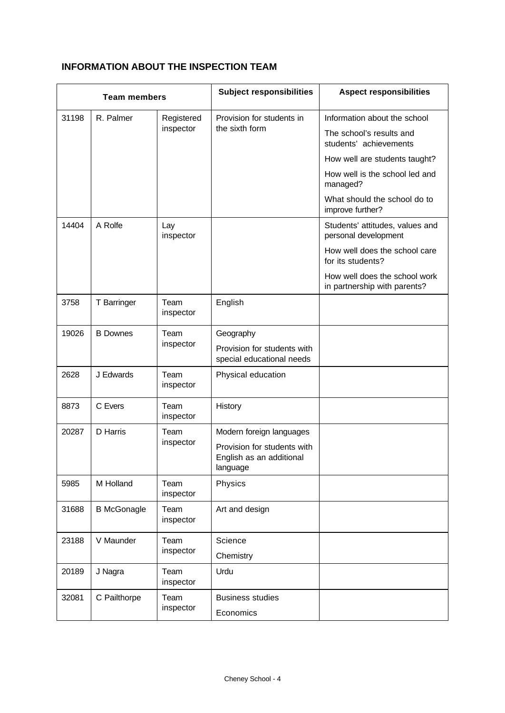# **INFORMATION ABOUT THE INSPECTION TEAM**

| <b>Team members</b>                     |                    |                         | <b>Subject responsibilities</b>                                     | <b>Aspect responsibilities</b>                                |
|-----------------------------------------|--------------------|-------------------------|---------------------------------------------------------------------|---------------------------------------------------------------|
| 31198                                   | R. Palmer          | Registered              | Provision for students in                                           | Information about the school                                  |
|                                         |                    | inspector               | the sixth form                                                      | The school's results and<br>students' achievements            |
|                                         |                    |                         |                                                                     | How well are students taught?                                 |
|                                         |                    |                         |                                                                     | How well is the school led and<br>managed?                    |
|                                         |                    |                         |                                                                     | What should the school do to<br>improve further?              |
| 14404                                   | A Rolfe            | Lay<br>inspector        |                                                                     | Students' attitudes, values and<br>personal development       |
|                                         |                    |                         |                                                                     | How well does the school care<br>for its students?            |
|                                         |                    |                         |                                                                     | How well does the school work<br>in partnership with parents? |
| 3758                                    | T Barringer        | Team<br>inspector       | English                                                             |                                                               |
| 19026                                   | <b>B</b> Downes    | Team<br>inspector       | Geography                                                           |                                                               |
|                                         |                    |                         | Provision for students with<br>special educational needs            |                                                               |
| 2628                                    | J Edwards          | Team<br>inspector       | Physical education                                                  |                                                               |
| 8873                                    | C Evers            | Team<br>inspector       | History                                                             |                                                               |
| 20287                                   | D Harris           | Team                    | Modern foreign languages                                            |                                                               |
|                                         |                    | inspector               | Provision for students with<br>English as an additional<br>language |                                                               |
| 5985                                    | M Holland          | Team<br>inspector       | Physics                                                             |                                                               |
| 31688                                   | <b>B</b> McGonagle | Team<br>inspector       | Art and design                                                      |                                                               |
| V Maunder<br>Team<br>23188<br>inspector |                    | Science                 |                                                                     |                                                               |
|                                         |                    |                         | Chemistry                                                           |                                                               |
| 20189                                   | J Nagra            | Team<br>inspector       | Urdu                                                                |                                                               |
| 32081<br>C Pailthorpe<br>Team           |                    | <b>Business studies</b> |                                                                     |                                                               |
|                                         |                    | inspector               | Economics                                                           |                                                               |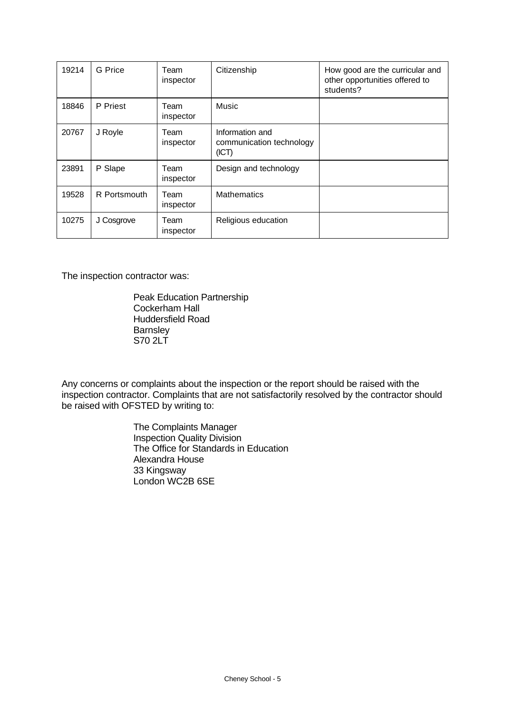| 19214 | G Price      | Team<br>inspector | Citizenship                                          | How good are the curricular and<br>other opportunities offered to<br>students? |
|-------|--------------|-------------------|------------------------------------------------------|--------------------------------------------------------------------------------|
| 18846 | P Priest     | Team<br>inspector | Music                                                |                                                                                |
| 20767 | J Royle      | Team<br>inspector | Information and<br>communication technology<br>(ICT) |                                                                                |
| 23891 | P Slape      | Team<br>inspector | Design and technology                                |                                                                                |
| 19528 | R Portsmouth | Team<br>inspector | <b>Mathematics</b>                                   |                                                                                |
| 10275 | J Cosgrove   | Team<br>inspector | Religious education                                  |                                                                                |

The inspection contractor was:

Peak Education Partnership Cockerham Hall Huddersfield Road **Barnsley** S70 2LT

Any concerns or complaints about the inspection or the report should be raised with the inspection contractor. Complaints that are not satisfactorily resolved by the contractor should be raised with OFSTED by writing to:

> The Complaints Manager Inspection Quality Division The Office for Standards in Education Alexandra House 33 Kingsway London WC2B 6SE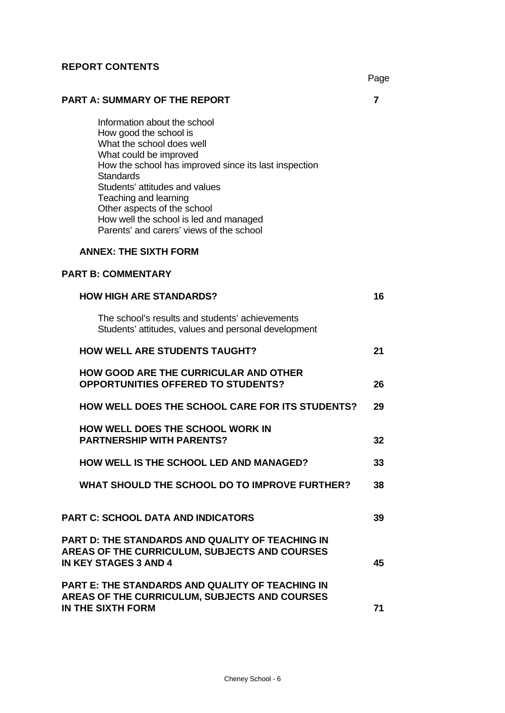### **REPORT CONTENTS**

# **PART A: SUMMARY OF THE REPORT 7**

Information about the school How good the school is What the school does well What could be improved How the school has improved since its last inspection **Standards** Students' attitudes and values Teaching and learning Other aspects of the school How well the school is led and managed Parents' and carers' views of the school

# **ANNEX: THE SIXTH FORM**

# **PART B: COMMENTARY**

| <b>HOW HIGH ARE STANDARDS?</b>                                                                                                           | 16 |
|------------------------------------------------------------------------------------------------------------------------------------------|----|
| The school's results and students' achievements<br>Students' attitudes, values and personal development                                  |    |
| <b>HOW WELL ARE STUDENTS TAUGHT?</b>                                                                                                     | 21 |
| <b>HOW GOOD ARE THE CURRICULAR AND OTHER</b><br><b>OPPORTUNITIES OFFERED TO STUDENTS?</b>                                                | 26 |
| <b>HOW WELL DOES THE SCHOOL CARE FOR ITS STUDENTS?</b>                                                                                   | 29 |
| <b>HOW WELL DOES THE SCHOOL WORK IN</b><br><b>PARTNERSHIP WITH PARENTS?</b>                                                              | 32 |
| <b>HOW WELL IS THE SCHOOL LED AND MANAGED?</b>                                                                                           | 33 |
| WHAT SHOULD THE SCHOOL DO TO IMPROVE FURTHER?                                                                                            | 38 |
| <b>PART C: SCHOOL DATA AND INDICATORS</b>                                                                                                | 39 |
| PART D: THE STANDARDS AND QUALITY OF TEACHING IN<br><b>AREAS OF THE CURRICULUM, SUBJECTS AND COURSES</b><br><b>IN KEY STAGES 3 AND 4</b> | 45 |
| PART E: THE STANDARDS AND QUALITY OF TEACHING IN<br><b>AREAS OF THE CURRICULUM, SUBJECTS AND COURSES</b><br>IN THE SIXTH FORM            | 71 |
|                                                                                                                                          |    |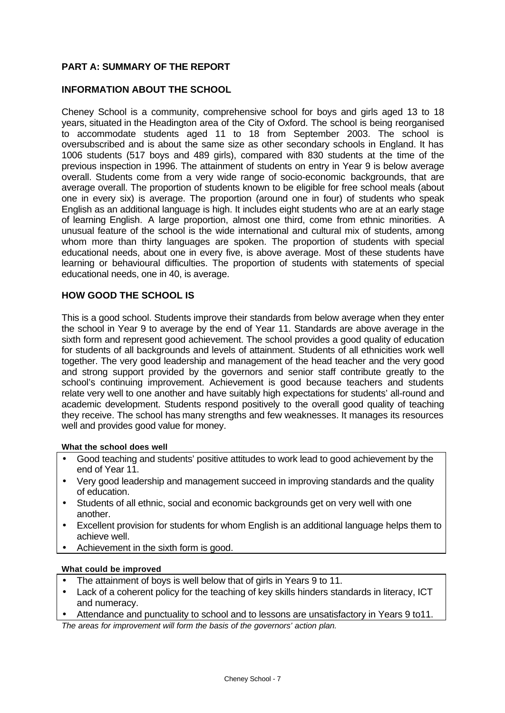# **PART A: SUMMARY OF THE REPORT**

### **INFORMATION ABOUT THE SCHOOL**

Cheney School is a community, comprehensive school for boys and girls aged 13 to 18 years, situated in the Headington area of the City of Oxford. The school is being reorganised to accommodate students aged 11 to 18 from September 2003. The school is oversubscribed and is about the same size as other secondary schools in England. It has 1006 students (517 boys and 489 girls), compared with 830 students at the time of the previous inspection in 1996. The attainment of students on entry in Year 9 is below average overall. Students come from a very wide range of socio-economic backgrounds, that are average overall. The proportion of students known to be eligible for free school meals (about one in every six) is average. The proportion (around one in four) of students who speak English as an additional language is high. It includes eight students who are at an early stage of learning English. A large proportion, almost one third, come from ethnic minorities. A unusual feature of the school is the wide international and cultural mix of students, among whom more than thirty languages are spoken. The proportion of students with special educational needs, about one in every five, is above average. Most of these students have learning or behavioural difficulties. The proportion of students with statements of special educational needs, one in 40, is average.

### **HOW GOOD THE SCHOOL IS**

This is a good school. Students improve their standards from below average when they enter the school in Year 9 to average by the end of Year 11. Standards are above average in the sixth form and represent good achievement. The school provides a good quality of education for students of all backgrounds and levels of attainment. Students of all ethnicities work well together. The very good leadership and management of the head teacher and the very good and strong support provided by the governors and senior staff contribute greatly to the school's continuing improvement. Achievement is good because teachers and students relate very well to one another and have suitably high expectations for students' all-round and academic development. Students respond positively to the overall good quality of teaching they receive. The school has many strengths and few weaknesses. It manages its resources well and provides good value for money.

#### **What the school does well**

- Good teaching and students' positive attitudes to work lead to good achievement by the end of Year 11.
- Very good leadership and management succeed in improving standards and the quality of education.
- Students of all ethnic, social and economic backgrounds get on very well with one another.
- Excellent provision for students for whom English is an additional language helps them to achieve well.
- Achievement in the sixth form is good.

#### **What could be improved**

- The attainment of boys is well below that of girls in Years 9 to 11.
- Lack of a coherent policy for the teaching of key skills hinders standards in literacy, ICT and numeracy.
- Attendance and punctuality to school and to lessons are unsatisfactory in Years 9 to11.

*The areas for improvement will form the basis of the governors' action plan.*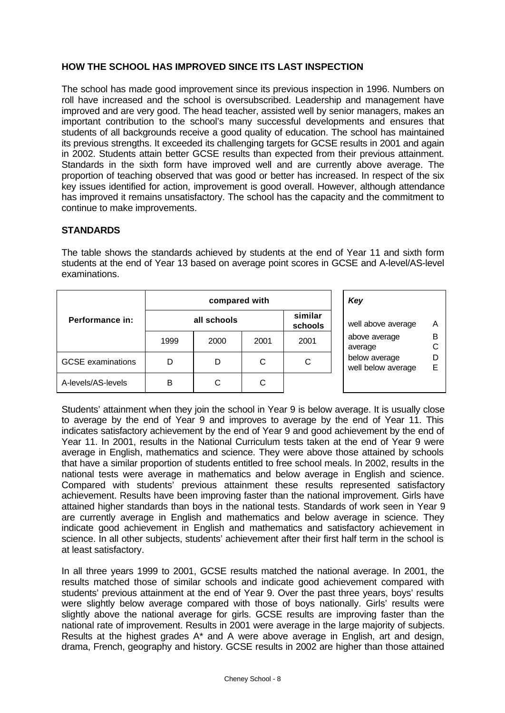## **HOW THE SCHOOL HAS IMPROVED SINCE ITS LAST INSPECTION**

The school has made good improvement since its previous inspection in 1996. Numbers on roll have increased and the school is oversubscribed. Leadership and management have improved and are very good. The head teacher, assisted well by senior managers, makes an important contribution to the school's many successful developments and ensures that students of all backgrounds receive a good quality of education. The school has maintained its previous strengths. It exceeded its challenging targets for GCSE results in 2001 and again in 2002. Students attain better GCSE results than expected from their previous attainment. Standards in the sixth form have improved well and are currently above average. The proportion of teaching observed that was good or better has increased. In respect of the six key issues identified for action, improvement is good overall. However, although attendance has improved it remains unsatisfactory. The school has the capacity and the commitment to continue to make improvements.

### **STANDARDS**

|                          |             | compared with | Key  |                    |                                     |        |
|--------------------------|-------------|---------------|------|--------------------|-------------------------------------|--------|
| Performance in:          | all schools |               |      | similar<br>schools | well above average                  |        |
|                          | 1999        | 2000          | 2001 | 2001               | above average<br>average            | В<br>С |
| <b>GCSE</b> examinations | D           | D             | C    | C                  | below average<br>well below average | D<br>Е |
| A-levels/AS-levels       | в           | C             | С    |                    |                                     |        |

The table shows the standards achieved by students at the end of Year 11 and sixth form students at the end of Year 13 based on average point scores in GCSE and A-level/AS-level examinations.

Students' attainment when they join the school in Year 9 is below average. It is usually close to average by the end of Year 9 and improves to average by the end of Year 11. This indicates satisfactory achievement by the end of Year 9 and good achievement by the end of Year 11. In 2001, results in the National Curriculum tests taken at the end of Year 9 were average in English, mathematics and science. They were above those attained by schools that have a similar proportion of students entitled to free school meals. In 2002, results in the national tests were average in mathematics and below average in English and science. Compared with students' previous attainment these results represented satisfactory achievement. Results have been improving faster than the national improvement. Girls have attained higher standards than boys in the national tests. Standards of work seen in Year 9 are currently average in English and mathematics and below average in science. They indicate good achievement in English and mathematics and satisfactory achievement in science. In all other subjects, students' achievement after their first half term in the school is at least satisfactory.

In all three years 1999 to 2001, GCSE results matched the national average. In 2001, the results matched those of similar schools and indicate good achievement compared with students' previous attainment at the end of Year 9. Over the past three years, boys' results were slightly below average compared with those of boys nationally. Girls' results were slightly above the national average for girls. GCSE results are improving faster than the national rate of improvement. Results in 2001 were average in the large majority of subjects. Results at the highest grades A\* and A were above average in English, art and design, drama, French, geography and history. GCSE results in 2002 are higher than those attained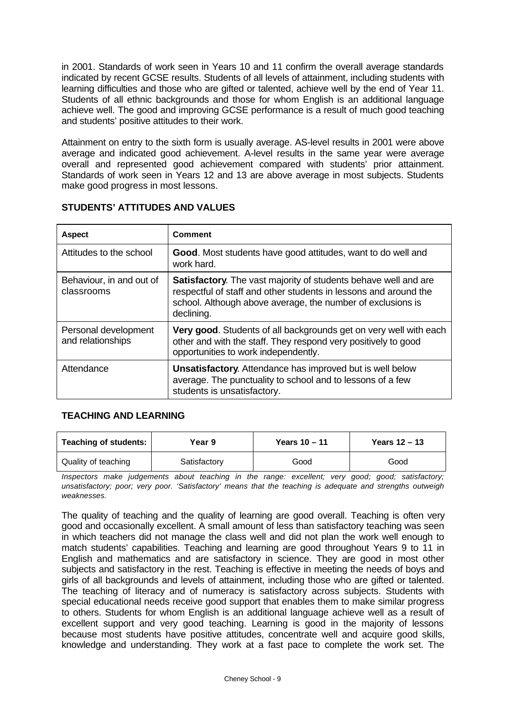in 2001. Standards of work seen in Years 10 and 11 confirm the overall average standards indicated by recent GCSE results. Students of all levels of attainment, including students with learning difficulties and those who are gifted or talented, achieve well by the end of Year 11. Students of all ethnic backgrounds and those for whom English is an additional language achieve well. The good and improving GCSE performance is a result of much good teaching and students' positive attitudes to their work.

Attainment on entry to the sixth form is usually average. AS-level results in 2001 were above average and indicated good achievement. A-level results in the same year were average overall and represented good achievement compared with students' prior attainment. Standards of work seen in Years 12 and 13 are above average in most subjects. Students make good progress in most lessons.

| <b>Aspect</b>                             | <b>Comment</b>                                                                                                                                                                                                          |
|-------------------------------------------|-------------------------------------------------------------------------------------------------------------------------------------------------------------------------------------------------------------------------|
| Attitudes to the school                   | Good. Most students have good attitudes, want to do well and<br>work hard.                                                                                                                                              |
| Behaviour, in and out of<br>classrooms    | <b>Satisfactory.</b> The vast majority of students behave well and are<br>respectful of staff and other students in lessons and around the<br>school. Although above average, the number of exclusions is<br>declining. |
| Personal development<br>and relationships | Very good. Students of all backgrounds get on very well with each<br>other and with the staff. They respond very positively to good<br>opportunities to work independently.                                             |
| Attendance                                | <b>Unsatisfactory.</b> Attendance has improved but is well below<br>average. The punctuality to school and to lessons of a few<br>students is unsatisfactory.                                                           |

# **STUDENTS' ATTITUDES AND VALUES**

# **TEACHING AND LEARNING**

| <b>Teaching of students:</b> | Year 9       | Years $10 - 11$ | Years $12 - 13$ |
|------------------------------|--------------|-----------------|-----------------|
| Quality of teaching          | Satisfactory | Good            | Good            |
|                              |              |                 |                 |

*Inspectors make judgements about teaching in the range: excellent; very good; good; satisfactory; unsatisfactory; poor; very poor. 'Satisfactory' means that the teaching is adequate and strengths outweigh weaknesses.*

The quality of teaching and the quality of learning are good overall. Teaching is often very good and occasionally excellent. A small amount of less than satisfactory teaching was seen in which teachers did not manage the class well and did not plan the work well enough to match students' capabilities. Teaching and learning are good throughout Years 9 to 11 in English and mathematics and are satisfactory in science. They are good in most other subjects and satisfactory in the rest. Teaching is effective in meeting the needs of boys and girls of all backgrounds and levels of attainment, including those who are gifted or talented. The teaching of literacy and of numeracy is satisfactory across subjects. Students with special educational needs receive good support that enables them to make similar progress to others. Students for whom English is an additional language achieve well as a result of excellent support and very good teaching. Learning is good in the majority of lessons because most students have positive attitudes, concentrate well and acquire good skills, knowledge and understanding. They work at a fast pace to complete the work set. The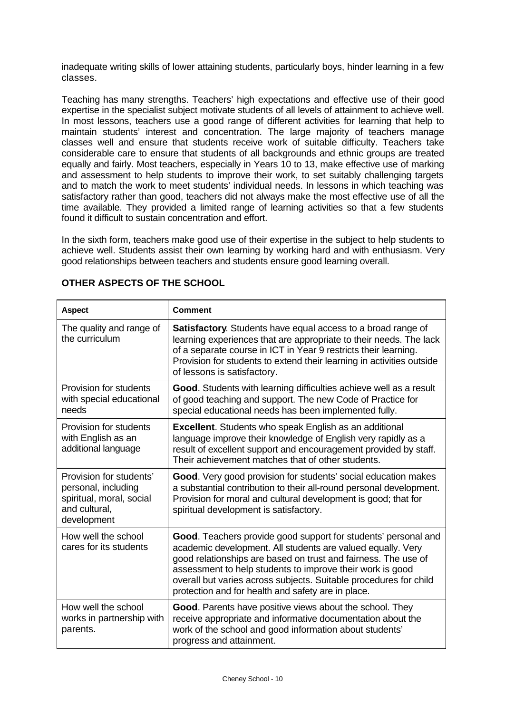inadequate writing skills of lower attaining students, particularly boys, hinder learning in a few classes.

Teaching has many strengths. Teachers' high expectations and effective use of their good expertise in the specialist subject motivate students of all levels of attainment to achieve well. In most lessons, teachers use a good range of different activities for learning that help to maintain students' interest and concentration. The large majority of teachers manage classes well and ensure that students receive work of suitable difficulty. Teachers take considerable care to ensure that students of all backgrounds and ethnic groups are treated equally and fairly. Most teachers, especially in Years 10 to 13, make effective use of marking and assessment to help students to improve their work, to set suitably challenging targets and to match the work to meet students' individual needs. In lessons in which teaching was satisfactory rather than good, teachers did not always make the most effective use of all the time available. They provided a limited range of learning activities so that a few students found it difficult to sustain concentration and effort.

In the sixth form, teachers make good use of their expertise in the subject to help students to achieve well. Students assist their own learning by working hard and with enthusiasm. Very good relationships between teachers and students ensure good learning overall.

| <b>Aspect</b>                                                                                              | <b>Comment</b>                                                                                                                                                                                                                                                                                                                                                                                 |  |  |  |
|------------------------------------------------------------------------------------------------------------|------------------------------------------------------------------------------------------------------------------------------------------------------------------------------------------------------------------------------------------------------------------------------------------------------------------------------------------------------------------------------------------------|--|--|--|
| The quality and range of<br>the curriculum                                                                 | <b>Satisfactory.</b> Students have equal access to a broad range of<br>learning experiences that are appropriate to their needs. The lack<br>of a separate course in ICT in Year 9 restricts their learning.<br>Provision for students to extend their learning in activities outside<br>of lessons is satisfactory.                                                                           |  |  |  |
| Provision for students<br>with special educational<br>needs                                                | Good. Students with learning difficulties achieve well as a result<br>of good teaching and support. The new Code of Practice for<br>special educational needs has been implemented fully.                                                                                                                                                                                                      |  |  |  |
| Provision for students<br>with English as an<br>additional language                                        | <b>Excellent.</b> Students who speak English as an additional<br>language improve their knowledge of English very rapidly as a<br>result of excellent support and encouragement provided by staff.<br>Their achievement matches that of other students.                                                                                                                                        |  |  |  |
| Provision for students'<br>personal, including<br>spiritual, moral, social<br>and cultural,<br>development | Good. Very good provision for students' social education makes<br>a substantial contribution to their all-round personal development.<br>Provision for moral and cultural development is good; that for<br>spiritual development is satisfactory.                                                                                                                                              |  |  |  |
| How well the school<br>cares for its students                                                              | <b>Good.</b> Teachers provide good support for students' personal and<br>academic development. All students are valued equally. Very<br>good relationships are based on trust and fairness. The use of<br>assessment to help students to improve their work is good<br>overall but varies across subjects. Suitable procedures for child<br>protection and for health and safety are in place. |  |  |  |
| How well the school<br>works in partnership with<br>parents.                                               | Good. Parents have positive views about the school. They<br>receive appropriate and informative documentation about the<br>work of the school and good information about students'<br>progress and attainment.                                                                                                                                                                                 |  |  |  |

### **OTHER ASPECTS OF THE SCHOOL**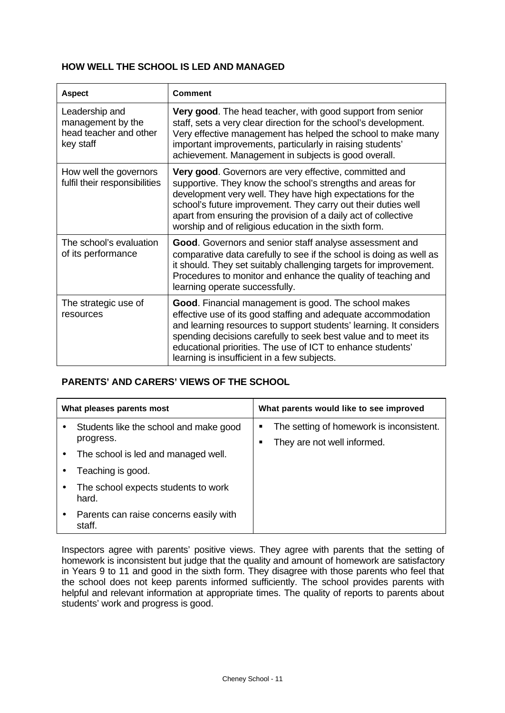### **HOW WELL THE SCHOOL IS LED AND MANAGED**

| <b>Aspect</b>                                                              | <b>Comment</b>                                                                                                                                                                                                                                                                                                                                                                 |
|----------------------------------------------------------------------------|--------------------------------------------------------------------------------------------------------------------------------------------------------------------------------------------------------------------------------------------------------------------------------------------------------------------------------------------------------------------------------|
| Leadership and<br>management by the<br>head teacher and other<br>key staff | Very good. The head teacher, with good support from senior<br>staff, sets a very clear direction for the school's development.<br>Very effective management has helped the school to make many<br>important improvements, particularly in raising students'<br>achievement. Management in subjects is good overall.                                                            |
| How well the governors<br>fulfil their responsibilities                    | Very good. Governors are very effective, committed and<br>supportive. They know the school's strengths and areas for<br>development very well. They have high expectations for the<br>school's future improvement. They carry out their duties well<br>apart from ensuring the provision of a daily act of collective<br>worship and of religious education in the sixth form. |
| The school's evaluation<br>of its performance                              | Good. Governors and senior staff analyse assessment and<br>comparative data carefully to see if the school is doing as well as<br>it should. They set suitably challenging targets for improvement.<br>Procedures to monitor and enhance the quality of teaching and<br>learning operate successfully.                                                                         |
| The strategic use of<br>resources                                          | Good. Financial management is good. The school makes<br>effective use of its good staffing and adequate accommodation<br>and learning resources to support students' learning. It considers<br>spending decisions carefully to seek best value and to meet its<br>educational priorities. The use of ICT to enhance students'<br>learning is insufficient in a few subjects.   |

# **PARENTS' AND CARERS' VIEWS OF THE SCHOOL**

| What pleases parents most |                                                     | What parents would like to see improved                                      |
|---------------------------|-----------------------------------------------------|------------------------------------------------------------------------------|
|                           | Students like the school and make good<br>progress. | The setting of homework is inconsistent.<br>٠<br>They are not well informed. |
|                           | The school is led and managed well.                 |                                                                              |
|                           | Teaching is good.                                   |                                                                              |
|                           | The school expects students to work<br>hard.        |                                                                              |
|                           | Parents can raise concerns easily with<br>staff.    |                                                                              |

Inspectors agree with parents' positive views. They agree with parents that the setting of homework is inconsistent but judge that the quality and amount of homework are satisfactory in Years 9 to 11 and good in the sixth form. They disagree with those parents who feel that the school does not keep parents informed sufficiently. The school provides parents with helpful and relevant information at appropriate times. The quality of reports to parents about students' work and progress is good.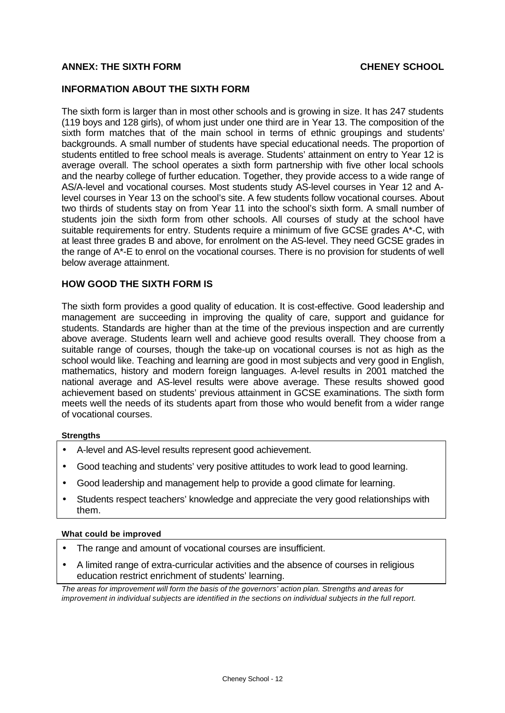### **ANNEX: THE SIXTH FORM CHENEY SCHOOL**

#### **INFORMATION ABOUT THE SIXTH FORM**

The sixth form is larger than in most other schools and is growing in size. It has 247 students (119 boys and 128 girls), of whom just under one third are in Year 13. The composition of the sixth form matches that of the main school in terms of ethnic groupings and students' backgrounds. A small number of students have special educational needs. The proportion of students entitled to free school meals is average. Students' attainment on entry to Year 12 is average overall. The school operates a sixth form partnership with five other local schools and the nearby college of further education. Together, they provide access to a wide range of AS/A-level and vocational courses. Most students study AS-level courses in Year 12 and Alevel courses in Year 13 on the school's site. A few students follow vocational courses. About two thirds of students stay on from Year 11 into the school's sixth form. A small number of students join the sixth form from other schools. All courses of study at the school have suitable requirements for entry. Students require a minimum of five GCSE grades A\*-C, with at least three grades B and above, for enrolment on the AS-level. They need GCSE grades in the range of A\*-E to enrol on the vocational courses. There is no provision for students of well below average attainment.

#### **HOW GOOD THE SIXTH FORM IS**

The sixth form provides a good quality of education. It is cost-effective. Good leadership and management are succeeding in improving the quality of care, support and guidance for students. Standards are higher than at the time of the previous inspection and are currently above average. Students learn well and achieve good results overall. They choose from a suitable range of courses, though the take-up on vocational courses is not as high as the school would like. Teaching and learning are good in most subjects and very good in English, mathematics, history and modern foreign languages. A-level results in 2001 matched the national average and AS-level results were above average. These results showed good achievement based on students' previous attainment in GCSE examinations. The sixth form meets well the needs of its students apart from those who would benefit from a wider range of vocational courses.

#### **Strengths**

- A-level and AS-level results represent good achievement.
- Good teaching and students' very positive attitudes to work lead to good learning.
- Good leadership and management help to provide a good climate for learning.
- Students respect teachers' knowledge and appreciate the very good relationships with them.

#### **What could be improved**

- The range and amount of vocational courses are insufficient.
- A limited range of extra-curricular activities and the absence of courses in religious education restrict enrichment of students' learning.

*The areas for improvement will form the basis of the governors' action plan. Strengths and areas for improvement in individual subjects are identified in the sections on individual subjects in the full report.*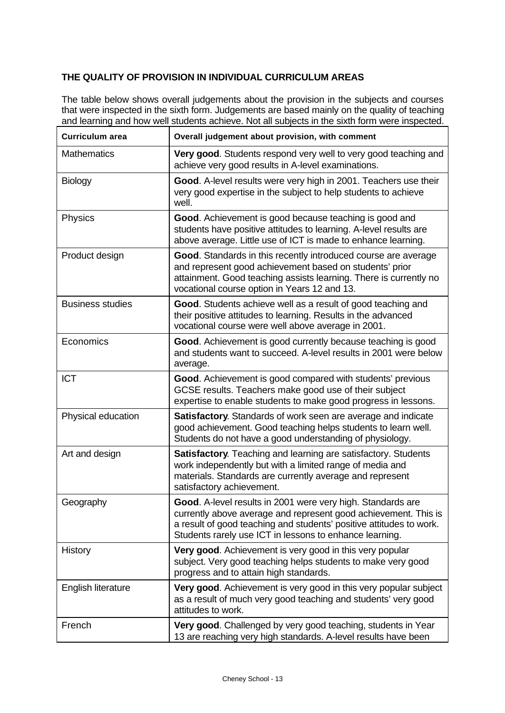# **THE QUALITY OF PROVISION IN INDIVIDUAL CURRICULUM AREAS**

The table below shows overall judgements about the provision in the subjects and courses that were inspected in the sixth form. Judgements are based mainly on the quality of teaching and learning and how well students achieve. Not all subjects in the sixth form were inspected.

| <b>Curriculum area</b>  | Overall judgement about provision, with comment                                                                                                                                                                                                                  |  |  |  |
|-------------------------|------------------------------------------------------------------------------------------------------------------------------------------------------------------------------------------------------------------------------------------------------------------|--|--|--|
| <b>Mathematics</b>      | Very good. Students respond very well to very good teaching and<br>achieve very good results in A-level examinations.                                                                                                                                            |  |  |  |
| <b>Biology</b>          | Good. A-level results were very high in 2001. Teachers use their<br>very good expertise in the subject to help students to achieve<br>well.                                                                                                                      |  |  |  |
| Physics                 | Good. Achievement is good because teaching is good and<br>students have positive attitudes to learning. A-level results are<br>above average. Little use of ICT is made to enhance learning.                                                                     |  |  |  |
| Product design          | Good. Standards in this recently introduced course are average<br>and represent good achievement based on students' prior<br>attainment. Good teaching assists learning. There is currently no<br>vocational course option in Years 12 and 13.                   |  |  |  |
| <b>Business studies</b> | Good. Students achieve well as a result of good teaching and<br>their positive attitudes to learning. Results in the advanced<br>vocational course were well above average in 2001.                                                                              |  |  |  |
| Economics               | Good. Achievement is good currently because teaching is good<br>and students want to succeed. A-level results in 2001 were below<br>average.                                                                                                                     |  |  |  |
| <b>ICT</b>              | Good. Achievement is good compared with students' previous<br>GCSE results. Teachers make good use of their subject<br>expertise to enable students to make good progress in lessons.                                                                            |  |  |  |
| Physical education      | Satisfactory. Standards of work seen are average and indicate<br>good achievement. Good teaching helps students to learn well.<br>Students do not have a good understanding of physiology.                                                                       |  |  |  |
| Art and design          | Satisfactory. Teaching and learning are satisfactory. Students<br>work independently but with a limited range of media and<br>materials. Standards are currently average and represent<br>satisfactory achievement.                                              |  |  |  |
| Geography               | Good. A-level results in 2001 were very high. Standards are<br>currently above average and represent good achievement. This is<br>a result of good teaching and students' positive attitudes to work.<br>Students rarely use ICT in lessons to enhance learning. |  |  |  |
| History                 | Very good. Achievement is very good in this very popular<br>subject. Very good teaching helps students to make very good<br>progress and to attain high standards.                                                                                               |  |  |  |
| English literature      | Very good. Achievement is very good in this very popular subject<br>as a result of much very good teaching and students' very good<br>attitudes to work.                                                                                                         |  |  |  |
| French                  | Very good. Challenged by very good teaching, students in Year<br>13 are reaching very high standards. A-level results have been                                                                                                                                  |  |  |  |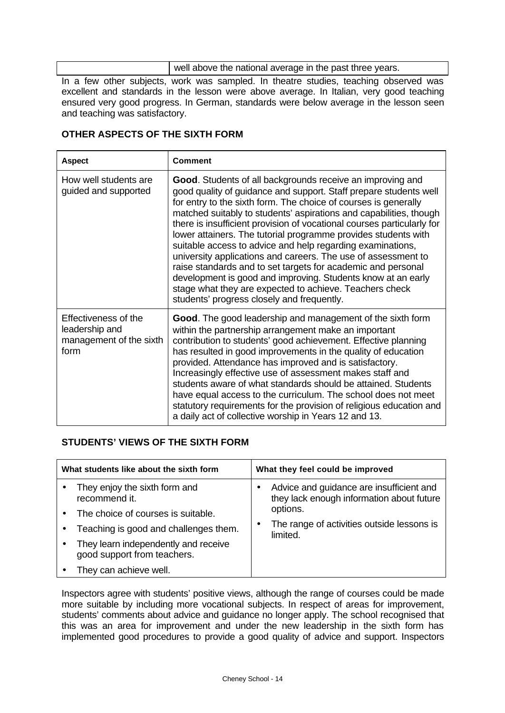well above the national average in the past three years.

In a few other subjects, work was sampled. In theatre studies, teaching observed was excellent and standards in the lesson were above average. In Italian, very good teaching ensured very good progress. In German, standards were below average in the lesson seen and teaching was satisfactory.

### **OTHER ASPECTS OF THE SIXTH FORM**

| <b>Aspect</b>                                                             | <b>Comment</b>                                                                                                                                                                                                                                                                                                                                                                                                                                                                                                                                                                                                                                                                                                                                                                               |  |  |
|---------------------------------------------------------------------------|----------------------------------------------------------------------------------------------------------------------------------------------------------------------------------------------------------------------------------------------------------------------------------------------------------------------------------------------------------------------------------------------------------------------------------------------------------------------------------------------------------------------------------------------------------------------------------------------------------------------------------------------------------------------------------------------------------------------------------------------------------------------------------------------|--|--|
| How well students are<br>guided and supported                             | Good. Students of all backgrounds receive an improving and<br>good quality of guidance and support. Staff prepare students well<br>for entry to the sixth form. The choice of courses is generally<br>matched suitably to students' aspirations and capabilities, though<br>there is insufficient provision of vocational courses particularly for<br>lower attainers. The tutorial programme provides students with<br>suitable access to advice and help regarding examinations,<br>university applications and careers. The use of assessment to<br>raise standards and to set targets for academic and personal<br>development is good and improving. Students know at an early<br>stage what they are expected to achieve. Teachers check<br>students' progress closely and frequently. |  |  |
| Effectiveness of the<br>leadership and<br>management of the sixth<br>form | Good. The good leadership and management of the sixth form<br>within the partnership arrangement make an important<br>contribution to students' good achievement. Effective planning<br>has resulted in good improvements in the quality of education<br>provided. Attendance has improved and is satisfactory.<br>Increasingly effective use of assessment makes staff and<br>students aware of what standards should be attained. Students<br>have equal access to the curriculum. The school does not meet<br>statutory requirements for the provision of religious education and<br>a daily act of collective worship in Years 12 and 13.                                                                                                                                                |  |  |

# **STUDENTS' VIEWS OF THE SIXTH FORM**

| What students like about the sixth form |                                                                     | What they feel could be improved |                                                                                       |
|-----------------------------------------|---------------------------------------------------------------------|----------------------------------|---------------------------------------------------------------------------------------|
|                                         | They enjoy the sixth form and<br>recommend it.                      |                                  | Advice and guidance are insufficient and<br>they lack enough information about future |
|                                         | The choice of courses is suitable.                                  |                                  | options.                                                                              |
|                                         | Teaching is good and challenges them.                               | $\bullet$                        | The range of activities outside lessons is<br>limited.                                |
|                                         | They learn independently and receive<br>good support from teachers. |                                  |                                                                                       |
|                                         | They can achieve well.                                              |                                  |                                                                                       |

Inspectors agree with students' positive views, although the range of courses could be made more suitable by including more vocational subjects. In respect of areas for improvement, students' comments about advice and guidance no longer apply. The school recognised that this was an area for improvement and under the new leadership in the sixth form has implemented good procedures to provide a good quality of advice and support. Inspectors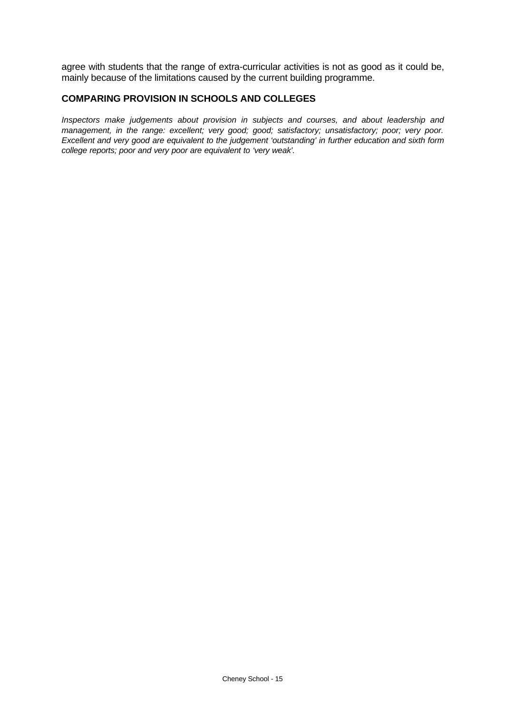agree with students that the range of extra-curricular activities is not as good as it could be, mainly because of the limitations caused by the current building programme.

### **COMPARING PROVISION IN SCHOOLS AND COLLEGES**

*Inspectors make judgements about provision in subjects and courses, and about leadership and management, in the range: excellent; very good; good; satisfactory; unsatisfactory; poor; very poor. Excellent and very good are equivalent to the judgement 'outstanding' in further education and sixth form college reports; poor and very poor are equivalent to 'very weak'.*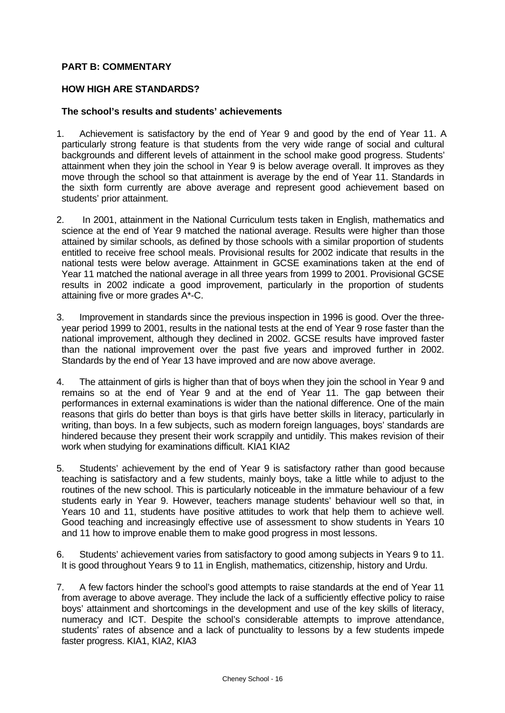### **PART B: COMMENTARY**

### **HOW HIGH ARE STANDARDS?**

#### **The school's results and students' achievements**

- 1. Achievement is satisfactory by the end of Year 9 and good by the end of Year 11. A particularly strong feature is that students from the very wide range of social and cultural backgrounds and different levels of attainment in the school make good progress. Students' attainment when they join the school in Year 9 is below average overall. It improves as they move through the school so that attainment is average by the end of Year 11. Standards in the sixth form currently are above average and represent good achievement based on students' prior attainment.
- 2. In 2001, attainment in the National Curriculum tests taken in English, mathematics and science at the end of Year 9 matched the national average. Results were higher than those attained by similar schools, as defined by those schools with a similar proportion of students entitled to receive free school meals. Provisional results for 2002 indicate that results in the national tests were below average. Attainment in GCSE examinations taken at the end of Year 11 matched the national average in all three years from 1999 to 2001. Provisional GCSE results in 2002 indicate a good improvement, particularly in the proportion of students attaining five or more grades A\*-C.
- 3. Improvement in standards since the previous inspection in 1996 is good. Over the threeyear period 1999 to 2001, results in the national tests at the end of Year 9 rose faster than the national improvement, although they declined in 2002. GCSE results have improved faster than the national improvement over the past five years and improved further in 2002. Standards by the end of Year 13 have improved and are now above average.
- 4. The attainment of girls is higher than that of boys when they join the school in Year 9 and remains so at the end of Year 9 and at the end of Year 11. The gap between their performances in external examinations is wider than the national difference. One of the main reasons that girls do better than boys is that girls have better skills in literacy, particularly in writing, than boys. In a few subjects, such as modern foreign languages, boys' standards are hindered because they present their work scrappily and untidily. This makes revision of their work when studying for examinations difficult. KIA1 KIA2
- 5. Students' achievement by the end of Year 9 is satisfactory rather than good because teaching is satisfactory and a few students, mainly boys, take a little while to adjust to the routines of the new school. This is particularly noticeable in the immature behaviour of a few students early in Year 9. However, teachers manage students' behaviour well so that, in Years 10 and 11, students have positive attitudes to work that help them to achieve well. Good teaching and increasingly effective use of assessment to show students in Years 10 and 11 how to improve enable them to make good progress in most lessons.
- 6. Students' achievement varies from satisfactory to good among subjects in Years 9 to 11. It is good throughout Years 9 to 11 in English, mathematics, citizenship, history and Urdu.
- 7. A few factors hinder the school's good attempts to raise standards at the end of Year 11 from average to above average. They include the lack of a sufficiently effective policy to raise boys' attainment and shortcomings in the development and use of the key skills of literacy, numeracy and ICT. Despite the school's considerable attempts to improve attendance, students' rates of absence and a lack of punctuality to lessons by a few students impede faster progress. KIA1, KIA2, KIA3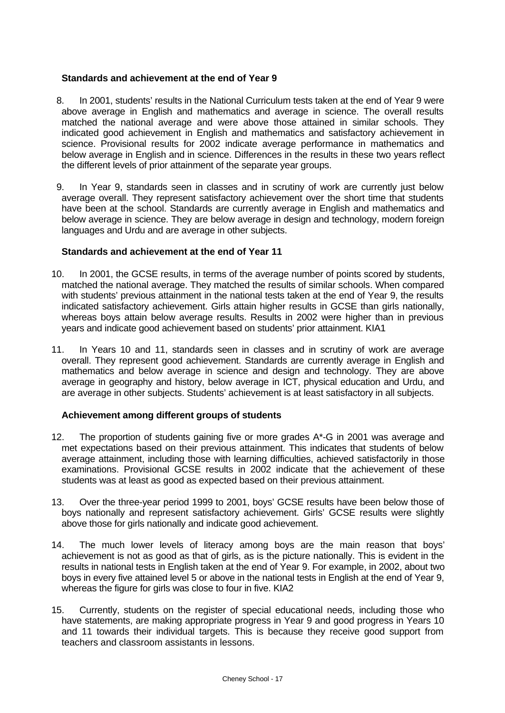#### **Standards and achievement at the end of Year 9**

- 8. In 2001, students' results in the National Curriculum tests taken at the end of Year 9 were above average in English and mathematics and average in science. The overall results matched the national average and were above those attained in similar schools. They indicated good achievement in English and mathematics and satisfactory achievement in science. Provisional results for 2002 indicate average performance in mathematics and below average in English and in science. Differences in the results in these two years reflect the different levels of prior attainment of the separate year groups.
- 9. In Year 9, standards seen in classes and in scrutiny of work are currently just below average overall. They represent satisfactory achievement over the short time that students have been at the school. Standards are currently average in English and mathematics and below average in science. They are below average in design and technology, modern foreign languages and Urdu and are average in other subjects.

#### **Standards and achievement at the end of Year 11**

- 10. In 2001, the GCSE results, in terms of the average number of points scored by students, matched the national average. They matched the results of similar schools. When compared with students' previous attainment in the national tests taken at the end of Year 9, the results indicated satisfactory achievement. Girls attain higher results in GCSE than girls nationally, whereas boys attain below average results. Results in 2002 were higher than in previous years and indicate good achievement based on students' prior attainment. KIA1
- 11. In Years 10 and 11, standards seen in classes and in scrutiny of work are average overall. They represent good achievement. Standards are currently average in English and mathematics and below average in science and design and technology. They are above average in geography and history, below average in ICT, physical education and Urdu, and are average in other subjects. Students' achievement is at least satisfactory in all subjects.

### **Achievement among different groups of students**

- 12. The proportion of students gaining five or more grades A\*-G in 2001 was average and met expectations based on their previous attainment. This indicates that students of below average attainment, including those with learning difficulties, achieved satisfactorily in those examinations. Provisional GCSE results in 2002 indicate that the achievement of these students was at least as good as expected based on their previous attainment.
- 13. Over the three-year period 1999 to 2001, boys' GCSE results have been below those of boys nationally and represent satisfactory achievement. Girls' GCSE results were slightly above those for girls nationally and indicate good achievement.
- 14. The much lower levels of literacy among boys are the main reason that boys' achievement is not as good as that of girls, as is the picture nationally. This is evident in the results in national tests in English taken at the end of Year 9. For example, in 2002, about two boys in every five attained level 5 or above in the national tests in English at the end of Year 9, whereas the figure for girls was close to four in five. KIA2
- 15. Currently, students on the register of special educational needs, including those who have statements, are making appropriate progress in Year 9 and good progress in Years 10 and 11 towards their individual targets. This is because they receive good support from teachers and classroom assistants in lessons.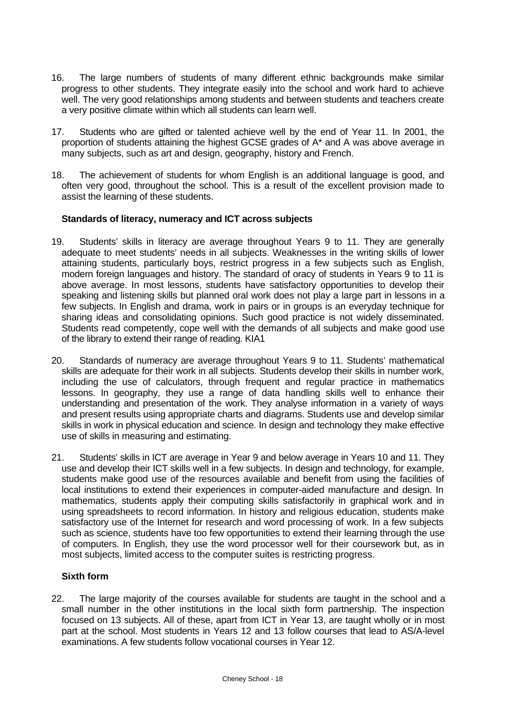- 16. The large numbers of students of many different ethnic backgrounds make similar progress to other students. They integrate easily into the school and work hard to achieve well. The very good relationships among students and between students and teachers create a very positive climate within which all students can learn well.
- 17. Students who are gifted or talented achieve well by the end of Year 11. In 2001, the proportion of students attaining the highest GCSE grades of A\* and A was above average in many subjects, such as art and design, geography, history and French.
- 18. The achievement of students for whom English is an additional language is good, and often very good, throughout the school. This is a result of the excellent provision made to assist the learning of these students.

### **Standards of literacy, numeracy and ICT across subjects**

- 19. Students' skills in literacy are average throughout Years 9 to 11. They are generally adequate to meet students' needs in all subjects. Weaknesses in the writing skills of lower attaining students, particularly boys, restrict progress in a few subjects such as English, modern foreign languages and history. The standard of oracy of students in Years 9 to 11 is above average. In most lessons, students have satisfactory opportunities to develop their speaking and listening skills but planned oral work does not play a large part in lessons in a few subjects. In English and drama, work in pairs or in groups is an everyday technique for sharing ideas and consolidating opinions. Such good practice is not widely disseminated. Students read competently, cope well with the demands of all subjects and make good use of the library to extend their range of reading. KIA1
- 20. Standards of numeracy are average throughout Years 9 to 11. Students' mathematical skills are adequate for their work in all subjects. Students develop their skills in number work, including the use of calculators, through frequent and regular practice in mathematics lessons. In geography, they use a range of data handling skills well to enhance their understanding and presentation of the work. They analyse information in a variety of ways and present results using appropriate charts and diagrams. Students use and develop similar skills in work in physical education and science. In design and technology they make effective use of skills in measuring and estimating.
- 21. Students' skills in ICT are average in Year 9 and below average in Years 10 and 11. They use and develop their ICT skills well in a few subjects. In design and technology, for example, students make good use of the resources available and benefit from using the facilities of local institutions to extend their experiences in computer-aided manufacture and design. In mathematics, students apply their computing skills satisfactorily in graphical work and in using spreadsheets to record information. In history and religious education, students make satisfactory use of the Internet for research and word processing of work. In a few subjects such as science, students have too few opportunities to extend their learning through the use of computers. In English, they use the word processor well for their coursework but, as in most subjects, limited access to the computer suites is restricting progress.

### **Sixth form**

22. The large majority of the courses available for students are taught in the school and a small number in the other institutions in the local sixth form partnership. The inspection focused on 13 subjects. All of these, apart from ICT in Year 13, are taught wholly or in most part at the school. Most students in Years 12 and 13 follow courses that lead to AS/A-level examinations. A few students follow vocational courses in Year 12.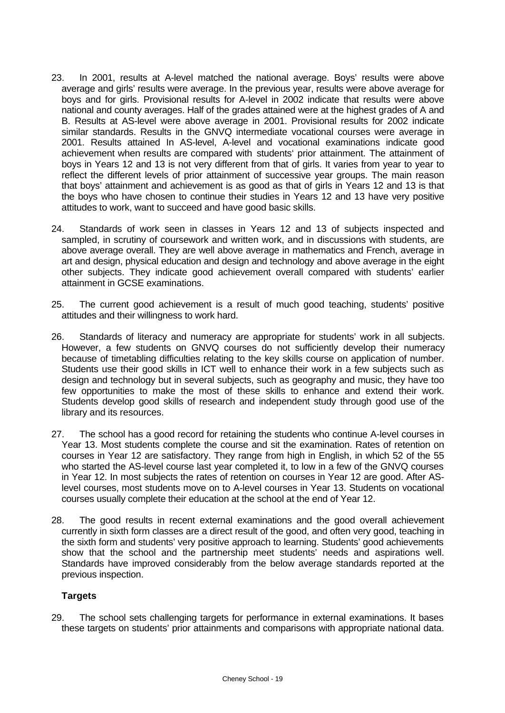- 23. In 2001, results at A-level matched the national average. Boys' results were above average and girls' results were average. In the previous year, results were above average for boys and for girls. Provisional results for A-level in 2002 indicate that results were above national and county averages. Half of the grades attained were at the highest grades of A and B. Results at AS-level were above average in 2001. Provisional results for 2002 indicate similar standards. Results in the GNVQ intermediate vocational courses were average in 2001. Results attained In AS-level, A-level and vocational examinations indicate good achievement when results are compared with students' prior attainment. The attainment of boys in Years 12 and 13 is not very different from that of girls. It varies from year to year to reflect the different levels of prior attainment of successive year groups. The main reason that boys' attainment and achievement is as good as that of girls in Years 12 and 13 is that the boys who have chosen to continue their studies in Years 12 and 13 have very positive attitudes to work, want to succeed and have good basic skills.
- 24. Standards of work seen in classes in Years 12 and 13 of subjects inspected and sampled, in scrutiny of coursework and written work, and in discussions with students, are above average overall. They are well above average in mathematics and French, average in art and design, physical education and design and technology and above average in the eight other subjects. They indicate good achievement overall compared with students' earlier attainment in GCSE examinations.
- 25. The current good achievement is a result of much good teaching, students' positive attitudes and their willingness to work hard.
- 26. Standards of literacy and numeracy are appropriate for students' work in all subjects. However, a few students on GNVQ courses do not sufficiently develop their numeracy because of timetabling difficulties relating to the key skills course on application of number. Students use their good skills in ICT well to enhance their work in a few subjects such as design and technology but in several subjects, such as geography and music, they have too few opportunities to make the most of these skills to enhance and extend their work. Students develop good skills of research and independent study through good use of the library and its resources.
- 27. The school has a good record for retaining the students who continue A-level courses in Year 13. Most students complete the course and sit the examination. Rates of retention on courses in Year 12 are satisfactory. They range from high in English, in which 52 of the 55 who started the AS-level course last year completed it, to low in a few of the GNVQ courses in Year 12. In most subjects the rates of retention on courses in Year 12 are good. After ASlevel courses, most students move on to A-level courses in Year 13. Students on vocational courses usually complete their education at the school at the end of Year 12.
- 28. The good results in recent external examinations and the good overall achievement currently in sixth form classes are a direct result of the good, and often very good, teaching in the sixth form and students' very positive approach to learning. Students' good achievements show that the school and the partnership meet students' needs and aspirations well. Standards have improved considerably from the below average standards reported at the previous inspection.

### **Targets**

29. The school sets challenging targets for performance in external examinations. It bases these targets on students' prior attainments and comparisons with appropriate national data.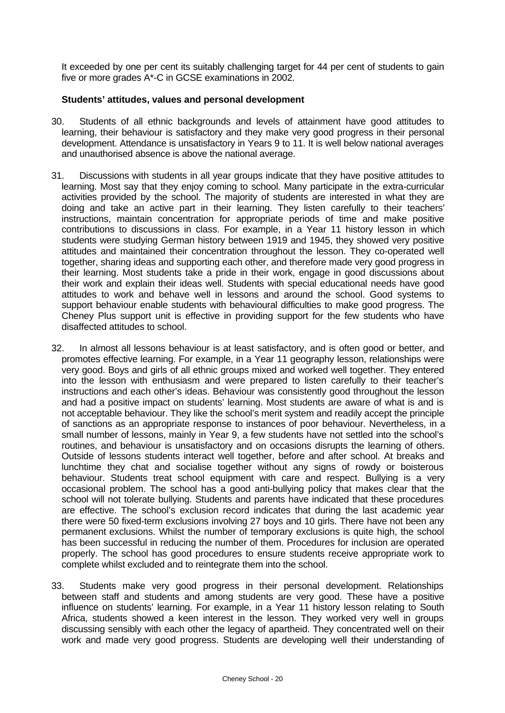It exceeded by one per cent its suitably challenging target for 44 per cent of students to gain five or more grades A\*-C in GCSE examinations in 2002.

#### **Students' attitudes, values and personal development**

- 30. Students of all ethnic backgrounds and levels of attainment have good attitudes to learning, their behaviour is satisfactory and they make very good progress in their personal development. Attendance is unsatisfactory in Years 9 to 11. It is well below national averages and unauthorised absence is above the national average.
- 31. Discussions with students in all year groups indicate that they have positive attitudes to learning. Most say that they enjoy coming to school. Many participate in the extra-curricular activities provided by the school. The majority of students are interested in what they are doing and take an active part in their learning. They listen carefully to their teachers' instructions, maintain concentration for appropriate periods of time and make positive contributions to discussions in class. For example, in a Year 11 history lesson in which students were studying German history between 1919 and 1945, they showed very positive attitudes and maintained their concentration throughout the lesson. They co-operated well together, sharing ideas and supporting each other, and therefore made very good progress in their learning. Most students take a pride in their work, engage in good discussions about their work and explain their ideas well. Students with special educational needs have good attitudes to work and behave well in lessons and around the school. Good systems to support behaviour enable students with behavioural difficulties to make good progress. The Cheney Plus support unit is effective in providing support for the few students who have disaffected attitudes to school.
- 32. In almost all lessons behaviour is at least satisfactory, and is often good or better, and promotes effective learning. For example, in a Year 11 geography lesson, relationships were very good. Boys and girls of all ethnic groups mixed and worked well together. They entered into the lesson with enthusiasm and were prepared to listen carefully to their teacher's instructions and each other's ideas. Behaviour was consistently good throughout the lesson and had a positive impact on students' learning. Most students are aware of what is and is not acceptable behaviour. They like the school's merit system and readily accept the principle of sanctions as an appropriate response to instances of poor behaviour. Nevertheless, in a small number of lessons, mainly in Year 9, a few students have not settled into the school's routines, and behaviour is unsatisfactory and on occasions disrupts the learning of others. Outside of lessons students interact well together, before and after school. At breaks and lunchtime they chat and socialise together without any signs of rowdy or boisterous behaviour. Students treat school equipment with care and respect. Bullying is a very occasional problem. The school has a good anti-bullying policy that makes clear that the school will not tolerate bullying. Students and parents have indicated that these procedures are effective. The school's exclusion record indicates that during the last academic year there were 50 fixed-term exclusions involving 27 boys and 10 girls. There have not been any permanent exclusions. Whilst the number of temporary exclusions is quite high, the school has been successful in reducing the number of them. Procedures for inclusion are operated properly. The school has good procedures to ensure students receive appropriate work to complete whilst excluded and to reintegrate them into the school.
- 33. Students make very good progress in their personal development. Relationships between staff and students and among students are very good. These have a positive influence on students' learning. For example, in a Year 11 history lesson relating to South Africa, students showed a keen interest in the lesson. They worked very well in groups discussing sensibly with each other the legacy of apartheid. They concentrated well on their work and made very good progress. Students are developing well their understanding of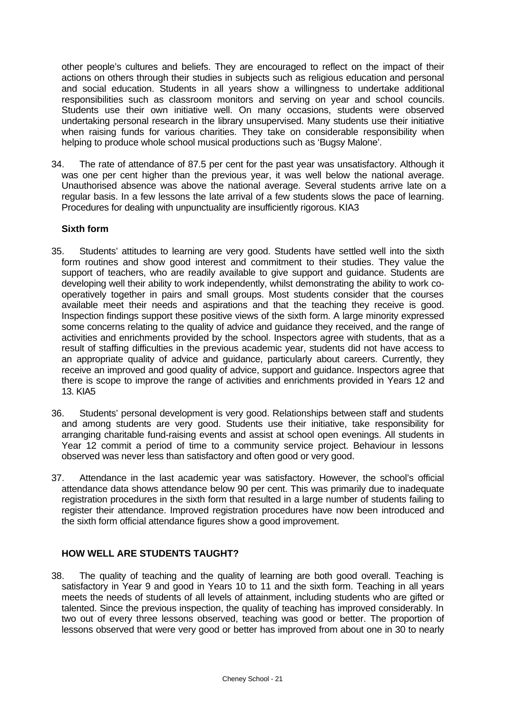other people's cultures and beliefs. They are encouraged to reflect on the impact of their actions on others through their studies in subjects such as religious education and personal and social education. Students in all years show a willingness to undertake additional responsibilities such as classroom monitors and serving on year and school councils. Students use their own initiative well. On many occasions, students were observed undertaking personal research in the library unsupervised. Many students use their initiative when raising funds for various charities. They take on considerable responsibility when helping to produce whole school musical productions such as 'Bugsy Malone'.

34. The rate of attendance of 87.5 per cent for the past year was unsatisfactory. Although it was one per cent higher than the previous year, it was well below the national average. Unauthorised absence was above the national average. Several students arrive late on a regular basis. In a few lessons the late arrival of a few students slows the pace of learning. Procedures for dealing with unpunctuality are insufficiently rigorous. KIA3

### **Sixth form**

- 35. Students' attitudes to learning are very good. Students have settled well into the sixth form routines and show good interest and commitment to their studies. They value the support of teachers, who are readily available to give support and guidance. Students are developing well their ability to work independently, whilst demonstrating the ability to work cooperatively together in pairs and small groups. Most students consider that the courses available meet their needs and aspirations and that the teaching they receive is good. Inspection findings support these positive views of the sixth form. A large minority expressed some concerns relating to the quality of advice and guidance they received, and the range of activities and enrichments provided by the school. Inspectors agree with students, that as a result of staffing difficulties in the previous academic year, students did not have access to an appropriate quality of advice and guidance, particularly about careers. Currently, they receive an improved and good quality of advice, support and guidance. Inspectors agree that there is scope to improve the range of activities and enrichments provided in Years 12 and 13. KIA5
- 36. Students' personal development is very good. Relationships between staff and students and among students are very good. Students use their initiative, take responsibility for arranging charitable fund-raising events and assist at school open evenings. All students in Year 12 commit a period of time to a community service project. Behaviour in lessons observed was never less than satisfactory and often good or very good.
- 37. Attendance in the last academic year was satisfactory. However, the school's official attendance data shows attendance below 90 per cent. This was primarily due to inadequate registration procedures in the sixth form that resulted in a large number of students failing to register their attendance. Improved registration procedures have now been introduced and the sixth form official attendance figures show a good improvement.

### **HOW WELL ARE STUDENTS TAUGHT?**

38. The quality of teaching and the quality of learning are both good overall. Teaching is satisfactory in Year 9 and good in Years 10 to 11 and the sixth form. Teaching in all years meets the needs of students of all levels of attainment, including students who are gifted or talented. Since the previous inspection, the quality of teaching has improved considerably. In two out of every three lessons observed, teaching was good or better. The proportion of lessons observed that were very good or better has improved from about one in 30 to nearly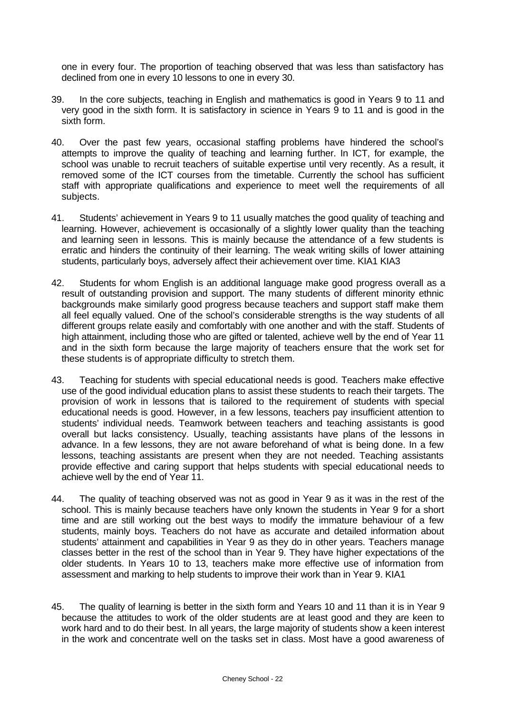one in every four. The proportion of teaching observed that was less than satisfactory has declined from one in every 10 lessons to one in every 30.

- 39. In the core subjects, teaching in English and mathematics is good in Years 9 to 11 and very good in the sixth form. It is satisfactory in science in Years 9 to 11 and is good in the sixth form.
- 40. Over the past few years, occasional staffing problems have hindered the school's attempts to improve the quality of teaching and learning further. In ICT, for example, the school was unable to recruit teachers of suitable expertise until very recently. As a result, it removed some of the ICT courses from the timetable. Currently the school has sufficient staff with appropriate qualifications and experience to meet well the requirements of all subjects.
- 41. Students' achievement in Years 9 to 11 usually matches the good quality of teaching and learning. However, achievement is occasionally of a slightly lower quality than the teaching and learning seen in lessons. This is mainly because the attendance of a few students is erratic and hinders the continuity of their learning. The weak writing skills of lower attaining students, particularly boys, adversely affect their achievement over time. KIA1 KIA3
- 42. Students for whom English is an additional language make good progress overall as a result of outstanding provision and support. The many students of different minority ethnic backgrounds make similarly good progress because teachers and support staff make them all feel equally valued. One of the school's considerable strengths is the way students of all different groups relate easily and comfortably with one another and with the staff. Students of high attainment, including those who are gifted or talented, achieve well by the end of Year 11 and in the sixth form because the large majority of teachers ensure that the work set for these students is of appropriate difficulty to stretch them.
- 43. Teaching for students with special educational needs is good. Teachers make effective use of the good individual education plans to assist these students to reach their targets. The provision of work in lessons that is tailored to the requirement of students with special educational needs is good. However, in a few lessons, teachers pay insufficient attention to students' individual needs. Teamwork between teachers and teaching assistants is good overall but lacks consistency. Usually, teaching assistants have plans of the lessons in advance. In a few lessons, they are not aware beforehand of what is being done. In a few lessons, teaching assistants are present when they are not needed. Teaching assistants provide effective and caring support that helps students with special educational needs to achieve well by the end of Year 11.
- 44. The quality of teaching observed was not as good in Year 9 as it was in the rest of the school. This is mainly because teachers have only known the students in Year 9 for a short time and are still working out the best ways to modify the immature behaviour of a few students, mainly boys. Teachers do not have as accurate and detailed information about students' attainment and capabilities in Year 9 as they do in other years. Teachers manage classes better in the rest of the school than in Year 9. They have higher expectations of the older students. In Years 10 to 13, teachers make more effective use of information from assessment and marking to help students to improve their work than in Year 9. KIA1
- 45. The quality of learning is better in the sixth form and Years 10 and 11 than it is in Year 9 because the attitudes to work of the older students are at least good and they are keen to work hard and to do their best. In all years, the large majority of students show a keen interest in the work and concentrate well on the tasks set in class. Most have a good awareness of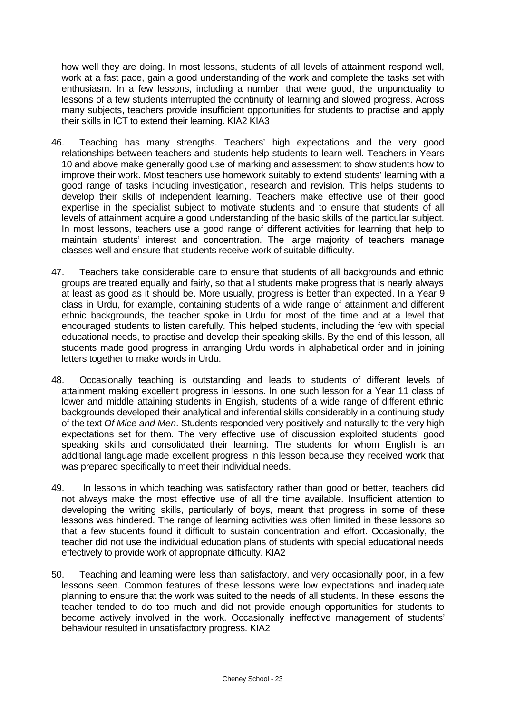how well they are doing. In most lessons, students of all levels of attainment respond well, work at a fast pace, gain a good understanding of the work and complete the tasks set with enthusiasm. In a few lessons, including a number that were good, the unpunctuality to lessons of a few students interrupted the continuity of learning and slowed progress. Across many subjects, teachers provide insufficient opportunities for students to practise and apply their skills in ICT to extend their learning. KIA2 KIA3

- 46. Teaching has many strengths. Teachers' high expectations and the very good relationships between teachers and students help students to learn well. Teachers in Years 10 and above make generally good use of marking and assessment to show students how to improve their work. Most teachers use homework suitably to extend students' learning with a good range of tasks including investigation, research and revision. This helps students to develop their skills of independent learning. Teachers make effective use of their good expertise in the specialist subject to motivate students and to ensure that students of all levels of attainment acquire a good understanding of the basic skills of the particular subject. In most lessons, teachers use a good range of different activities for learning that help to maintain students' interest and concentration. The large majority of teachers manage classes well and ensure that students receive work of suitable difficulty.
- 47. Teachers take considerable care to ensure that students of all backgrounds and ethnic groups are treated equally and fairly, so that all students make progress that is nearly always at least as good as it should be. More usually, progress is better than expected. In a Year 9 class in Urdu, for example, containing students of a wide range of attainment and different ethnic backgrounds, the teacher spoke in Urdu for most of the time and at a level that encouraged students to listen carefully. This helped students, including the few with special educational needs, to practise and develop their speaking skills. By the end of this lesson, all students made good progress in arranging Urdu words in alphabetical order and in joining letters together to make words in Urdu.
- 48. Occasionally teaching is outstanding and leads to students of different levels of attainment making excellent progress in lessons. In one such lesson for a Year 11 class of lower and middle attaining students in English, students of a wide range of different ethnic backgrounds developed their analytical and inferential skills considerably in a continuing study of the text *Of Mice and Men*. Students responded very positively and naturally to the very high expectations set for them. The very effective use of discussion exploited students' good speaking skills and consolidated their learning. The students for whom English is an additional language made excellent progress in this lesson because they received work that was prepared specifically to meet their individual needs.
- 49. In lessons in which teaching was satisfactory rather than good or better, teachers did not always make the most effective use of all the time available. Insufficient attention to developing the writing skills, particularly of boys, meant that progress in some of these lessons was hindered. The range of learning activities was often limited in these lessons so that a few students found it difficult to sustain concentration and effort. Occasionally, the teacher did not use the individual education plans of students with special educational needs effectively to provide work of appropriate difficulty. KIA2
- 50. Teaching and learning were less than satisfactory, and very occasionally poor, in a few lessons seen. Common features of these lessons were low expectations and inadequate planning to ensure that the work was suited to the needs of all students. In these lessons the teacher tended to do too much and did not provide enough opportunities for students to become actively involved in the work. Occasionally ineffective management of students' behaviour resulted in unsatisfactory progress. KIA2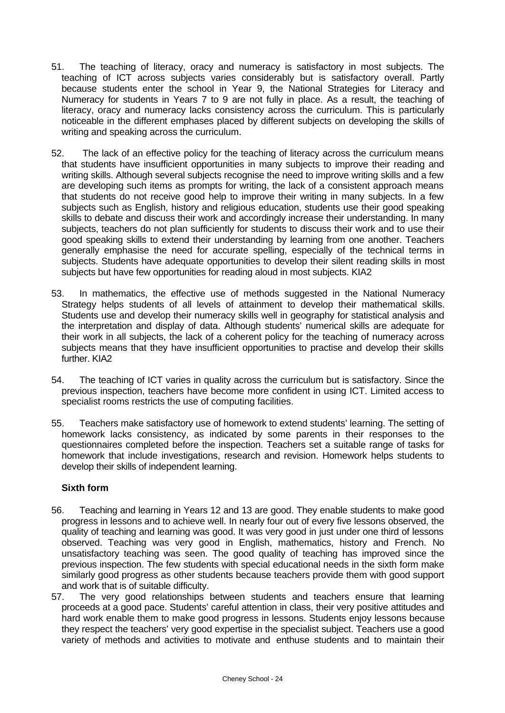- 51. The teaching of literacy, oracy and numeracy is satisfactory in most subjects. The teaching of ICT across subjects varies considerably but is satisfactory overall. Partly because students enter the school in Year 9, the National Strategies for Literacy and Numeracy for students in Years 7 to 9 are not fully in place. As a result, the teaching of literacy, oracy and numeracy lacks consistency across the curriculum. This is particularly noticeable in the different emphases placed by different subjects on developing the skills of writing and speaking across the curriculum.
- 52. The lack of an effective policy for the teaching of literacy across the curriculum means that students have insufficient opportunities in many subjects to improve their reading and writing skills. Although several subjects recognise the need to improve writing skills and a few are developing such items as prompts for writing, the lack of a consistent approach means that students do not receive good help to improve their writing in many subjects. In a few subjects such as English, history and religious education, students use their good speaking skills to debate and discuss their work and accordingly increase their understanding. In many subjects, teachers do not plan sufficiently for students to discuss their work and to use their good speaking skills to extend their understanding by learning from one another. Teachers generally emphasise the need for accurate spelling, especially of the technical terms in subjects. Students have adequate opportunities to develop their silent reading skills in most subjects but have few opportunities for reading aloud in most subjects. KIA2
- 53. In mathematics, the effective use of methods suggested in the National Numeracy Strategy helps students of all levels of attainment to develop their mathematical skills. Students use and develop their numeracy skills well in geography for statistical analysis and the interpretation and display of data. Although students' numerical skills are adequate for their work in all subjects, the lack of a coherent policy for the teaching of numeracy across subjects means that they have insufficient opportunities to practise and develop their skills further. KIA2
- 54. The teaching of ICT varies in quality across the curriculum but is satisfactory. Since the previous inspection, teachers have become more confident in using ICT. Limited access to specialist rooms restricts the use of computing facilities.
- 55. Teachers make satisfactory use of homework to extend students' learning. The setting of homework lacks consistency, as indicated by some parents in their responses to the questionnaires completed before the inspection. Teachers set a suitable range of tasks for homework that include investigations, research and revision. Homework helps students to develop their skills of independent learning.

### **Sixth form**

- 56. Teaching and learning in Years 12 and 13 are good. They enable students to make good progress in lessons and to achieve well. In nearly four out of every five lessons observed, the quality of teaching and learning was good. It was very good in just under one third of lessons observed. Teaching was very good in English, mathematics, history and French. No unsatisfactory teaching was seen. The good quality of teaching has improved since the previous inspection. The few students with special educational needs in the sixth form make similarly good progress as other students because teachers provide them with good support and work that is of suitable difficulty.
- 57. The very good relationships between students and teachers ensure that learning proceeds at a good pace. Students' careful attention in class, their very positive attitudes and hard work enable them to make good progress in lessons. Students enjoy lessons because they respect the teachers' very good expertise in the specialist subject. Teachers use a good variety of methods and activities to motivate and enthuse students and to maintain their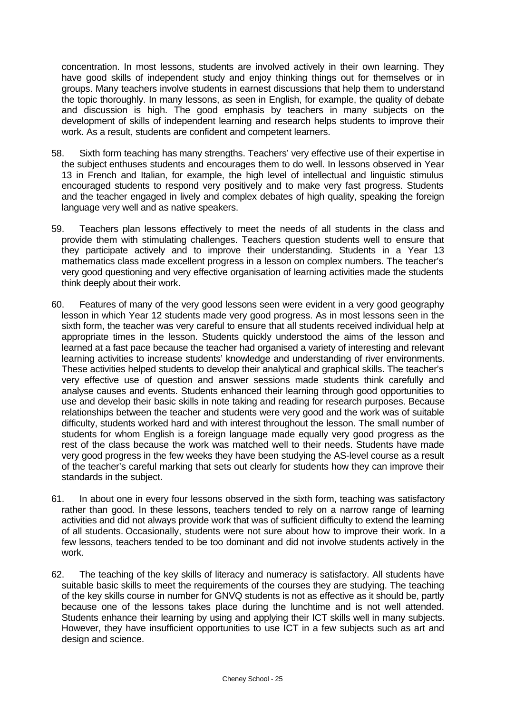concentration. In most lessons, students are involved actively in their own learning. They have good skills of independent study and enjoy thinking things out for themselves or in groups. Many teachers involve students in earnest discussions that help them to understand the topic thoroughly. In many lessons, as seen in English, for example, the quality of debate and discussion is high. The good emphasis by teachers in many subjects on the development of skills of independent learning and research helps students to improve their work. As a result, students are confident and competent learners.

- 58. Sixth form teaching has many strengths. Teachers' very effective use of their expertise in the subject enthuses students and encourages them to do well. In lessons observed in Year 13 in French and Italian, for example, the high level of intellectual and linguistic stimulus encouraged students to respond very positively and to make very fast progress. Students and the teacher engaged in lively and complex debates of high quality, speaking the foreign language very well and as native speakers.
- 59. Teachers plan lessons effectively to meet the needs of all students in the class and provide them with stimulating challenges. Teachers question students well to ensure that they participate actively and to improve their understanding. Students in a Year 13 mathematics class made excellent progress in a lesson on complex numbers. The teacher's very good questioning and very effective organisation of learning activities made the students think deeply about their work.
- 60. Features of many of the very good lessons seen were evident in a very good geography lesson in which Year 12 students made very good progress. As in most lessons seen in the sixth form, the teacher was very careful to ensure that all students received individual help at appropriate times in the lesson. Students quickly understood the aims of the lesson and learned at a fast pace because the teacher had organised a variety of interesting and relevant learning activities to increase students' knowledge and understanding of river environments. These activities helped students to develop their analytical and graphical skills. The teacher's very effective use of question and answer sessions made students think carefully and analyse causes and events. Students enhanced their learning through good opportunities to use and develop their basic skills in note taking and reading for research purposes. Because relationships between the teacher and students were very good and the work was of suitable difficulty, students worked hard and with interest throughout the lesson. The small number of students for whom English is a foreign language made equally very good progress as the rest of the class because the work was matched well to their needs. Students have made very good progress in the few weeks they have been studying the AS-level course as a result of the teacher's careful marking that sets out clearly for students how they can improve their standards in the subject.
- 61. In about one in every four lessons observed in the sixth form, teaching was satisfactory rather than good. In these lessons, teachers tended to rely on a narrow range of learning activities and did not always provide work that was of sufficient difficulty to extend the learning of all students. Occasionally, students were not sure about how to improve their work. In a few lessons, teachers tended to be too dominant and did not involve students actively in the work.
- 62. The teaching of the key skills of literacy and numeracy is satisfactory. All students have suitable basic skills to meet the requirements of the courses they are studying. The teaching of the key skills course in number for GNVQ students is not as effective as it should be, partly because one of the lessons takes place during the lunchtime and is not well attended. Students enhance their learning by using and applying their ICT skills well in many subjects. However, they have insufficient opportunities to use ICT in a few subjects such as art and design and science.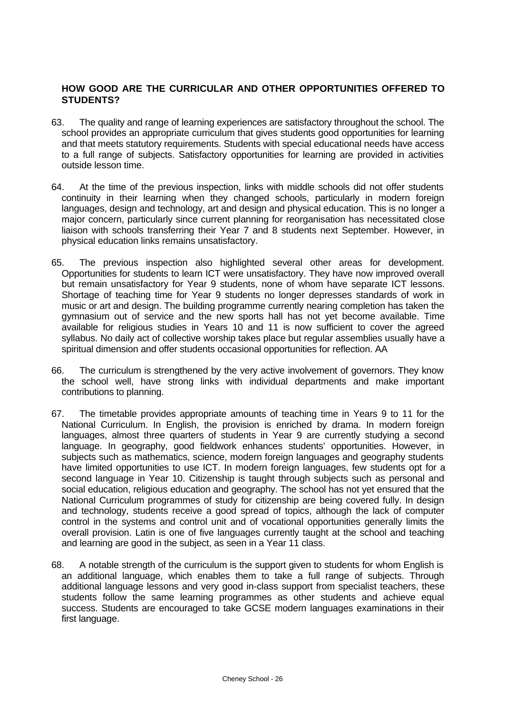### **HOW GOOD ARE THE CURRICULAR AND OTHER OPPORTUNITIES OFFERED TO STUDENTS?**

- 63. The quality and range of learning experiences are satisfactory throughout the school. The school provides an appropriate curriculum that gives students good opportunities for learning and that meets statutory requirements. Students with special educational needs have access to a full range of subjects. Satisfactory opportunities for learning are provided in activities outside lesson time.
- 64. At the time of the previous inspection, links with middle schools did not offer students continuity in their learning when they changed schools, particularly in modern foreign languages, design and technology, art and design and physical education. This is no longer a major concern, particularly since current planning for reorganisation has necessitated close liaison with schools transferring their Year 7 and 8 students next September. However, in physical education links remains unsatisfactory.
- 65. The previous inspection also highlighted several other areas for development. Opportunities for students to learn ICT were unsatisfactory. They have now improved overall but remain unsatisfactory for Year 9 students, none of whom have separate ICT lessons. Shortage of teaching time for Year 9 students no longer depresses standards of work in music or art and design. The building programme currently nearing completion has taken the gymnasium out of service and the new sports hall has not yet become available. Time available for religious studies in Years 10 and 11 is now sufficient to cover the agreed syllabus. No daily act of collective worship takes place but regular assemblies usually have a spiritual dimension and offer students occasional opportunities for reflection. AA
- 66. The curriculum is strengthened by the very active involvement of governors. They know the school well, have strong links with individual departments and make important contributions to planning.
- 67. The timetable provides appropriate amounts of teaching time in Years 9 to 11 for the National Curriculum. In English, the provision is enriched by drama. In modern foreign languages, almost three quarters of students in Year 9 are currently studying a second language. In geography, good fieldwork enhances students' opportunities. However, in subjects such as mathematics, science, modern foreign languages and geography students have limited opportunities to use ICT. In modern foreign languages, few students opt for a second language in Year 10. Citizenship is taught through subjects such as personal and social education, religious education and geography. The school has not yet ensured that the National Curriculum programmes of study for citizenship are being covered fully. In design and technology, students receive a good spread of topics, although the lack of computer control in the systems and control unit and of vocational opportunities generally limits the overall provision. Latin is one of five languages currently taught at the school and teaching and learning are good in the subject, as seen in a Year 11 class.
- 68. A notable strength of the curriculum is the support given to students for whom English is an additional language, which enables them to take a full range of subjects. Through additional language lessons and very good in-class support from specialist teachers, these students follow the same learning programmes as other students and achieve equal success. Students are encouraged to take GCSE modern languages examinations in their first language.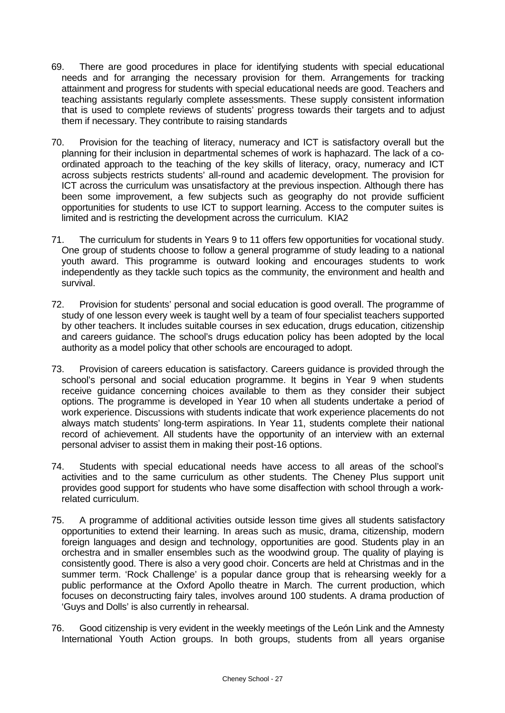- 69. There are good procedures in place for identifying students with special educational needs and for arranging the necessary provision for them. Arrangements for tracking attainment and progress for students with special educational needs are good. Teachers and teaching assistants regularly complete assessments. These supply consistent information that is used to complete reviews of students' progress towards their targets and to adjust them if necessary. They contribute to raising standards
- 70. Provision for the teaching of literacy, numeracy and ICT is satisfactory overall but the planning for their inclusion in departmental schemes of work is haphazard. The lack of a coordinated approach to the teaching of the key skills of literacy, oracy, numeracy and ICT across subjects restricts students' all-round and academic development. The provision for ICT across the curriculum was unsatisfactory at the previous inspection. Although there has been some improvement, a few subjects such as geography do not provide sufficient opportunities for students to use ICT to support learning. Access to the computer suites is limited and is restricting the development across the curriculum. KIA2
- 71. The curriculum for students in Years 9 to 11 offers few opportunities for vocational study. One group of students choose to follow a general programme of study leading to a national youth award. This programme is outward looking and encourages students to work independently as they tackle such topics as the community, the environment and health and survival.
- 72. Provision for students' personal and social education is good overall. The programme of study of one lesson every week is taught well by a team of four specialist teachers supported by other teachers. It includes suitable courses in sex education, drugs education, citizenship and careers guidance. The school's drugs education policy has been adopted by the local authority as a model policy that other schools are encouraged to adopt.
- 73. Provision of careers education is satisfactory. Careers guidance is provided through the school's personal and social education programme. It begins in Year 9 when students receive guidance concerning choices available to them as they consider their subject options. The programme is developed in Year 10 when all students undertake a period of work experience. Discussions with students indicate that work experience placements do not always match students' long-term aspirations. In Year 11, students complete their national record of achievement. All students have the opportunity of an interview with an external personal adviser to assist them in making their post-16 options.
- 74. Students with special educational needs have access to all areas of the school's activities and to the same curriculum as other students. The Cheney Plus support unit provides good support for students who have some disaffection with school through a workrelated curriculum.
- 75. A programme of additional activities outside lesson time gives all students satisfactory opportunities to extend their learning. In areas such as music, drama, citizenship, modern foreign languages and design and technology, opportunities are good. Students play in an orchestra and in smaller ensembles such as the woodwind group. The quality of playing is consistently good. There is also a very good choir. Concerts are held at Christmas and in the summer term. 'Rock Challenge' is a popular dance group that is rehearsing weekly for a public performance at the Oxford Apollo theatre in March. The current production, which focuses on deconstructing fairy tales, involves around 100 students. A drama production of 'Guys and Dolls' is also currently in rehearsal.
- 76. Good citizenship is very evident in the weekly meetings of the León Link and the Amnesty International Youth Action groups. In both groups, students from all years organise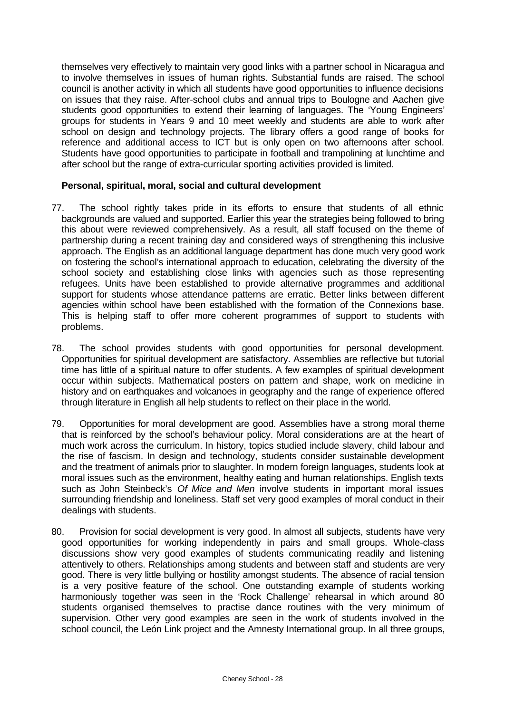themselves very effectively to maintain very good links with a partner school in Nicaragua and to involve themselves in issues of human rights. Substantial funds are raised. The school council is another activity in which all students have good opportunities to influence decisions on issues that they raise. After-school clubs and annual trips to Boulogne and Aachen give students good opportunities to extend their learning of languages. The 'Young Engineers' groups for students in Years 9 and 10 meet weekly and students are able to work after school on design and technology projects. The library offers a good range of books for reference and additional access to ICT but is only open on two afternoons after school. Students have good opportunities to participate in football and trampolining at lunchtime and after school but the range of extra-curricular sporting activities provided is limited.

#### **Personal, spiritual, moral, social and cultural development**

- 77. The school rightly takes pride in its efforts to ensure that students of all ethnic backgrounds are valued and supported. Earlier this year the strategies being followed to bring this about were reviewed comprehensively. As a result, all staff focused on the theme of partnership during a recent training day and considered ways of strengthening this inclusive approach. The English as an additional language department has done much very good work on fostering the school's international approach to education, celebrating the diversity of the school society and establishing close links with agencies such as those representing refugees. Units have been established to provide alternative programmes and additional support for students whose attendance patterns are erratic. Better links between different agencies within school have been established with the formation of the Connexions base. This is helping staff to offer more coherent programmes of support to students with problems.
- 78. The school provides students with good opportunities for personal development. Opportunities for spiritual development are satisfactory. Assemblies are reflective but tutorial time has little of a spiritual nature to offer students. A few examples of spiritual development occur within subjects. Mathematical posters on pattern and shape, work on medicine in history and on earthquakes and volcanoes in geography and the range of experience offered through literature in English all help students to reflect on their place in the world.
- 79. Opportunities for moral development are good. Assemblies have a strong moral theme that is reinforced by the school's behaviour policy. Moral considerations are at the heart of much work across the curriculum. In history, topics studied include slavery, child labour and the rise of fascism. In design and technology, students consider sustainable development and the treatment of animals prior to slaughter. In modern foreign languages, students look at moral issues such as the environment, healthy eating and human relationships. English texts such as John Steinbeck's *Of Mice and Men* involve students in important moral issues surrounding friendship and loneliness. Staff set very good examples of moral conduct in their dealings with students.
- 80. Provision for social development is very good. In almost all subjects, students have very good opportunities for working independently in pairs and small groups. Whole-class discussions show very good examples of students communicating readily and listening attentively to others. Relationships among students and between staff and students are very good. There is very little bullying or hostility amongst students. The absence of racial tension is a very positive feature of the school. One outstanding example of students working harmoniously together was seen in the 'Rock Challenge' rehearsal in which around 80 students organised themselves to practise dance routines with the very minimum of supervision. Other very good examples are seen in the work of students involved in the school council, the León Link project and the Amnesty International group. In all three groups,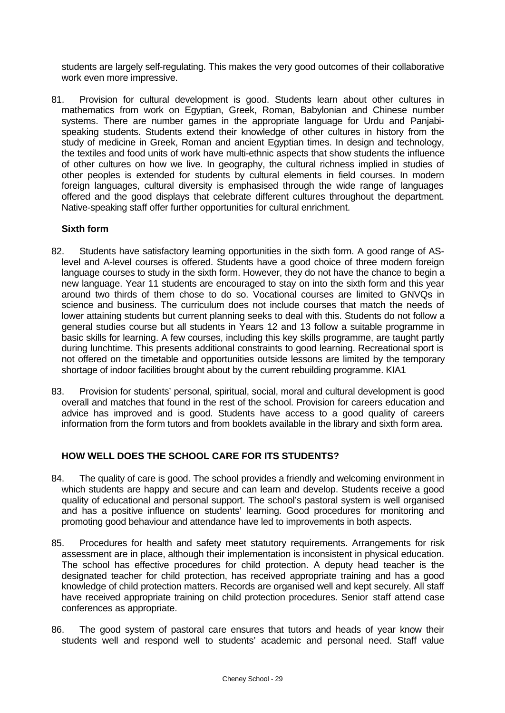students are largely self-regulating. This makes the very good outcomes of their collaborative work even more impressive.

81. Provision for cultural development is good. Students learn about other cultures in mathematics from work on Egyptian, Greek, Roman, Babylonian and Chinese number systems. There are number games in the appropriate language for Urdu and Panjabispeaking students. Students extend their knowledge of other cultures in history from the study of medicine in Greek, Roman and ancient Egyptian times. In design and technology, the textiles and food units of work have multi-ethnic aspects that show students the influence of other cultures on how we live. In geography, the cultural richness implied in studies of other peoples is extended for students by cultural elements in field courses. In modern foreign languages, cultural diversity is emphasised through the wide range of languages offered and the good displays that celebrate different cultures throughout the department. Native-speaking staff offer further opportunities for cultural enrichment.

#### **Sixth form**

- 82. Students have satisfactory learning opportunities in the sixth form. A good range of ASlevel and A-level courses is offered. Students have a good choice of three modern foreign language courses to study in the sixth form. However, they do not have the chance to begin a new language. Year 11 students are encouraged to stay on into the sixth form and this year around two thirds of them chose to do so. Vocational courses are limited to GNVQs in science and business. The curriculum does not include courses that match the needs of lower attaining students but current planning seeks to deal with this. Students do not follow a general studies course but all students in Years 12 and 13 follow a suitable programme in basic skills for learning. A few courses, including this key skills programme, are taught partly during lunchtime. This presents additional constraints to good learning. Recreational sport is not offered on the timetable and opportunities outside lessons are limited by the temporary shortage of indoor facilities brought about by the current rebuilding programme. KIA1
- 83. Provision for students' personal, spiritual, social, moral and cultural development is good overall and matches that found in the rest of the school. Provision for careers education and advice has improved and is good. Students have access to a good quality of careers information from the form tutors and from booklets available in the library and sixth form area.

### **HOW WELL DOES THE SCHOOL CARE FOR ITS STUDENTS?**

- 84. The quality of care is good. The school provides a friendly and welcoming environment in which students are happy and secure and can learn and develop. Students receive a good quality of educational and personal support. The school's pastoral system is well organised and has a positive influence on students' learning. Good procedures for monitoring and promoting good behaviour and attendance have led to improvements in both aspects.
- 85. Procedures for health and safety meet statutory requirements. Arrangements for risk assessment are in place, although their implementation is inconsistent in physical education. The school has effective procedures for child protection. A deputy head teacher is the designated teacher for child protection, has received appropriate training and has a good knowledge of child protection matters. Records are organised well and kept securely. All staff have received appropriate training on child protection procedures. Senior staff attend case conferences as appropriate.
- 86. The good system of pastoral care ensures that tutors and heads of year know their students well and respond well to students' academic and personal need. Staff value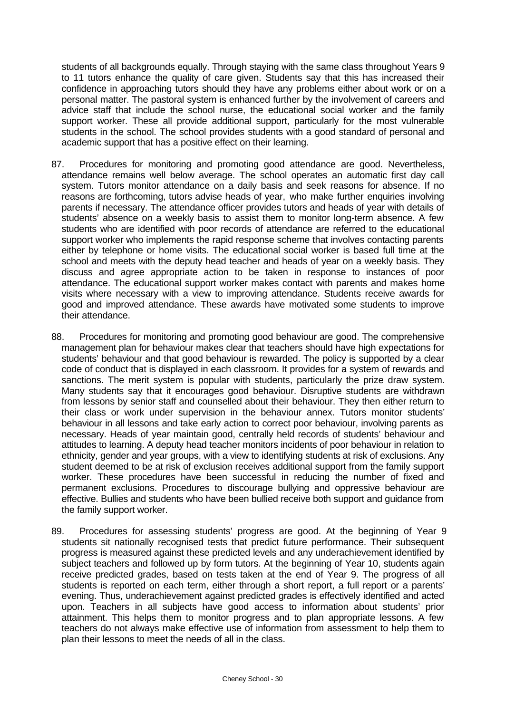students of all backgrounds equally. Through staying with the same class throughout Years 9 to 11 tutors enhance the quality of care given. Students say that this has increased their confidence in approaching tutors should they have any problems either about work or on a personal matter. The pastoral system is enhanced further by the involvement of careers and advice staff that include the school nurse, the educational social worker and the family support worker. These all provide additional support, particularly for the most vulnerable students in the school. The school provides students with a good standard of personal and academic support that has a positive effect on their learning.

- 87. Procedures for monitoring and promoting good attendance are good. Nevertheless, attendance remains well below average. The school operates an automatic first day call system. Tutors monitor attendance on a daily basis and seek reasons for absence. If no reasons are forthcoming, tutors advise heads of year, who make further enquiries involving parents if necessary. The attendance officer provides tutors and heads of year with details of students' absence on a weekly basis to assist them to monitor long-term absence. A few students who are identified with poor records of attendance are referred to the educational support worker who implements the rapid response scheme that involves contacting parents either by telephone or home visits. The educational social worker is based full time at the school and meets with the deputy head teacher and heads of year on a weekly basis. They discuss and agree appropriate action to be taken in response to instances of poor attendance. The educational support worker makes contact with parents and makes home visits where necessary with a view to improving attendance. Students receive awards for good and improved attendance. These awards have motivated some students to improve their attendance.
- 88. Procedures for monitoring and promoting good behaviour are good. The comprehensive management plan for behaviour makes clear that teachers should have high expectations for students' behaviour and that good behaviour is rewarded. The policy is supported by a clear code of conduct that is displayed in each classroom. It provides for a system of rewards and sanctions. The merit system is popular with students, particularly the prize draw system. Many students say that it encourages good behaviour. Disruptive students are withdrawn from lessons by senior staff and counselled about their behaviour. They then either return to their class or work under supervision in the behaviour annex. Tutors monitor students' behaviour in all lessons and take early action to correct poor behaviour, involving parents as necessary. Heads of year maintain good, centrally held records of students' behaviour and attitudes to learning. A deputy head teacher monitors incidents of poor behaviour in relation to ethnicity, gender and year groups, with a view to identifying students at risk of exclusions. Any student deemed to be at risk of exclusion receives additional support from the family support worker. These procedures have been successful in reducing the number of fixed and permanent exclusions. Procedures to discourage bullying and oppressive behaviour are effective. Bullies and students who have been bullied receive both support and guidance from the family support worker.
- 89. Procedures for assessing students' progress are good. At the beginning of Year 9 students sit nationally recognised tests that predict future performance. Their subsequent progress is measured against these predicted levels and any underachievement identified by subject teachers and followed up by form tutors. At the beginning of Year 10, students again receive predicted grades, based on tests taken at the end of Year 9. The progress of all students is reported on each term, either through a short report, a full report or a parents' evening. Thus, underachievement against predicted grades is effectively identified and acted upon. Teachers in all subjects have good access to information about students' prior attainment. This helps them to monitor progress and to plan appropriate lessons. A few teachers do not always make effective use of information from assessment to help them to plan their lessons to meet the needs of all in the class.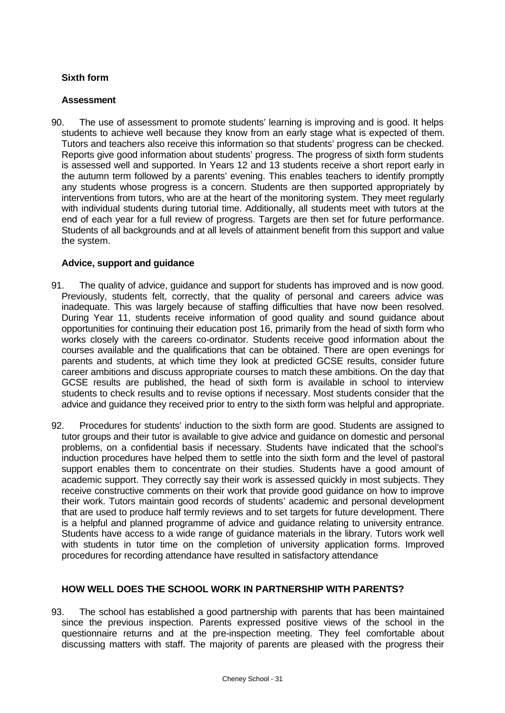# **Sixth form**

### **Assessment**

90. The use of assessment to promote students' learning is improving and is good. It helps students to achieve well because they know from an early stage what is expected of them. Tutors and teachers also receive this information so that students' progress can be checked. Reports give good information about students' progress. The progress of sixth form students is assessed well and supported. In Years 12 and 13 students receive a short report early in the autumn term followed by a parents' evening. This enables teachers to identify promptly any students whose progress is a concern. Students are then supported appropriately by interventions from tutors, who are at the heart of the monitoring system. They meet regularly with individual students during tutorial time. Additionally, all students meet with tutors at the end of each year for a full review of progress. Targets are then set for future performance. Students of all backgrounds and at all levels of attainment benefit from this support and value the system.

# **Advice, support and guidance**

- 91. The quality of advice, guidance and support for students has improved and is now good. Previously, students felt, correctly, that the quality of personal and careers advice was inadequate. This was largely because of staffing difficulties that have now been resolved. During Year 11, students receive information of good quality and sound guidance about opportunities for continuing their education post 16, primarily from the head of sixth form who works closely with the careers co-ordinator. Students receive good information about the courses available and the qualifications that can be obtained. There are open evenings for parents and students, at which time they look at predicted GCSE results, consider future career ambitions and discuss appropriate courses to match these ambitions. On the day that GCSE results are published, the head of sixth form is available in school to interview students to check results and to revise options if necessary. Most students consider that the advice and guidance they received prior to entry to the sixth form was helpful and appropriate.
- 92. Procedures for students' induction to the sixth form are good. Students are assigned to tutor groups and their tutor is available to give advice and guidance on domestic and personal problems, on a confidential basis if necessary. Students have indicated that the school's induction procedures have helped them to settle into the sixth form and the level of pastoral support enables them to concentrate on their studies. Students have a good amount of academic support. They correctly say their work is assessed quickly in most subjects. They receive constructive comments on their work that provide good guidance on how to improve their work. Tutors maintain good records of students' academic and personal development that are used to produce half termly reviews and to set targets for future development. There is a helpful and planned programme of advice and guidance relating to university entrance. Students have access to a wide range of guidance materials in the library. Tutors work well with students in tutor time on the completion of university application forms. Improved procedures for recording attendance have resulted in satisfactory attendance

### **HOW WELL DOES THE SCHOOL WORK IN PARTNERSHIP WITH PARENTS?**

93. The school has established a good partnership with parents that has been maintained since the previous inspection. Parents expressed positive views of the school in the questionnaire returns and at the pre-inspection meeting. They feel comfortable about discussing matters with staff. The majority of parents are pleased with the progress their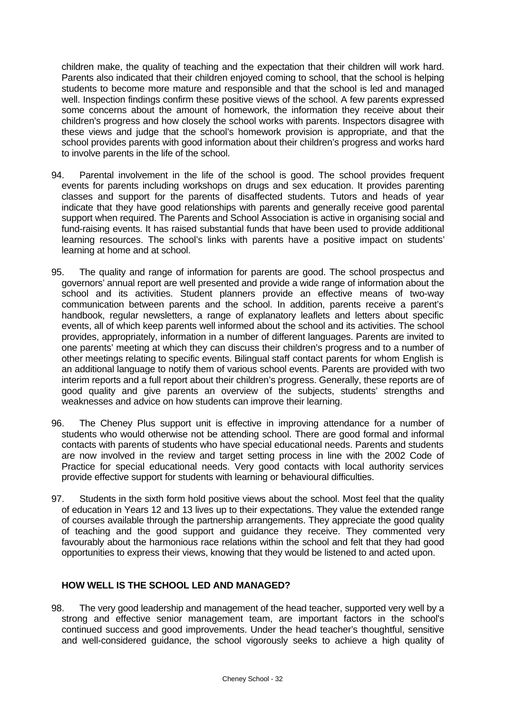children make, the quality of teaching and the expectation that their children will work hard. Parents also indicated that their children enjoyed coming to school, that the school is helping students to become more mature and responsible and that the school is led and managed well. Inspection findings confirm these positive views of the school. A few parents expressed some concerns about the amount of homework, the information they receive about their children's progress and how closely the school works with parents. Inspectors disagree with these views and judge that the school's homework provision is appropriate, and that the school provides parents with good information about their children's progress and works hard to involve parents in the life of the school.

- 94. Parental involvement in the life of the school is good. The school provides frequent events for parents including workshops on drugs and sex education. It provides parenting classes and support for the parents of disaffected students. Tutors and heads of year indicate that they have good relationships with parents and generally receive good parental support when required. The Parents and School Association is active in organising social and fund-raising events. It has raised substantial funds that have been used to provide additional learning resources. The school's links with parents have a positive impact on students' learning at home and at school.
- 95. The quality and range of information for parents are good. The school prospectus and governors' annual report are well presented and provide a wide range of information about the school and its activities. Student planners provide an effective means of two-way communication between parents and the school. In addition, parents receive a parent's handbook, regular newsletters, a range of explanatory leaflets and letters about specific events, all of which keep parents well informed about the school and its activities. The school provides, appropriately, information in a number of different languages. Parents are invited to one parents' meeting at which they can discuss their children's progress and to a number of other meetings relating to specific events. Bilingual staff contact parents for whom English is an additional language to notify them of various school events. Parents are provided with two interim reports and a full report about their children's progress. Generally, these reports are of good quality and give parents an overview of the subjects, students' strengths and weaknesses and advice on how students can improve their learning.
- 96. The Cheney Plus support unit is effective in improving attendance for a number of students who would otherwise not be attending school. There are good formal and informal contacts with parents of students who have special educational needs. Parents and students are now involved in the review and target setting process in line with the 2002 Code of Practice for special educational needs. Very good contacts with local authority services provide effective support for students with learning or behavioural difficulties.
- 97. Students in the sixth form hold positive views about the school. Most feel that the quality of education in Years 12 and 13 lives up to their expectations. They value the extended range of courses available through the partnership arrangements. They appreciate the good quality of teaching and the good support and guidance they receive. They commented very favourably about the harmonious race relations within the school and felt that they had good opportunities to express their views, knowing that they would be listened to and acted upon.

### **HOW WELL IS THE SCHOOL LED AND MANAGED?**

98. The very good leadership and management of the head teacher, supported very well by a strong and effective senior management team, are important factors in the school's continued success and good improvements. Under the head teacher's thoughtful, sensitive and well-considered guidance, the school vigorously seeks to achieve a high quality of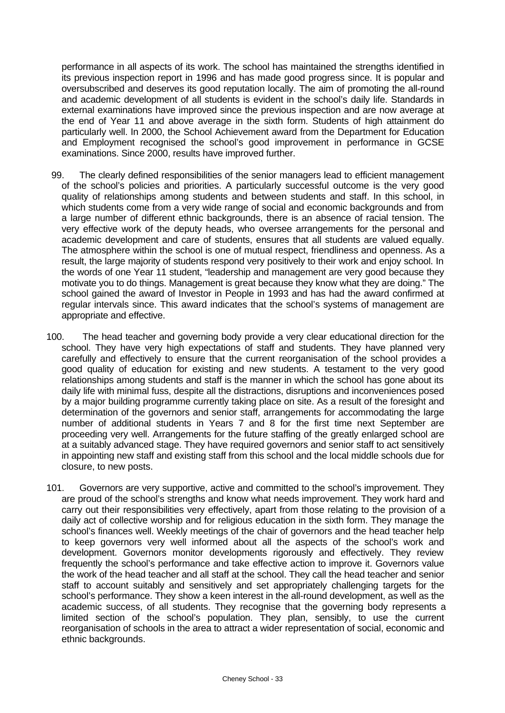performance in all aspects of its work. The school has maintained the strengths identified in its previous inspection report in 1996 and has made good progress since. It is popular and oversubscribed and deserves its good reputation locally. The aim of promoting the all-round and academic development of all students is evident in the school's daily life. Standards in external examinations have improved since the previous inspection and are now average at the end of Year 11 and above average in the sixth form. Students of high attainment do particularly well. In 2000, the School Achievement award from the Department for Education and Employment recognised the school's good improvement in performance in GCSE examinations. Since 2000, results have improved further.

- 99. The clearly defined responsibilities of the senior managers lead to efficient management of the school's policies and priorities. A particularly successful outcome is the very good quality of relationships among students and between students and staff. In this school, in which students come from a very wide range of social and economic backgrounds and from a large number of different ethnic backgrounds, there is an absence of racial tension. The very effective work of the deputy heads, who oversee arrangements for the personal and academic development and care of students, ensures that all students are valued equally. The atmosphere within the school is one of mutual respect, friendliness and openness. As a result, the large majority of students respond very positively to their work and enjoy school. In the words of one Year 11 student, "leadership and management are very good because they motivate you to do things. Management is great because they know what they are doing." The school gained the award of Investor in People in 1993 and has had the award confirmed at regular intervals since. This award indicates that the school's systems of management are appropriate and effective.
- 100. The head teacher and governing body provide a very clear educational direction for the school. They have very high expectations of staff and students. They have planned very carefully and effectively to ensure that the current reorganisation of the school provides a good quality of education for existing and new students. A testament to the very good relationships among students and staff is the manner in which the school has gone about its daily life with minimal fuss, despite all the distractions, disruptions and inconveniences posed by a major building programme currently taking place on site. As a result of the foresight and determination of the governors and senior staff, arrangements for accommodating the large number of additional students in Years 7 and 8 for the first time next September are proceeding very well. Arrangements for the future staffing of the greatly enlarged school are at a suitably advanced stage. They have required governors and senior staff to act sensitively in appointing new staff and existing staff from this school and the local middle schools due for closure, to new posts.
- 101. Governors are very supportive, active and committed to the school's improvement. They are proud of the school's strengths and know what needs improvement. They work hard and carry out their responsibilities very effectively, apart from those relating to the provision of a daily act of collective worship and for religious education in the sixth form. They manage the school's finances well. Weekly meetings of the chair of governors and the head teacher help to keep governors very well informed about all the aspects of the school's work and development. Governors monitor developments rigorously and effectively. They review frequently the school's performance and take effective action to improve it. Governors value the work of the head teacher and all staff at the school. They call the head teacher and senior staff to account suitably and sensitively and set appropriately challenging targets for the school's performance. They show a keen interest in the all-round development, as well as the academic success, of all students. They recognise that the governing body represents a limited section of the school's population. They plan, sensibly, to use the current reorganisation of schools in the area to attract a wider representation of social, economic and ethnic backgrounds.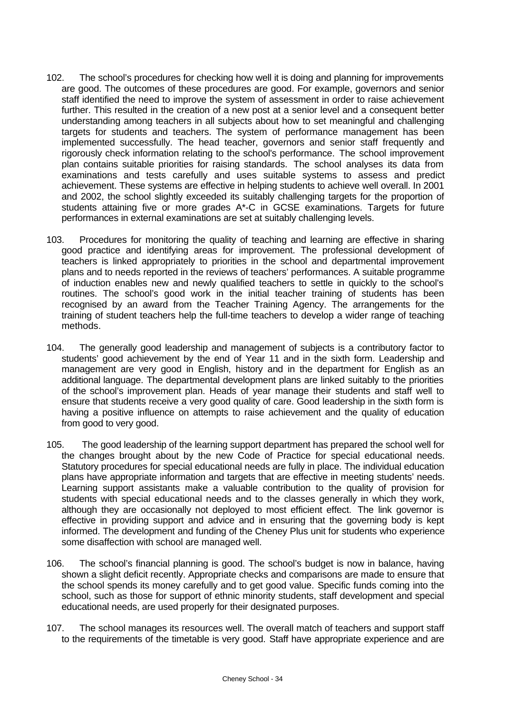- 102. The school's procedures for checking how well it is doing and planning for improvements are good. The outcomes of these procedures are good. For example, governors and senior staff identified the need to improve the system of assessment in order to raise achievement further. This resulted in the creation of a new post at a senior level and a consequent better understanding among teachers in all subjects about how to set meaningful and challenging targets for students and teachers. The system of performance management has been implemented successfully. The head teacher, governors and senior staff frequently and rigorously check information relating to the school's performance. The school improvement plan contains suitable priorities for raising standards. The school analyses its data from examinations and tests carefully and uses suitable systems to assess and predict achievement. These systems are effective in helping students to achieve well overall. In 2001 and 2002, the school slightly exceeded its suitably challenging targets for the proportion of students attaining five or more grades A\*-C in GCSE examinations. Targets for future performances in external examinations are set at suitably challenging levels.
- 103. Procedures for monitoring the quality of teaching and learning are effective in sharing good practice and identifying areas for improvement. The professional development of teachers is linked appropriately to priorities in the school and departmental improvement plans and to needs reported in the reviews of teachers' performances. A suitable programme of induction enables new and newly qualified teachers to settle in quickly to the school's routines. The school's good work in the initial teacher training of students has been recognised by an award from the Teacher Training Agency. The arrangements for the training of student teachers help the full-time teachers to develop a wider range of teaching methods.
- 104. The generally good leadership and management of subjects is a contributory factor to students' good achievement by the end of Year 11 and in the sixth form. Leadership and management are very good in English, history and in the department for English as an additional language. The departmental development plans are linked suitably to the priorities of the school's improvement plan. Heads of year manage their students and staff well to ensure that students receive a very good quality of care. Good leadership in the sixth form is having a positive influence on attempts to raise achievement and the quality of education from good to very good.
- 105. The good leadership of the learning support department has prepared the school well for the changes brought about by the new Code of Practice for special educational needs. Statutory procedures for special educational needs are fully in place. The individual education plans have appropriate information and targets that are effective in meeting students' needs. Learning support assistants make a valuable contribution to the quality of provision for students with special educational needs and to the classes generally in which they work, although they are occasionally not deployed to most efficient effect. The link governor is effective in providing support and advice and in ensuring that the governing body is kept informed. The development and funding of the Cheney Plus unit for students who experience some disaffection with school are managed well.
- 106. The school's financial planning is good. The school's budget is now in balance, having shown a slight deficit recently. Appropriate checks and comparisons are made to ensure that the school spends its money carefully and to get good value. Specific funds coming into the school, such as those for support of ethnic minority students, staff development and special educational needs, are used properly for their designated purposes.
- 107. The school manages its resources well. The overall match of teachers and support staff to the requirements of the timetable is very good. Staff have appropriate experience and are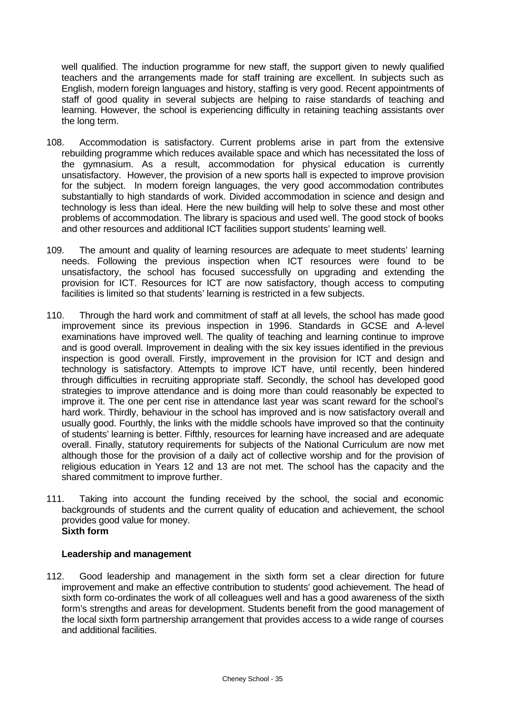well qualified. The induction programme for new staff, the support given to newly qualified teachers and the arrangements made for staff training are excellent. In subjects such as English, modern foreign languages and history, staffing is very good. Recent appointments of staff of good quality in several subjects are helping to raise standards of teaching and learning. However, the school is experiencing difficulty in retaining teaching assistants over the long term.

- 108. Accommodation is satisfactory. Current problems arise in part from the extensive rebuilding programme which reduces available space and which has necessitated the loss of the gymnasium. As a result, accommodation for physical education is currently unsatisfactory. However, the provision of a new sports hall is expected to improve provision for the subject. In modern foreign languages, the very good accommodation contributes substantially to high standards of work. Divided accommodation in science and design and technology is less than ideal. Here the new building will help to solve these and most other problems of accommodation. The library is spacious and used well. The good stock of books and other resources and additional ICT facilities support students' learning well.
- 109. The amount and quality of learning resources are adequate to meet students' learning needs. Following the previous inspection when ICT resources were found to be unsatisfactory, the school has focused successfully on upgrading and extending the provision for ICT. Resources for ICT are now satisfactory, though access to computing facilities is limited so that students' learning is restricted in a few subjects.
- 110. Through the hard work and commitment of staff at all levels, the school has made good improvement since its previous inspection in 1996. Standards in GCSE and A-level examinations have improved well. The quality of teaching and learning continue to improve and is good overall. Improvement in dealing with the six key issues identified in the previous inspection is good overall. Firstly, improvement in the provision for ICT and design and technology is satisfactory. Attempts to improve ICT have, until recently, been hindered through difficulties in recruiting appropriate staff. Secondly, the school has developed good strategies to improve attendance and is doing more than could reasonably be expected to improve it. The one per cent rise in attendance last year was scant reward for the school's hard work. Thirdly, behaviour in the school has improved and is now satisfactory overall and usually good. Fourthly, the links with the middle schools have improved so that the continuity of students' learning is better. Fifthly, resources for learning have increased and are adequate overall. Finally, statutory requirements for subjects of the National Curriculum are now met although those for the provision of a daily act of collective worship and for the provision of religious education in Years 12 and 13 are not met. The school has the capacity and the shared commitment to improve further.
- 111. Taking into account the funding received by the school, the social and economic backgrounds of students and the current quality of education and achievement, the school provides good value for money. **Sixth form**

### **Leadership and management**

112. Good leadership and management in the sixth form set a clear direction for future improvement and make an effective contribution to students' good achievement. The head of sixth form co-ordinates the work of all colleagues well and has a good awareness of the sixth form's strengths and areas for development. Students benefit from the good management of the local sixth form partnership arrangement that provides access to a wide range of courses and additional facilities.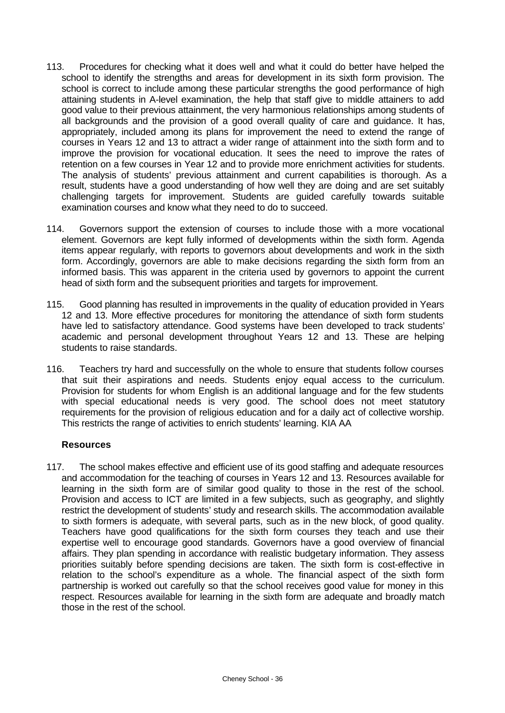- 113. Procedures for checking what it does well and what it could do better have helped the school to identify the strengths and areas for development in its sixth form provision. The school is correct to include among these particular strengths the good performance of high attaining students in A-level examination, the help that staff give to middle attainers to add good value to their previous attainment, the very harmonious relationships among students of all backgrounds and the provision of a good overall quality of care and guidance. It has, appropriately, included among its plans for improvement the need to extend the range of courses in Years 12 and 13 to attract a wider range of attainment into the sixth form and to improve the provision for vocational education. It sees the need to improve the rates of retention on a few courses in Year 12 and to provide more enrichment activities for students. The analysis of students' previous attainment and current capabilities is thorough. As a result, students have a good understanding of how well they are doing and are set suitably challenging targets for improvement. Students are guided carefully towards suitable examination courses and know what they need to do to succeed.
- 114. Governors support the extension of courses to include those with a more vocational element. Governors are kept fully informed of developments within the sixth form. Agenda items appear regularly, with reports to governors about developments and work in the sixth form. Accordingly, governors are able to make decisions regarding the sixth form from an informed basis. This was apparent in the criteria used by governors to appoint the current head of sixth form and the subsequent priorities and targets for improvement.
- 115. Good planning has resulted in improvements in the quality of education provided in Years 12 and 13. More effective procedures for monitoring the attendance of sixth form students have led to satisfactory attendance. Good systems have been developed to track students' academic and personal development throughout Years 12 and 13. These are helping students to raise standards.
- 116. Teachers try hard and successfully on the whole to ensure that students follow courses that suit their aspirations and needs. Students enjoy equal access to the curriculum. Provision for students for whom English is an additional language and for the few students with special educational needs is very good. The school does not meet statutory requirements for the provision of religious education and for a daily act of collective worship. This restricts the range of activities to enrich students' learning. KIA AA

### **Resources**

117. The school makes effective and efficient use of its good staffing and adequate resources and accommodation for the teaching of courses in Years 12 and 13. Resources available for learning in the sixth form are of similar good quality to those in the rest of the school. Provision and access to ICT are limited in a few subjects, such as geography, and slightly restrict the development of students' study and research skills. The accommodation available to sixth formers is adequate, with several parts, such as in the new block, of good quality. Teachers have good qualifications for the sixth form courses they teach and use their expertise well to encourage good standards. Governors have a good overview of financial affairs. They plan spending in accordance with realistic budgetary information. They assess priorities suitably before spending decisions are taken. The sixth form is cost-effective in relation to the school's expenditure as a whole. The financial aspect of the sixth form partnership is worked out carefully so that the school receives good value for money in this respect. Resources available for learning in the sixth form are adequate and broadly match those in the rest of the school.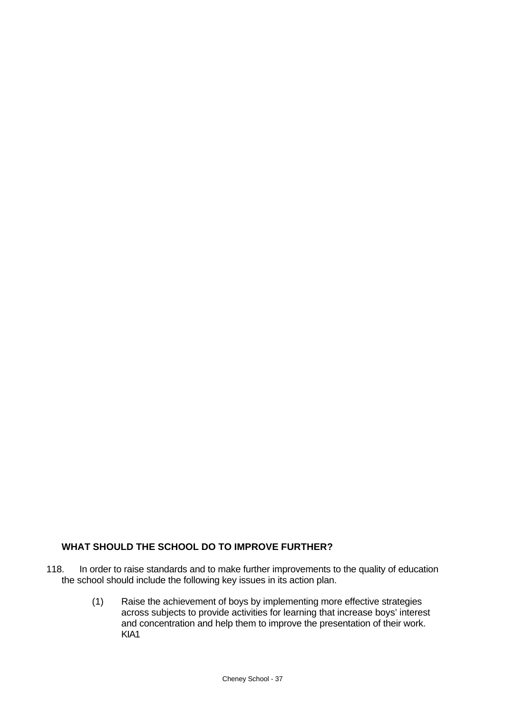# **WHAT SHOULD THE SCHOOL DO TO IMPROVE FURTHER?**

- 118. In order to raise standards and to make further improvements to the quality of education the school should include the following key issues in its action plan.
	- (1) Raise the achievement of boys by implementing more effective strategies across subjects to provide activities for learning that increase boys' interest and concentration and help them to improve the presentation of their work. KIA1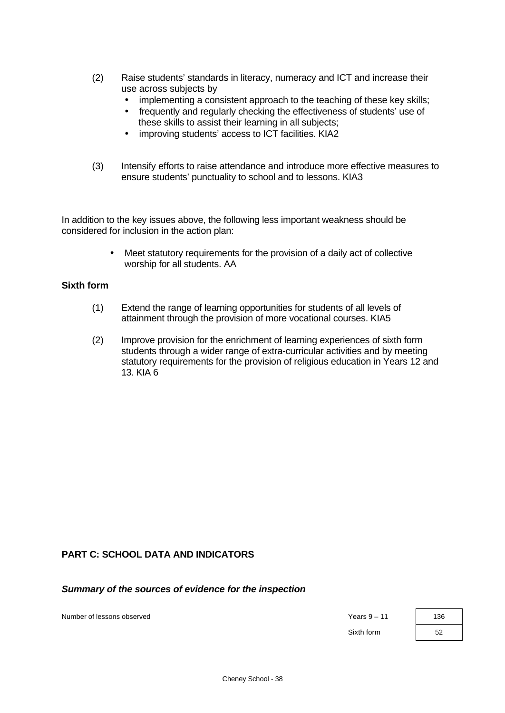- (2) Raise students' standards in literacy, numeracy and ICT and increase their use across subjects by
	- implementing a consistent approach to the teaching of these key skills;
	- frequently and regularly checking the effectiveness of students' use of these skills to assist their learning in all subjects;
	- improving students' access to ICT facilities. KIA2
- (3) Intensify efforts to raise attendance and introduce more effective measures to ensure students' punctuality to school and to lessons. KIA3

In addition to the key issues above, the following less important weakness should be considered for inclusion in the action plan:

> • Meet statutory requirements for the provision of a daily act of collective worship for all students. AA

## **Sixth form**

- (1) Extend the range of learning opportunities for students of all levels of attainment through the provision of more vocational courses. KIA5
- (2) Improve provision for the enrichment of learning experiences of sixth form students through a wider range of extra-curricular activities and by meeting statutory requirements for the provision of religious education in Years 12 and 13. KIA 6

# **PART C: SCHOOL DATA AND INDICATORS**

*Summary of the sources of evidence for the inspection*

Number of lessons observed **Years 9** – 11 136

Sixth form 52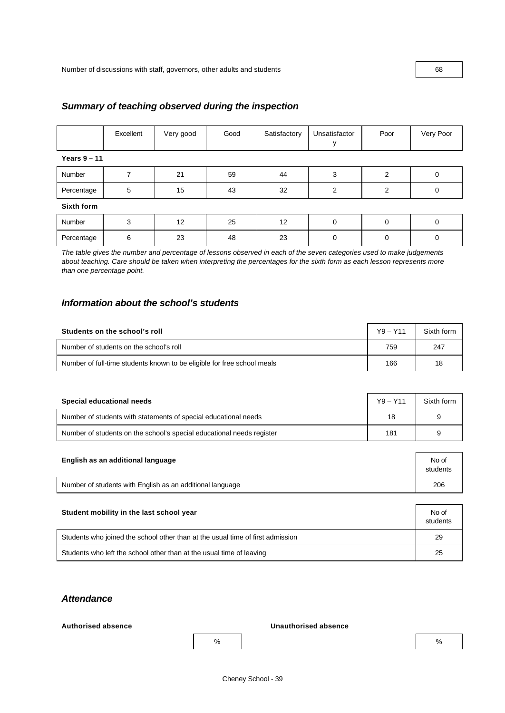# Excellent Very good Good Satisfactory Unsatisfactor y Poor Very Poor **Years 9 – 11** Number | 7 | 21 | 59 | 44 | 3 | 2 | 0 Percentage | 5 | 15 | 43 | 32 | 2 | 2 | 0 **Sixth form** Number | 3 | 12 | 25 | 12 | 0 | 0 | 0 Percentage | 6 | 23 | 48 | 23 | 0 | 0 | 0

*Summary of teaching observed during the inspection*

*The table gives the number and percentage of lessons observed in each of the seven categories used to make judgements about teaching. Care should be taken when interpreting the percentages for the sixth form as each lesson represents more than one percentage point.*

# *Information about the school's students*

| Students on the school's roll                                           | $Y9 - Y11$ | Sixth form |
|-------------------------------------------------------------------------|------------|------------|
| Number of students on the school's roll                                 | 759        | 247        |
| Number of full-time students known to be eligible for free school meals | 166        | 18         |

| Special educational needs                                             | $Y9 - Y11$ | Sixth form |
|-----------------------------------------------------------------------|------------|------------|
| Number of students with statements of special educational needs       | 18         | 9          |
| Number of students on the school's special educational needs register | 181        | 9          |

| English as an additional language                         | No of<br>students |
|-----------------------------------------------------------|-------------------|
| Number of students with English as an additional language | 206               |

| Student mobility in the last school year                                       |    |  |  |  |
|--------------------------------------------------------------------------------|----|--|--|--|
| Students who joined the school other than at the usual time of first admission | 29 |  |  |  |
| Students who left the school other than at the usual time of leaving           | 25 |  |  |  |

# *Attendance*

#### **Authorised absence Unauthorised absence**

 $\%$  % and  $\%$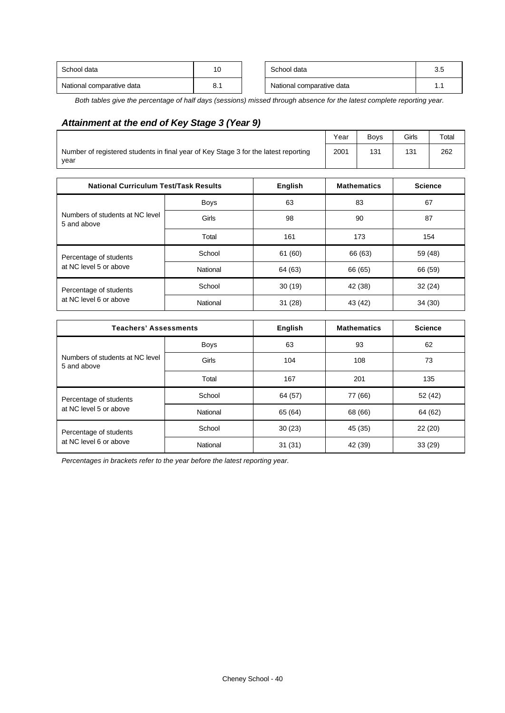| School data               | 10   | School data               | $\overline{\phantom{0}}$<br>◡.◡ |
|---------------------------|------|---------------------------|---------------------------------|
| National comparative data | o. . | National comparative data |                                 |

*Both tables give the percentage of half days (sessions) missed through absence for the latest complete reporting year.*

# *Attainment at the end of Key Stage 3 (Year 9)*

|                                                                                             |                                                |                | Year    | Boys               | Girls   | Total          |  |
|---------------------------------------------------------------------------------------------|------------------------------------------------|----------------|---------|--------------------|---------|----------------|--|
| Number of registered students in final year of Key Stage 3 for the latest reporting<br>year |                                                |                |         | 131                | 131     | 262            |  |
| <b>National Curriculum Test/Task Results</b>                                                |                                                | <b>English</b> |         | <b>Mathematics</b> |         | <b>Science</b> |  |
|                                                                                             | Boys                                           | 63             |         | 83                 |         | 67             |  |
| Numbers of students at NC level<br>5 and above                                              | Girls                                          | 98             | 90      |                    | 87      |                |  |
|                                                                                             | Total                                          | 161            |         | 173                |         | 154            |  |
| Percentage of students                                                                      | School                                         | 61 (60)        | 66 (63) |                    | 59 (48) |                |  |
| at NC level 5 or above                                                                      | National                                       | 64 (63)        |         | 66 (65)            |         | 66 (59)        |  |
| Percentage of students                                                                      | School                                         | 30(19)         | 42 (38) |                    | 32(24)  |                |  |
| at NC level 6 or above                                                                      | National                                       | 31(28)         |         | 43 (42)            | 34(30)  |                |  |
|                                                                                             |                                                |                |         | <b>Mathematics</b> |         |                |  |
|                                                                                             | <b>Teachers' Assessments</b><br><b>English</b> |                |         |                    |         | <b>Science</b> |  |
|                                                                                             | Boys                                           | 63             | 93      |                    | 62      |                |  |
| Numbers of students at NC level                                                             | Girls                                          | 104            |         | 108                | 73      |                |  |

| <u>Numbers of students at NC level</u><br>5 and above | Girls    | 104     | 108     | 73      |  |
|-------------------------------------------------------|----------|---------|---------|---------|--|
|                                                       | Total    | 167     | 201     | 135     |  |
| Percentage of students<br>at NC level 5 or above      | School   | 64 (57) | 77 (66) | 52 (42) |  |
|                                                       | National | 65 (64) | 68 (66) | 64 (62) |  |
| Percentage of students                                | School   | 30(23)  | 45 (35) | 22(20)  |  |
| at NC level 6 or above                                | National | 31(31)  | 42 (39) | 33(29)  |  |

*Percentages in brackets refer to the year before the latest reporting year.*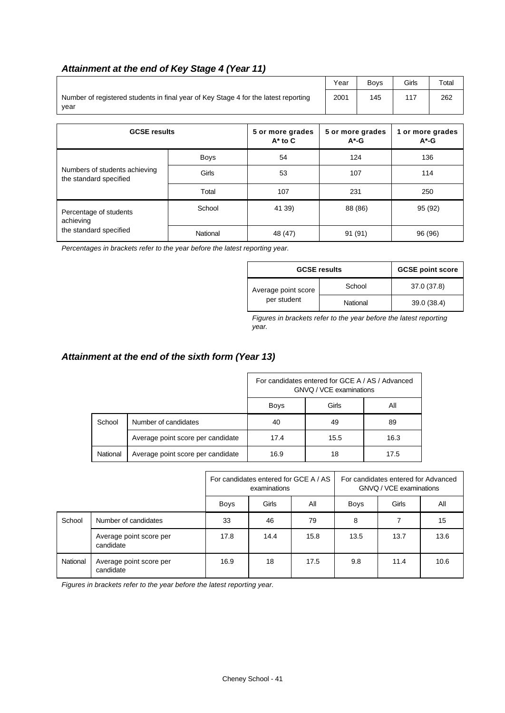# *Attainment at the end of Key Stage 4 (Year 11)*

|                                                                                             | Year | <b>Bovs</b> | Girls | Total |
|---------------------------------------------------------------------------------------------|------|-------------|-------|-------|
| Number of registered students in final year of Key Stage 4 for the latest reporting<br>vear | 2001 | 145         | 117   | 262   |
|                                                                                             |      |             |       |       |
|                                                                                             |      |             |       |       |

| <b>GCSE results</b>                                     |             | 5 or more grades<br>$A^*$ to $C$ | 5 or more grades<br>$A^*$ -G | 1 or more grades<br>$A^*$ -G |  |
|---------------------------------------------------------|-------------|----------------------------------|------------------------------|------------------------------|--|
|                                                         | <b>Boys</b> | 54                               | 124                          | 136                          |  |
| Numbers of students achieving<br>the standard specified | Girls       | 53                               | 107                          | 114                          |  |
|                                                         | Total       | 107                              | 231                          | 250                          |  |
| Percentage of students<br>achieving                     | School      | 41 39)                           | 88 (86)                      | 95 (92)                      |  |
| the standard specified                                  | National    | 48 (47)                          | 91<br>(91)                   | 96 (96)                      |  |

*Percentages in brackets refer to the year before the latest reporting year.*

| <b>GCSE results</b>                | <b>GCSE point score</b> |             |  |
|------------------------------------|-------------------------|-------------|--|
| Average point score<br>per student | School                  | 37.0 (37.8) |  |
|                                    | National                | 39.0 (38.4) |  |

*Figures in brackets refer to the year before the latest reporting year.*

# *Attainment at the end of the sixth form (Year 13)*

|          |                                   | For candidates entered for GCE A / AS / Advanced<br>GNVQ / VCE examinations |      |      |  |  |
|----------|-----------------------------------|-----------------------------------------------------------------------------|------|------|--|--|
|          |                                   | Girls<br>All<br><b>Boys</b>                                                 |      |      |  |  |
| School   | Number of candidates              | 40                                                                          | 49   | 89   |  |  |
|          | Average point score per candidate | 17.4                                                                        | 15.5 | 16.3 |  |  |
| National | Average point score per candidate | 16.9                                                                        | 18   | 17.5 |  |  |

|          |                                      | For candidates entered for GCE A / AS<br>examinations |      |      | For candidates entered for Advanced<br>GNVQ / VCE examinations |              |      |
|----------|--------------------------------------|-------------------------------------------------------|------|------|----------------------------------------------------------------|--------------|------|
|          |                                      | Girls<br><b>Boys</b><br>All<br><b>Boys</b>            |      |      |                                                                | Girls<br>All |      |
| School   | Number of candidates                 | 33                                                    | 46   | 79   | 8                                                              |              | 15   |
|          | Average point score per<br>candidate | 17.8                                                  | 14.4 | 15.8 | 13.5                                                           | 13.7         | 13.6 |
| National | Average point score per<br>candidate | 16.9                                                  | 18   | 17.5 | 9.8                                                            | 11.4         | 10.6 |

*Figures in brackets refer to the year before the latest reporting year.*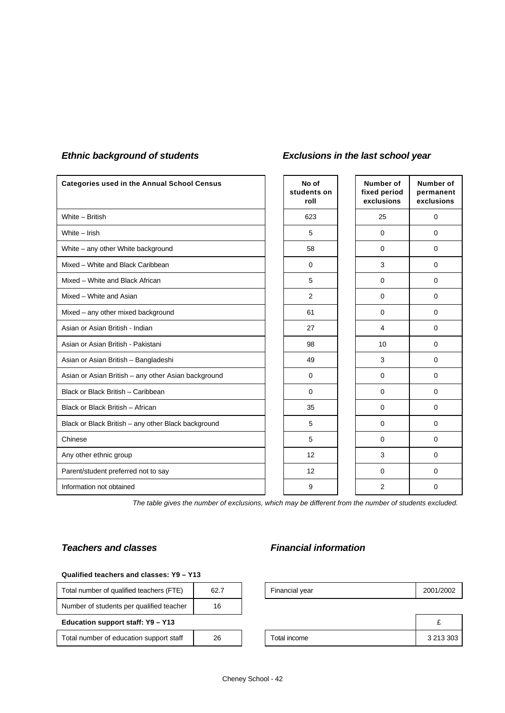| <b>Categories used in the Annual School Census</b>  | No of<br>students on<br>roll | Number of<br>fixed period<br>exclusions | Number of<br>permanent<br>exclusions |
|-----------------------------------------------------|------------------------------|-----------------------------------------|--------------------------------------|
| White - British                                     | 623                          | 25                                      | 0                                    |
| White - Irish                                       | 5                            | $\mathbf 0$                             | 0                                    |
| White - any other White background                  | 58                           | $\mathbf 0$                             | 0                                    |
| Mixed - White and Black Caribbean                   | $\Omega$                     | 3                                       | $\Omega$                             |
| Mixed - White and Black African                     | 5                            | $\mathbf 0$                             | 0                                    |
| Mixed - White and Asian                             | $\overline{2}$               | $\mathbf 0$                             | 0                                    |
| Mixed - any other mixed background                  | 61                           | $\mathbf 0$                             | 0                                    |
| Asian or Asian British - Indian                     | 27                           | $\overline{4}$                          | 0                                    |
| Asian or Asian British - Pakistani                  | 98                           | 10                                      | $\Omega$                             |
| Asian or Asian British - Bangladeshi                | 49                           | 3                                       | 0                                    |
| Asian or Asian British - any other Asian background | $\mathbf 0$                  | $\mathbf 0$                             | 0                                    |
| Black or Black British - Caribbean                  | $\mathbf 0$                  | $\mathbf 0$                             | 0                                    |
| Black or Black British - African                    | 35                           | $\mathbf 0$                             | 0                                    |
| Black or Black British - any other Black background | 5                            | $\mathbf 0$                             | $\Omega$                             |
| Chinese                                             | 5                            | $\mathbf 0$                             | 0                                    |
| Any other ethnic group                              | 12                           | 3                                       | 0                                    |
| Parent/student preferred not to say                 | 12                           | $\mathbf 0$                             | 0                                    |
| Information not obtained                            | 9                            | $\overline{2}$                          | 0                                    |

# *Ethnic background of students Exclusions in the last school year*

*The table gives the number of exclusions, which may be different from the number of students excluded.*

# *Teachers and classes Financial information*

#### **Qualified teachers and classes: Y9 – Y13**

| Total number of qualified teachers (FTE) | 62.7 | Financial year | 2001/2002 |
|------------------------------------------|------|----------------|-----------|
| Number of students per qualified teacher | 16   |                |           |
| Education support staff: Y9 - Y13        |      |                |           |
| Total number of education support staff  | 26   | Total income   | 3 213 303 |

Cheney School - 42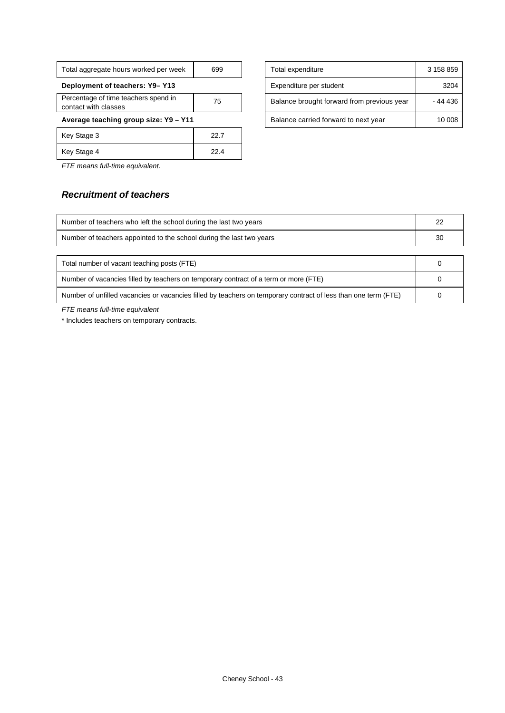| Total aggregate hours worked per week                        | 699  |  |  |  |  |
|--------------------------------------------------------------|------|--|--|--|--|
| Deployment of teachers: Y9-Y13                               |      |  |  |  |  |
| Percentage of time teachers spend in<br>contact with classes | 75   |  |  |  |  |
| Average teaching group size: Y9 - Y11                        |      |  |  |  |  |
| Key Stage 3                                                  | 22.7 |  |  |  |  |
| Key Stage 4                                                  | 22.4 |  |  |  |  |

| Total aggregate hours worked per week                        | 699 |  | Total expenditure                          | 3 158 859 |
|--------------------------------------------------------------|-----|--|--------------------------------------------|-----------|
| Deployment of teachers: Y9-Y13                               |     |  | Expenditure per student                    | 3204      |
| Percentage of time teachers spend in<br>contact with classes | 75  |  | Balance brought forward from previous year | - 44 436  |
| Average teaching group size: Y9 - Y11                        |     |  | Balance carried forward to next year       | 10 008    |

*FTE means full-time equivalent.*

# *Recruitment of teachers*

| Number of teachers who left the school during the last two years                                               | 22 |
|----------------------------------------------------------------------------------------------------------------|----|
| Number of teachers appointed to the school during the last two years                                           | 30 |
|                                                                                                                |    |
| Total number of vacant teaching posts (FTE)                                                                    |    |
| Number of vacancies filled by teachers on temporary contract of a term or more (FTE)                           |    |
| Number of unfilled vacancies or vacancies filled by teachers on temporary contract of less than one term (FTE) |    |

*FTE means full-time equivalent*

\* Includes teachers on temporary contracts.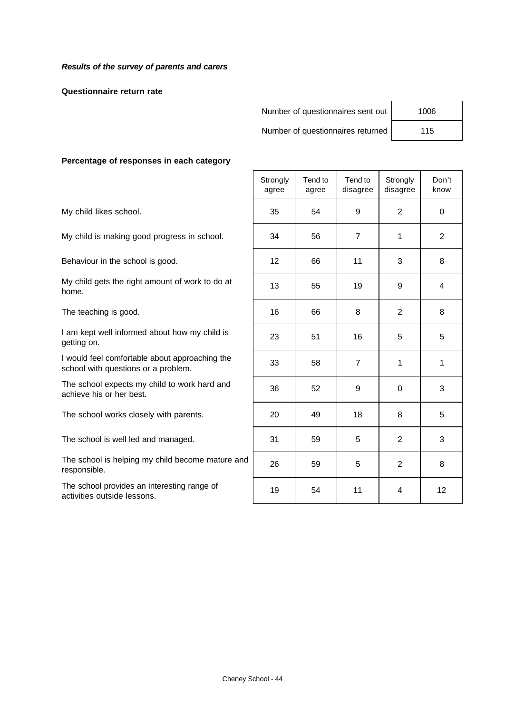**Questionnaire return rate**

Number of questionnaires sent out | 1006

Number of questionnaires returned | 115

#### **Percentage of responses in each category**

The school provides an interesting range of activities outside lessons.

|                                                                                       | Strongly<br>agree | Tend to<br>agree | Tend to<br>disagree | Strongly<br>disagree | Don't<br>know  |
|---------------------------------------------------------------------------------------|-------------------|------------------|---------------------|----------------------|----------------|
| My child likes school.                                                                | 35                | 54               | 9                   | 2                    | 0              |
| My child is making good progress in school.                                           | 34                | 56               | $\overline{7}$      | 1                    | $\overline{2}$ |
| Behaviour in the school is good.                                                      | 12                | 66               | 11                  | 3                    | 8              |
| My child gets the right amount of work to do at<br>home.                              | 13                | 55               | 19                  | 9                    | 4              |
| The teaching is good.                                                                 | 16                | 66               | 8                   | 2                    | 8              |
| I am kept well informed about how my child is<br>getting on.                          | 23                | 51               | 16                  | 5                    | 5              |
| I would feel comfortable about approaching the<br>school with questions or a problem. | 33                | 58               | $\overline{7}$      | 1                    | 1              |
| The school expects my child to work hard and<br>achieve his or her best.              | 36                | 52               | 9                   | $\mathbf{0}$         | 3              |
| The school works closely with parents.                                                | 20                | 49               | 18                  | 8                    | 5              |
| The school is well led and managed.                                                   | 31                | 59               | 5                   | $\overline{2}$       | 3              |
| The school is helping my child become mature and<br>responsible.                      | 26                | 59               | 5                   | $\overline{2}$       | 8              |
| The school provides an interesting range of<br>activities outside lessons.            | 19                | 54               | 11                  | 4                    | 12             |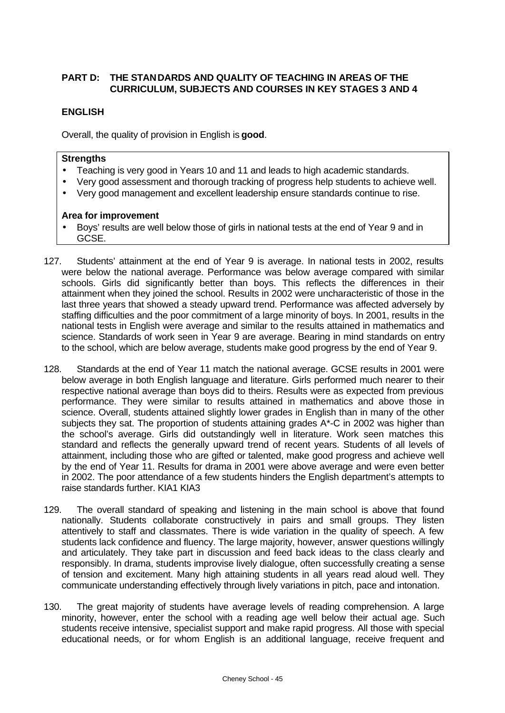# **PART D: THE STANDARDS AND QUALITY OF TEACHING IN AREAS OF THE CURRICULUM, SUBJECTS AND COURSES IN KEY STAGES 3 AND 4**

# **ENGLISH**

Overall, the quality of provision in English is **good**.

### **Strengths**

- Teaching is very good in Years 10 and 11 and leads to high academic standards.
- Very good assessment and thorough tracking of progress help students to achieve well.
- Very good management and excellent leadership ensure standards continue to rise.

- Boys' results are well below those of girls in national tests at the end of Year 9 and in GCSE.
- 127. Students' attainment at the end of Year 9 is average. In national tests in 2002, results were below the national average. Performance was below average compared with similar schools. Girls did significantly better than boys. This reflects the differences in their attainment when they joined the school. Results in 2002 were uncharacteristic of those in the last three years that showed a steady upward trend. Performance was affected adversely by staffing difficulties and the poor commitment of a large minority of boys. In 2001, results in the national tests in English were average and similar to the results attained in mathematics and science. Standards of work seen in Year 9 are average. Bearing in mind standards on entry to the school, which are below average, students make good progress by the end of Year 9.
- 128. Standards at the end of Year 11 match the national average. GCSE results in 2001 were below average in both English language and literature. Girls performed much nearer to their respective national average than boys did to theirs. Results were as expected from previous performance. They were similar to results attained in mathematics and above those in science. Overall, students attained slightly lower grades in English than in many of the other subjects they sat. The proportion of students attaining grades A\*-C in 2002 was higher than the school's average. Girls did outstandingly well in literature. Work seen matches this standard and reflects the generally upward trend of recent years. Students of all levels of attainment, including those who are gifted or talented, make good progress and achieve well by the end of Year 11. Results for drama in 2001 were above average and were even better in 2002. The poor attendance of a few students hinders the English department's attempts to raise standards further. KIA1 KIA3
- 129. The overall standard of speaking and listening in the main school is above that found nationally. Students collaborate constructively in pairs and small groups. They listen attentively to staff and classmates. There is wide variation in the quality of speech. A few students lack confidence and fluency. The large majority, however, answer questions willingly and articulately. They take part in discussion and feed back ideas to the class clearly and responsibly. In drama, students improvise lively dialogue, often successfully creating a sense of tension and excitement. Many high attaining students in all years read aloud well. They communicate understanding effectively through lively variations in pitch, pace and intonation.
- 130. The great majority of students have average levels of reading comprehension. A large minority, however, enter the school with a reading age well below their actual age. Such students receive intensive, specialist support and make rapid progress. All those with special educational needs, or for whom English is an additional language, receive frequent and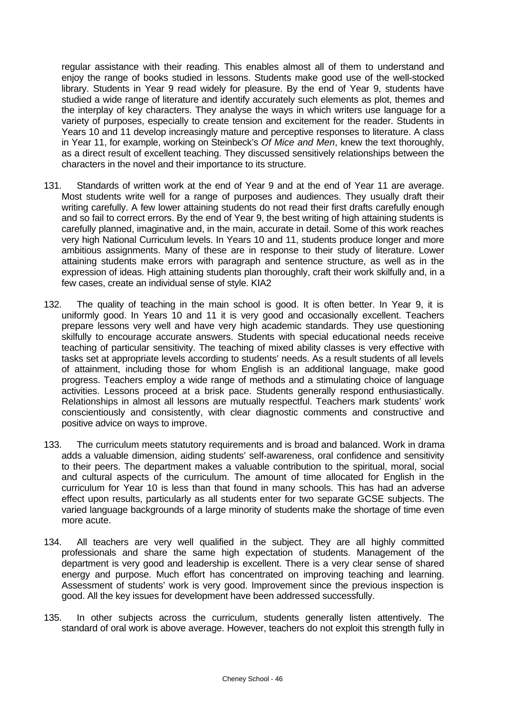regular assistance with their reading. This enables almost all of them to understand and enjoy the range of books studied in lessons. Students make good use of the well-stocked library. Students in Year 9 read widely for pleasure. By the end of Year 9, students have studied a wide range of literature and identify accurately such elements as plot, themes and the interplay of key characters. They analyse the ways in which writers use language for a variety of purposes, especially to create tension and excitement for the reader. Students in Years 10 and 11 develop increasingly mature and perceptive responses to literature. A class in Year 11, for example, working on Steinbeck's *Of Mice and Men*, knew the text thoroughly, as a direct result of excellent teaching. They discussed sensitively relationships between the characters in the novel and their importance to its structure.

- 131. Standards of written work at the end of Year 9 and at the end of Year 11 are average. Most students write well for a range of purposes and audiences. They usually draft their writing carefully. A few lower attaining students do not read their first drafts carefully enough and so fail to correct errors. By the end of Year 9, the best writing of high attaining students is carefully planned, imaginative and, in the main, accurate in detail. Some of this work reaches very high National Curriculum levels. In Years 10 and 11, students produce longer and more ambitious assignments. Many of these are in response to their study of literature. Lower attaining students make errors with paragraph and sentence structure, as well as in the expression of ideas. High attaining students plan thoroughly, craft their work skilfully and, in a few cases, create an individual sense of style. KIA2
- 132. The quality of teaching in the main school is good. It is often better. In Year 9, it is uniformly good. In Years 10 and 11 it is very good and occasionally excellent. Teachers prepare lessons very well and have very high academic standards. They use questioning skilfully to encourage accurate answers. Students with special educational needs receive teaching of particular sensitivity. The teaching of mixed ability classes is very effective with tasks set at appropriate levels according to students' needs. As a result students of all levels of attainment, including those for whom English is an additional language, make good progress. Teachers employ a wide range of methods and a stimulating choice of language activities. Lessons proceed at a brisk pace. Students generally respond enthusiastically. Relationships in almost all lessons are mutually respectful. Teachers mark students' work conscientiously and consistently, with clear diagnostic comments and constructive and positive advice on ways to improve.
- 133. The curriculum meets statutory requirements and is broad and balanced. Work in drama adds a valuable dimension, aiding students' self-awareness, oral confidence and sensitivity to their peers. The department makes a valuable contribution to the spiritual, moral, social and cultural aspects of the curriculum. The amount of time allocated for English in the curriculum for Year 10 is less than that found in many schools. This has had an adverse effect upon results, particularly as all students enter for two separate GCSE subjects. The varied language backgrounds of a large minority of students make the shortage of time even more acute.
- 134. All teachers are very well qualified in the subject. They are all highly committed professionals and share the same high expectation of students. Management of the department is very good and leadership is excellent. There is a very clear sense of shared energy and purpose. Much effort has concentrated on improving teaching and learning. Assessment of students' work is very good. Improvement since the previous inspection is good. All the key issues for development have been addressed successfully.
- 135. In other subjects across the curriculum, students generally listen attentively. The standard of oral work is above average. However, teachers do not exploit this strength fully in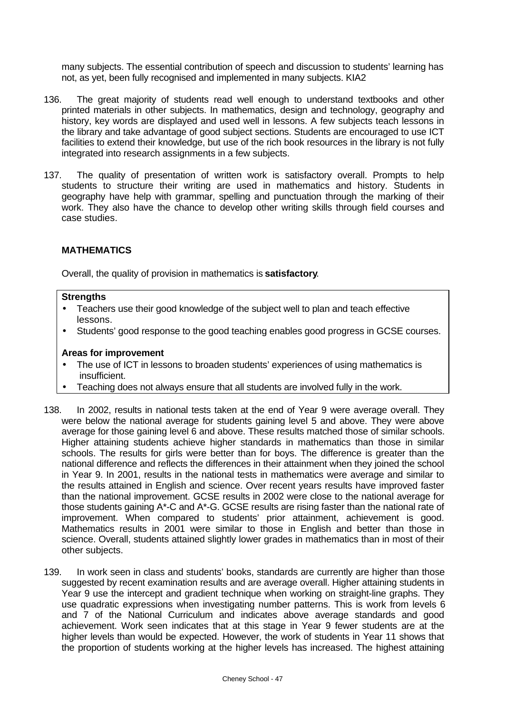many subjects. The essential contribution of speech and discussion to students' learning has not, as yet, been fully recognised and implemented in many subjects. KIA2

- 136. The great majority of students read well enough to understand textbooks and other printed materials in other subjects. In mathematics, design and technology, geography and history, key words are displayed and used well in lessons. A few subjects teach lessons in the library and take advantage of good subject sections. Students are encouraged to use ICT facilities to extend their knowledge, but use of the rich book resources in the library is not fully integrated into research assignments in a few subjects.
- 137. The quality of presentation of written work is satisfactory overall. Prompts to help students to structure their writing are used in mathematics and history. Students in geography have help with grammar, spelling and punctuation through the marking of their work. They also have the chance to develop other writing skills through field courses and case studies.

# **MATHEMATICS**

Overall, the quality of provision in mathematics is **satisfactory**.

#### **Strengths**

- Teachers use their good knowledge of the subject well to plan and teach effective lessons.
- Students' good response to the good teaching enables good progress in GCSE courses.

- The use of ICT in lessons to broaden students' experiences of using mathematics is insufficient.
- Teaching does not always ensure that all students are involved fully in the work.
- 138. In 2002, results in national tests taken at the end of Year 9 were average overall. They were below the national average for students gaining level 5 and above. They were above average for those gaining level 6 and above. These results matched those of similar schools. Higher attaining students achieve higher standards in mathematics than those in similar schools. The results for girls were better than for boys. The difference is greater than the national difference and reflects the differences in their attainment when they joined the school in Year 9. In 2001, results in the national tests in mathematics were average and similar to the results attained in English and science. Over recent years results have improved faster than the national improvement. GCSE results in 2002 were close to the national average for those students gaining A\*-C and A\*-G. GCSE results are rising faster than the national rate of improvement. When compared to students' prior attainment, achievement is good. Mathematics results in 2001 were similar to those in English and better than those in science. Overall, students attained slightly lower grades in mathematics than in most of their other subjects.
- 139. In work seen in class and students' books, standards are currently are higher than those suggested by recent examination results and are average overall. Higher attaining students in Year 9 use the intercept and gradient technique when working on straight-line graphs. They use quadratic expressions when investigating number patterns. This is work from levels 6 and 7 of the National Curriculum and indicates above average standards and good achievement. Work seen indicates that at this stage in Year 9 fewer students are at the higher levels than would be expected. However, the work of students in Year 11 shows that the proportion of students working at the higher levels has increased. The highest attaining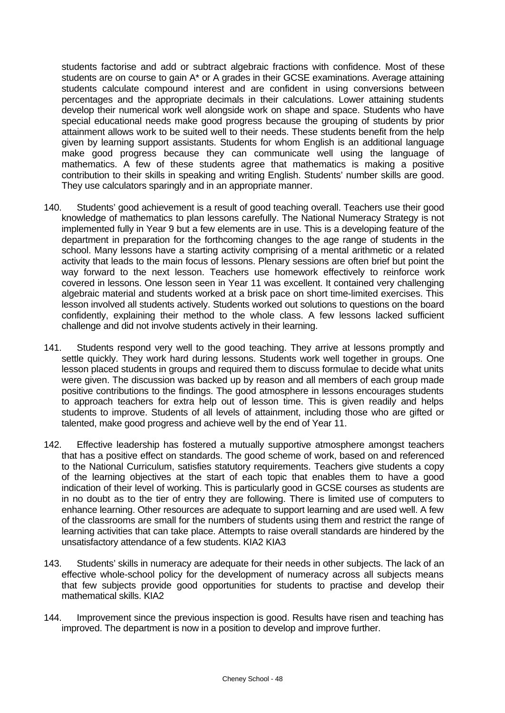students factorise and add or subtract algebraic fractions with confidence. Most of these students are on course to gain A\* or A grades in their GCSE examinations. Average attaining students calculate compound interest and are confident in using conversions between percentages and the appropriate decimals in their calculations. Lower attaining students develop their numerical work well alongside work on shape and space. Students who have special educational needs make good progress because the grouping of students by prior attainment allows work to be suited well to their needs. These students benefit from the help given by learning support assistants. Students for whom English is an additional language make good progress because they can communicate well using the language of mathematics. A few of these students agree that mathematics is making a positive contribution to their skills in speaking and writing English. Students' number skills are good. They use calculators sparingly and in an appropriate manner.

- 140. Students' good achievement is a result of good teaching overall. Teachers use their good knowledge of mathematics to plan lessons carefully. The National Numeracy Strategy is not implemented fully in Year 9 but a few elements are in use. This is a developing feature of the department in preparation for the forthcoming changes to the age range of students in the school. Many lessons have a starting activity comprising of a mental arithmetic or a related activity that leads to the main focus of lessons. Plenary sessions are often brief but point the way forward to the next lesson. Teachers use homework effectively to reinforce work covered in lessons. One lesson seen in Year 11 was excellent. It contained very challenging algebraic material and students worked at a brisk pace on short time-limited exercises. This lesson involved all students actively. Students worked out solutions to questions on the board confidently, explaining their method to the whole class. A few lessons lacked sufficient challenge and did not involve students actively in their learning.
- 141. Students respond very well to the good teaching. They arrive at lessons promptly and settle quickly. They work hard during lessons. Students work well together in groups. One lesson placed students in groups and required them to discuss formulae to decide what units were given. The discussion was backed up by reason and all members of each group made positive contributions to the findings. The good atmosphere in lessons encourages students to approach teachers for extra help out of lesson time. This is given readily and helps students to improve. Students of all levels of attainment, including those who are gifted or talented, make good progress and achieve well by the end of Year 11.
- 142. Effective leadership has fostered a mutually supportive atmosphere amongst teachers that has a positive effect on standards. The good scheme of work, based on and referenced to the National Curriculum, satisfies statutory requirements. Teachers give students a copy of the learning objectives at the start of each topic that enables them to have a good indication of their level of working. This is particularly good in GCSE courses as students are in no doubt as to the tier of entry they are following. There is limited use of computers to enhance learning. Other resources are adequate to support learning and are used well. A few of the classrooms are small for the numbers of students using them and restrict the range of learning activities that can take place. Attempts to raise overall standards are hindered by the unsatisfactory attendance of a few students. KIA2 KIA3
- 143. Students' skills in numeracy are adequate for their needs in other subjects. The lack of an effective whole-school policy for the development of numeracy across all subjects means that few subjects provide good opportunities for students to practise and develop their mathematical skills. KIA2
- 144. Improvement since the previous inspection is good. Results have risen and teaching has improved. The department is now in a position to develop and improve further.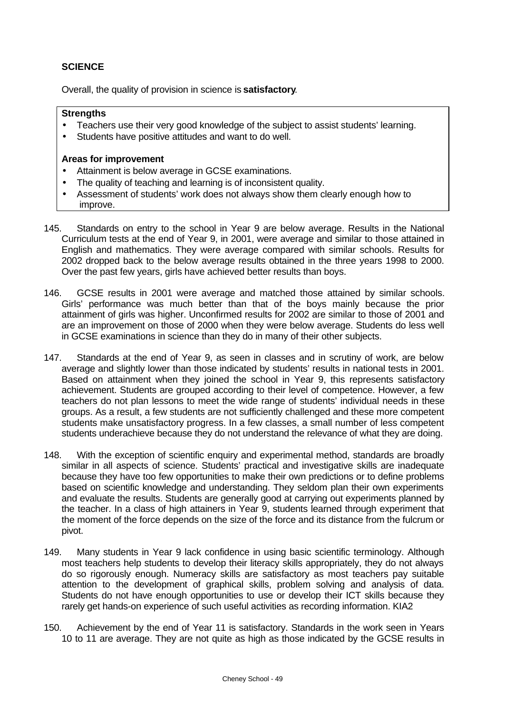# **SCIENCE**

Overall, the quality of provision in science is **satisfactory**.

## **Strengths**

- Teachers use their very good knowledge of the subject to assist students' learning.
- Students have positive attitudes and want to do well.

- Attainment is below average in GCSE examinations.
- The quality of teaching and learning is of inconsistent quality.
- Assessment of students' work does not always show them clearly enough how to improve.
- 145. Standards on entry to the school in Year 9 are below average. Results in the National Curriculum tests at the end of Year 9, in 2001, were average and similar to those attained in English and mathematics. They were average compared with similar schools. Results for 2002 dropped back to the below average results obtained in the three years 1998 to 2000. Over the past few years, girls have achieved better results than boys.
- 146. GCSE results in 2001 were average and matched those attained by similar schools. Girls' performance was much better than that of the boys mainly because the prior attainment of girls was higher. Unconfirmed results for 2002 are similar to those of 2001 and are an improvement on those of 2000 when they were below average. Students do less well in GCSE examinations in science than they do in many of their other subjects.
- 147. Standards at the end of Year 9, as seen in classes and in scrutiny of work, are below average and slightly lower than those indicated by students' results in national tests in 2001. Based on attainment when they joined the school in Year 9, this represents satisfactory achievement. Students are grouped according to their level of competence. However, a few teachers do not plan lessons to meet the wide range of students' individual needs in these groups. As a result, a few students are not sufficiently challenged and these more competent students make unsatisfactory progress. In a few classes, a small number of less competent students underachieve because they do not understand the relevance of what they are doing.
- 148. With the exception of scientific enquiry and experimental method, standards are broadly similar in all aspects of science. Students' practical and investigative skills are inadequate because they have too few opportunities to make their own predictions or to define problems based on scientific knowledge and understanding. They seldom plan their own experiments and evaluate the results. Students are generally good at carrying out experiments planned by the teacher. In a class of high attainers in Year 9, students learned through experiment that the moment of the force depends on the size of the force and its distance from the fulcrum or pivot.
- 149. Many students in Year 9 lack confidence in using basic scientific terminology. Although most teachers help students to develop their literacy skills appropriately, they do not always do so rigorously enough. Numeracy skills are satisfactory as most teachers pay suitable attention to the development of graphical skills, problem solving and analysis of data. Students do not have enough opportunities to use or develop their ICT skills because they rarely get hands-on experience of such useful activities as recording information. KIA2
- 150. Achievement by the end of Year 11 is satisfactory. Standards in the work seen in Years 10 to 11 are average. They are not quite as high as those indicated by the GCSE results in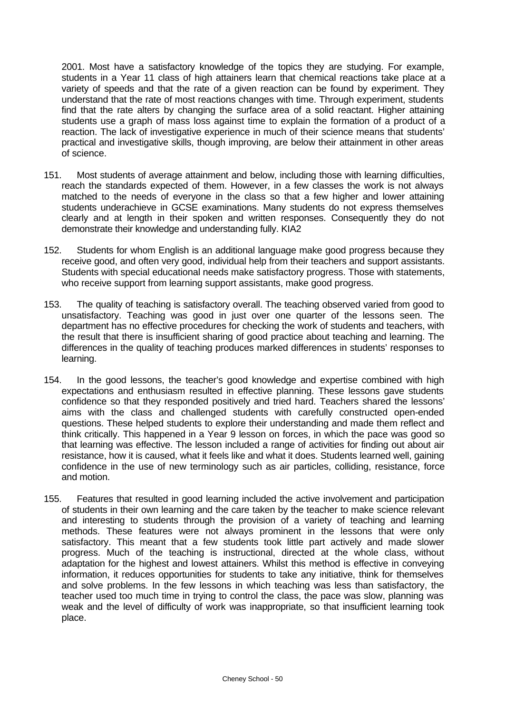2001. Most have a satisfactory knowledge of the topics they are studying. For example, students in a Year 11 class of high attainers learn that chemical reactions take place at a variety of speeds and that the rate of a given reaction can be found by experiment. They understand that the rate of most reactions changes with time. Through experiment, students find that the rate alters by changing the surface area of a solid reactant. Higher attaining students use a graph of mass loss against time to explain the formation of a product of a reaction. The lack of investigative experience in much of their science means that students' practical and investigative skills, though improving, are below their attainment in other areas of science.

- 151. Most students of average attainment and below, including those with learning difficulties, reach the standards expected of them. However, in a few classes the work is not always matched to the needs of everyone in the class so that a few higher and lower attaining students underachieve in GCSE examinations. Many students do not express themselves clearly and at length in their spoken and written responses. Consequently they do not demonstrate their knowledge and understanding fully. KIA2
- 152. Students for whom English is an additional language make good progress because they receive good, and often very good, individual help from their teachers and support assistants. Students with special educational needs make satisfactory progress. Those with statements, who receive support from learning support assistants, make good progress.
- 153. The quality of teaching is satisfactory overall. The teaching observed varied from good to unsatisfactory. Teaching was good in just over one quarter of the lessons seen. The department has no effective procedures for checking the work of students and teachers, with the result that there is insufficient sharing of good practice about teaching and learning. The differences in the quality of teaching produces marked differences in students' responses to learning.
- 154. In the good lessons, the teacher's good knowledge and expertise combined with high expectations and enthusiasm resulted in effective planning. These lessons gave students confidence so that they responded positively and tried hard. Teachers shared the lessons' aims with the class and challenged students with carefully constructed open-ended questions. These helped students to explore their understanding and made them reflect and think critically. This happened in a Year 9 lesson on forces, in which the pace was good so that learning was effective. The lesson included a range of activities for finding out about air resistance, how it is caused, what it feels like and what it does. Students learned well, gaining confidence in the use of new terminology such as air particles, colliding, resistance, force and motion.
- 155. Features that resulted in good learning included the active involvement and participation of students in their own learning and the care taken by the teacher to make science relevant and interesting to students through the provision of a variety of teaching and learning methods. These features were not always prominent in the lessons that were only satisfactory. This meant that a few students took little part actively and made slower progress. Much of the teaching is instructional, directed at the whole class, without adaptation for the highest and lowest attainers. Whilst this method is effective in conveying information, it reduces opportunities for students to take any initiative, think for themselves and solve problems. In the few lessons in which teaching was less than satisfactory, the teacher used too much time in trying to control the class, the pace was slow, planning was weak and the level of difficulty of work was inappropriate, so that insufficient learning took place.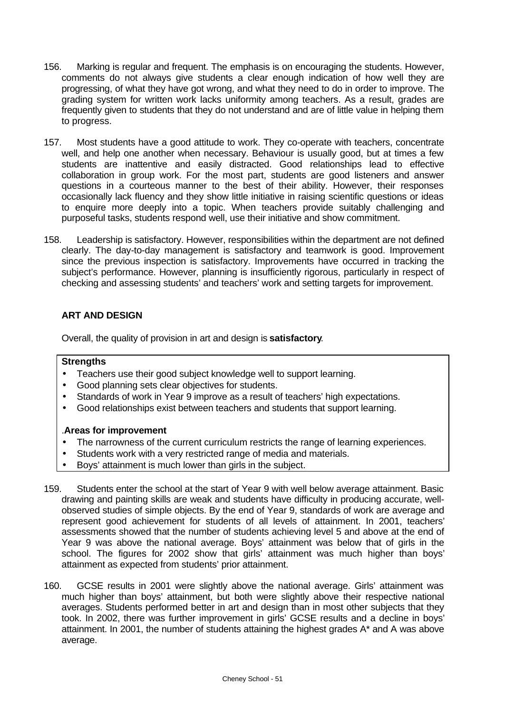- 156. Marking is regular and frequent. The emphasis is on encouraging the students. However, comments do not always give students a clear enough indication of how well they are progressing, of what they have got wrong, and what they need to do in order to improve. The grading system for written work lacks uniformity among teachers. As a result, grades are frequently given to students that they do not understand and are of little value in helping them to progress.
- 157. Most students have a good attitude to work. They co-operate with teachers, concentrate well, and help one another when necessary. Behaviour is usually good, but at times a few students are inattentive and easily distracted. Good relationships lead to effective collaboration in group work. For the most part, students are good listeners and answer questions in a courteous manner to the best of their ability. However, their responses occasionally lack fluency and they show little initiative in raising scientific questions or ideas to enquire more deeply into a topic. When teachers provide suitably challenging and purposeful tasks, students respond well, use their initiative and show commitment.
- 158. Leadership is satisfactory. However, responsibilities within the department are not defined clearly. The day-to-day management is satisfactory and teamwork is good. Improvement since the previous inspection is satisfactory. Improvements have occurred in tracking the subject's performance. However, planning is insufficiently rigorous, particularly in respect of checking and assessing students' and teachers' work and setting targets for improvement.

# **ART AND DESIGN**

Overall, the quality of provision in art and design is **satisfactory**.

## **Strengths**

- Teachers use their good subject knowledge well to support learning.
- Good planning sets clear objectives for students.
- Standards of work in Year 9 improve as a result of teachers' high expectations.
- Good relationships exist between teachers and students that support learning.

- The narrowness of the current curriculum restricts the range of learning experiences.
- Students work with a very restricted range of media and materials.
- Boys' attainment is much lower than girls in the subject.
- 159. Students enter the school at the start of Year 9 with well below average attainment. Basic drawing and painting skills are weak and students have difficulty in producing accurate, wellobserved studies of simple objects. By the end of Year 9, standards of work are average and represent good achievement for students of all levels of attainment. In 2001, teachers' assessments showed that the number of students achieving level 5 and above at the end of Year 9 was above the national average. Boys' attainment was below that of girls in the school. The figures for 2002 show that girls' attainment was much higher than boys' attainment as expected from students' prior attainment.
- 160. GCSE results in 2001 were slightly above the national average. Girls' attainment was much higher than boys' attainment, but both were slightly above their respective national averages. Students performed better in art and design than in most other subjects that they took. In 2002, there was further improvement in girls' GCSE results and a decline in boys' attainment. In 2001, the number of students attaining the highest grades A\* and A was above average.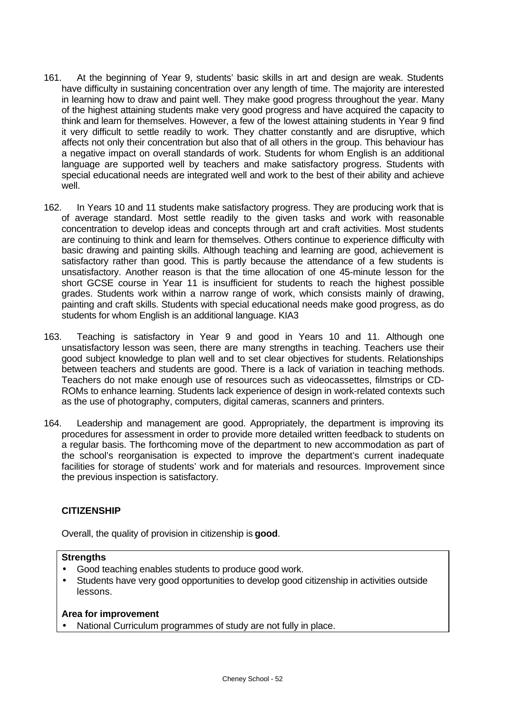- 161. At the beginning of Year 9, students' basic skills in art and design are weak. Students have difficulty in sustaining concentration over any length of time. The majority are interested in learning how to draw and paint well. They make good progress throughout the year. Many of the highest attaining students make very good progress and have acquired the capacity to think and learn for themselves. However, a few of the lowest attaining students in Year 9 find it very difficult to settle readily to work. They chatter constantly and are disruptive, which affects not only their concentration but also that of all others in the group. This behaviour has a negative impact on overall standards of work. Students for whom English is an additional language are supported well by teachers and make satisfactory progress. Students with special educational needs are integrated well and work to the best of their ability and achieve well.
- 162. In Years 10 and 11 students make satisfactory progress. They are producing work that is of average standard. Most settle readily to the given tasks and work with reasonable concentration to develop ideas and concepts through art and craft activities. Most students are continuing to think and learn for themselves. Others continue to experience difficulty with basic drawing and painting skills. Although teaching and learning are good, achievement is satisfactory rather than good. This is partly because the attendance of a few students is unsatisfactory. Another reason is that the time allocation of one 45-minute lesson for the short GCSE course in Year 11 is insufficient for students to reach the highest possible grades. Students work within a narrow range of work, which consists mainly of drawing, painting and craft skills. Students with special educational needs make good progress, as do students for whom English is an additional language. KIA3
- 163. Teaching is satisfactory in Year 9 and good in Years 10 and 11. Although one unsatisfactory lesson was seen, there are many strengths in teaching. Teachers use their good subject knowledge to plan well and to set clear objectives for students. Relationships between teachers and students are good. There is a lack of variation in teaching methods. Teachers do not make enough use of resources such as videocassettes, filmstrips or CD-ROMs to enhance learning. Students lack experience of design in work-related contexts such as the use of photography, computers, digital cameras, scanners and printers.
- 164. Leadership and management are good. Appropriately, the department is improving its procedures for assessment in order to provide more detailed written feedback to students on a regular basis. The forthcoming move of the department to new accommodation as part of the school's reorganisation is expected to improve the department's current inadequate facilities for storage of students' work and for materials and resources. Improvement since the previous inspection is satisfactory.

# **CITIZENSHIP**

Overall, the quality of provision in citizenship is **good**.

# **Strengths**

- Good teaching enables students to produce good work.
- Students have very good opportunities to develop good citizenship in activities outside lessons.

#### **Area for improvement**

• National Curriculum programmes of study are not fully in place.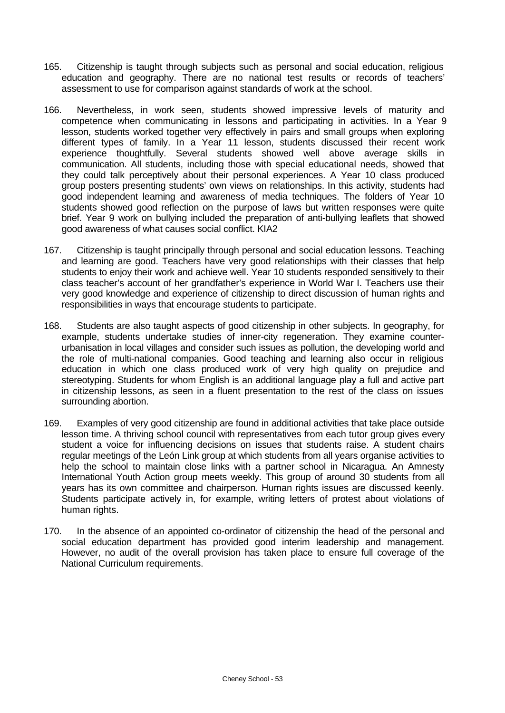- 165. Citizenship is taught through subjects such as personal and social education, religious education and geography. There are no national test results or records of teachers' assessment to use for comparison against standards of work at the school.
- 166. Nevertheless, in work seen, students showed impressive levels of maturity and competence when communicating in lessons and participating in activities. In a Year 9 lesson, students worked together very effectively in pairs and small groups when exploring different types of family. In a Year 11 lesson, students discussed their recent work experience thoughtfully. Several students showed well above average skills in communication. All students, including those with special educational needs, showed that they could talk perceptively about their personal experiences. A Year 10 class produced group posters presenting students' own views on relationships. In this activity, students had good independent learning and awareness of media techniques. The folders of Year 10 students showed good reflection on the purpose of laws but written responses were quite brief. Year 9 work on bullying included the preparation of anti-bullying leaflets that showed good awareness of what causes social conflict. KIA2
- 167. Citizenship is taught principally through personal and social education lessons. Teaching and learning are good. Teachers have very good relationships with their classes that help students to enjoy their work and achieve well. Year 10 students responded sensitively to their class teacher's account of her grandfather's experience in World War I. Teachers use their very good knowledge and experience of citizenship to direct discussion of human rights and responsibilities in ways that encourage students to participate.
- 168. Students are also taught aspects of good citizenship in other subjects. In geography, for example, students undertake studies of inner-city regeneration. They examine counterurbanisation in local villages and consider such issues as pollution, the developing world and the role of multi-national companies. Good teaching and learning also occur in religious education in which one class produced work of very high quality on prejudice and stereotyping. Students for whom English is an additional language play a full and active part in citizenship lessons, as seen in a fluent presentation to the rest of the class on issues surrounding abortion.
- 169. Examples of very good citizenship are found in additional activities that take place outside lesson time. A thriving school council with representatives from each tutor group gives every student a voice for influencing decisions on issues that students raise. A student chairs regular meetings of the León Link group at which students from all years organise activities to help the school to maintain close links with a partner school in Nicaragua. An Amnesty International Youth Action group meets weekly. This group of around 30 students from all years has its own committee and chairperson. Human rights issues are discussed keenly. Students participate actively in, for example, writing letters of protest about violations of human rights.
- 170. In the absence of an appointed co-ordinator of citizenship the head of the personal and social education department has provided good interim leadership and management. However, no audit of the overall provision has taken place to ensure full coverage of the National Curriculum requirements.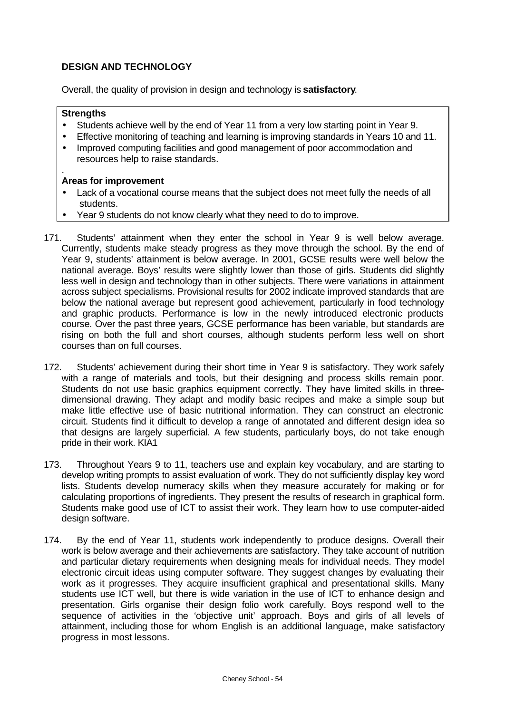# **DESIGN AND TECHNOLOGY**

Overall, the quality of provision in design and technology is **satisfactory**.

# **Strengths**

- Students achieve well by the end of Year 11 from a very low starting point in Year 9.
- Effective monitoring of teaching and learning is improving standards in Years 10 and 11.
- Improved computing facilities and good management of poor accommodation and resources help to raise standards.

- Lack of a vocational course means that the subject does not meet fully the needs of all students.
- Year 9 students do not know clearly what they need to do to improve.
- 171. Students' attainment when they enter the school in Year 9 is well below average. Currently, students make steady progress as they move through the school. By the end of Year 9, students' attainment is below average. In 2001, GCSE results were well below the national average. Boys' results were slightly lower than those of girls. Students did slightly less well in design and technology than in other subjects. There were variations in attainment across subject specialisms. Provisional results for 2002 indicate improved standards that are below the national average but represent good achievement, particularly in food technology and graphic products. Performance is low in the newly introduced electronic products course. Over the past three years, GCSE performance has been variable, but standards are rising on both the full and short courses, although students perform less well on short courses than on full courses.
- 172. Students' achievement during their short time in Year 9 is satisfactory. They work safely with a range of materials and tools, but their designing and process skills remain poor. Students do not use basic graphics equipment correctly. They have limited skills in threedimensional drawing. They adapt and modify basic recipes and make a simple soup but make little effective use of basic nutritional information. They can construct an electronic circuit. Students find it difficult to develop a range of annotated and different design idea so that designs are largely superficial. A few students, particularly boys, do not take enough pride in their work. KIA1
- 173. Throughout Years 9 to 11, teachers use and explain key vocabulary, and are starting to develop writing prompts to assist evaluation of work. They do not sufficiently display key word lists. Students develop numeracy skills when they measure accurately for making or for calculating proportions of ingredients. They present the results of research in graphical form. Students make good use of ICT to assist their work. They learn how to use computer-aided design software.
- 174. By the end of Year 11, students work independently to produce designs. Overall their work is below average and their achievements are satisfactory. They take account of nutrition and particular dietary requirements when designing meals for individual needs. They model electronic circuit ideas using computer software. They suggest changes by evaluating their work as it progresses. They acquire insufficient graphical and presentational skills. Many students use ICT well, but there is wide variation in the use of ICT to enhance design and presentation. Girls organise their design folio work carefully. Boys respond well to the sequence of activities in the 'objective unit' approach. Boys and girls of all levels of attainment, including those for whom English is an additional language, make satisfactory progress in most lessons.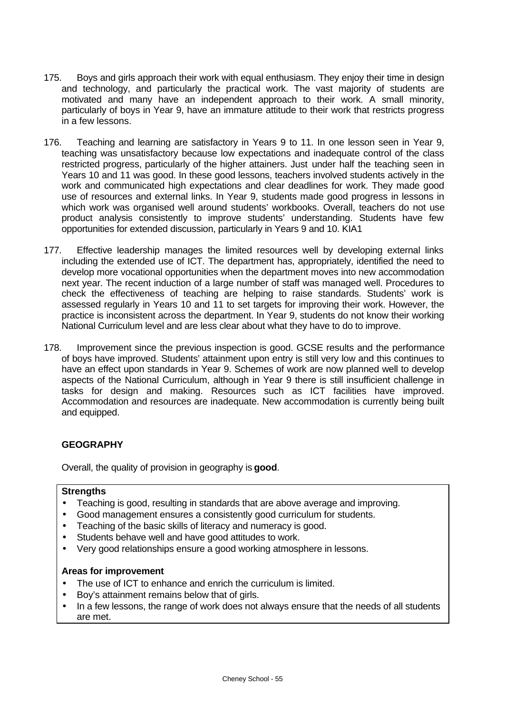- 175. Boys and girls approach their work with equal enthusiasm. They enjoy their time in design and technology, and particularly the practical work. The vast majority of students are motivated and many have an independent approach to their work. A small minority, particularly of boys in Year 9, have an immature attitude to their work that restricts progress in a few lessons.
- 176. Teaching and learning are satisfactory in Years 9 to 11. In one lesson seen in Year 9, teaching was unsatisfactory because low expectations and inadequate control of the class restricted progress, particularly of the higher attainers. Just under half the teaching seen in Years 10 and 11 was good. In these good lessons, teachers involved students actively in the work and communicated high expectations and clear deadlines for work. They made good use of resources and external links. In Year 9, students made good progress in lessons in which work was organised well around students' workbooks. Overall, teachers do not use product analysis consistently to improve students' understanding. Students have few opportunities for extended discussion, particularly in Years 9 and 10. KIA1
- 177. Effective leadership manages the limited resources well by developing external links including the extended use of ICT. The department has, appropriately, identified the need to develop more vocational opportunities when the department moves into new accommodation next year. The recent induction of a large number of staff was managed well. Procedures to check the effectiveness of teaching are helping to raise standards. Students' work is assessed regularly in Years 10 and 11 to set targets for improving their work. However, the practice is inconsistent across the department. In Year 9, students do not know their working National Curriculum level and are less clear about what they have to do to improve.
- 178. Improvement since the previous inspection is good. GCSE results and the performance of boys have improved. Students' attainment upon entry is still very low and this continues to have an effect upon standards in Year 9. Schemes of work are now planned well to develop aspects of the National Curriculum, although in Year 9 there is still insufficient challenge in tasks for design and making. Resources such as ICT facilities have improved. Accommodation and resources are inadequate. New accommodation is currently being built and equipped.

# **GEOGRAPHY**

Overall, the quality of provision in geography is **good**.

#### **Strengths**

- Teaching is good, resulting in standards that are above average and improving.
- Good management ensures a consistently good curriculum for students.
- Teaching of the basic skills of literacy and numeracy is good.
- Students behave well and have good attitudes to work.
- Very good relationships ensure a good working atmosphere in lessons.

- The use of ICT to enhance and enrich the curriculum is limited.
- Boy's attainment remains below that of girls.
- In a few lessons, the range of work does not always ensure that the needs of all students are met.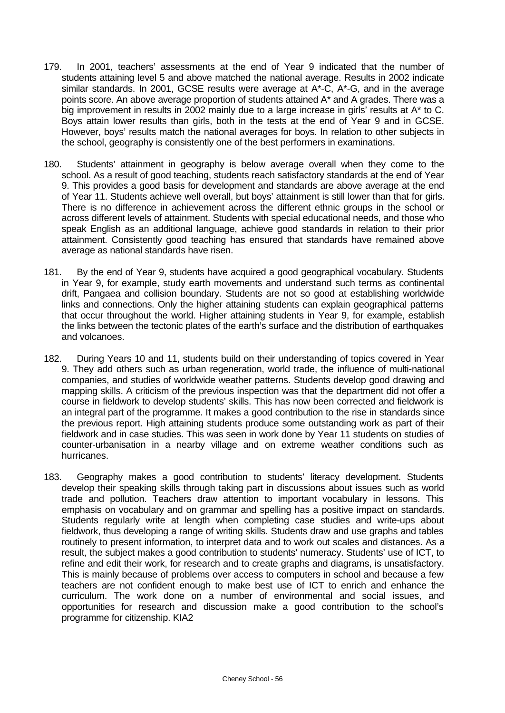- 179. In 2001, teachers' assessments at the end of Year 9 indicated that the number of students attaining level 5 and above matched the national average. Results in 2002 indicate similar standards. In 2001, GCSE results were average at A\*-C, A\*-G, and in the average points score. An above average proportion of students attained A\* and A grades. There was a big improvement in results in 2002 mainly due to a large increase in girls' results at A<sup>\*</sup> to C. Boys attain lower results than girls, both in the tests at the end of Year 9 and in GCSE. However, boys' results match the national averages for boys. In relation to other subjects in the school, geography is consistently one of the best performers in examinations.
- 180. Students' attainment in geography is below average overall when they come to the school. As a result of good teaching, students reach satisfactory standards at the end of Year 9. This provides a good basis for development and standards are above average at the end of Year 11. Students achieve well overall, but boys' attainment is still lower than that for girls. There is no difference in achievement across the different ethnic groups in the school or across different levels of attainment. Students with special educational needs, and those who speak English as an additional language, achieve good standards in relation to their prior attainment. Consistently good teaching has ensured that standards have remained above average as national standards have risen.
- 181. By the end of Year 9, students have acquired a good geographical vocabulary. Students in Year 9, for example, study earth movements and understand such terms as continental drift, Pangaea and collision boundary. Students are not so good at establishing worldwide links and connections. Only the higher attaining students can explain geographical patterns that occur throughout the world. Higher attaining students in Year 9, for example, establish the links between the tectonic plates of the earth's surface and the distribution of earthquakes and volcanoes.
- 182. During Years 10 and 11, students build on their understanding of topics covered in Year 9. They add others such as urban regeneration, world trade, the influence of multi-national companies, and studies of worldwide weather patterns. Students develop good drawing and mapping skills. A criticism of the previous inspection was that the department did not offer a course in fieldwork to develop students' skills. This has now been corrected and fieldwork is an integral part of the programme. It makes a good contribution to the rise in standards since the previous report. High attaining students produce some outstanding work as part of their fieldwork and in case studies. This was seen in work done by Year 11 students on studies of counter-urbanisation in a nearby village and on extreme weather conditions such as hurricanes.
- 183. Geography makes a good contribution to students' literacy development. Students develop their speaking skills through taking part in discussions about issues such as world trade and pollution. Teachers draw attention to important vocabulary in lessons. This emphasis on vocabulary and on grammar and spelling has a positive impact on standards. Students regularly write at length when completing case studies and write-ups about fieldwork, thus developing a range of writing skills. Students draw and use graphs and tables routinely to present information, to interpret data and to work out scales and distances. As a result, the subject makes a good contribution to students' numeracy. Students' use of ICT, to refine and edit their work, for research and to create graphs and diagrams, is unsatisfactory. This is mainly because of problems over access to computers in school and because a few teachers are not confident enough to make best use of ICT to enrich and enhance the curriculum. The work done on a number of environmental and social issues, and opportunities for research and discussion make a good contribution to the school's programme for citizenship. KIA2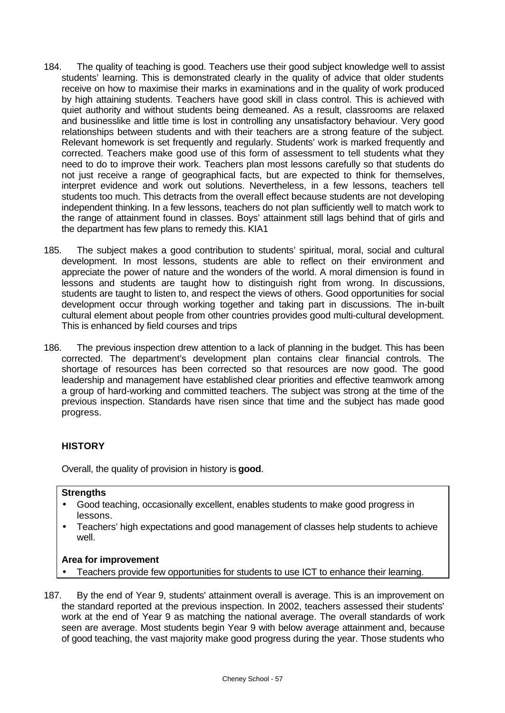- 184. The quality of teaching is good. Teachers use their good subject knowledge well to assist students' learning. This is demonstrated clearly in the quality of advice that older students receive on how to maximise their marks in examinations and in the quality of work produced by high attaining students. Teachers have good skill in class control. This is achieved with quiet authority and without students being demeaned. As a result, classrooms are relaxed and businesslike and little time is lost in controlling any unsatisfactory behaviour. Very good relationships between students and with their teachers are a strong feature of the subject. Relevant homework is set frequently and regularly. Students' work is marked frequently and corrected. Teachers make good use of this form of assessment to tell students what they need to do to improve their work. Teachers plan most lessons carefully so that students do not just receive a range of geographical facts, but are expected to think for themselves, interpret evidence and work out solutions. Nevertheless, in a few lessons, teachers tell students too much. This detracts from the overall effect because students are not developing independent thinking. In a few lessons, teachers do not plan sufficiently well to match work to the range of attainment found in classes. Boys' attainment still lags behind that of girls and the department has few plans to remedy this. KIA1
- 185. The subject makes a good contribution to students' spiritual, moral, social and cultural development. In most lessons, students are able to reflect on their environment and appreciate the power of nature and the wonders of the world. A moral dimension is found in lessons and students are taught how to distinguish right from wrong. In discussions, students are taught to listen to, and respect the views of others. Good opportunities for social development occur through working together and taking part in discussions. The in-built cultural element about people from other countries provides good multi-cultural development. This is enhanced by field courses and trips
- 186. The previous inspection drew attention to a lack of planning in the budget. This has been corrected. The department's development plan contains clear financial controls. The shortage of resources has been corrected so that resources are now good. The good leadership and management have established clear priorities and effective teamwork among a group of hard-working and committed teachers. The subject was strong at the time of the previous inspection. Standards have risen since that time and the subject has made good progress.

# **HISTORY**

Overall, the quality of provision in history is **good**.

#### **Strengths**

- Good teaching, occasionally excellent, enables students to make good progress in lessons.
- Teachers' high expectations and good management of classes help students to achieve well.

- Teachers provide few opportunities for students to use ICT to enhance their learning.
- 187. By the end of Year 9, students' attainment overall is average. This is an improvement on the standard reported at the previous inspection. In 2002, teachers assessed their students' work at the end of Year 9 as matching the national average. The overall standards of work seen are average. Most students begin Year 9 with below average attainment and, because of good teaching, the vast majority make good progress during the year. Those students who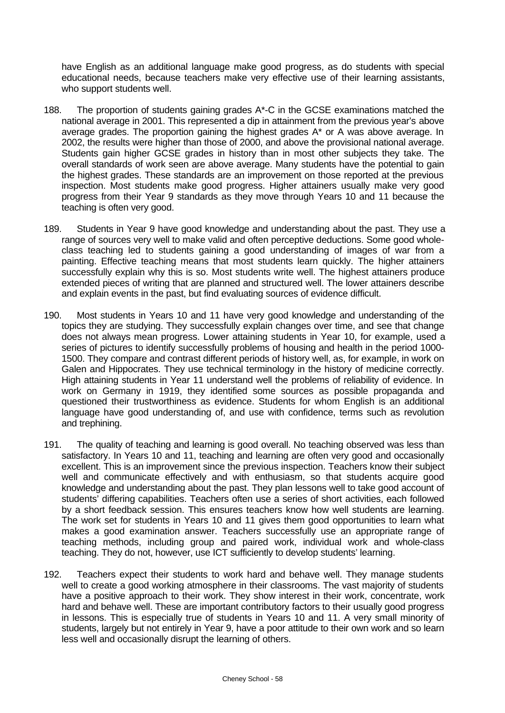have English as an additional language make good progress, as do students with special educational needs, because teachers make very effective use of their learning assistants, who support students well.

- 188. The proportion of students gaining grades A\*-C in the GCSE examinations matched the national average in 2001. This represented a dip in attainment from the previous year's above average grades. The proportion gaining the highest grades A\* or A was above average. In 2002, the results were higher than those of 2000, and above the provisional national average. Students gain higher GCSE grades in history than in most other subjects they take. The overall standards of work seen are above average. Many students have the potential to gain the highest grades. These standards are an improvement on those reported at the previous inspection. Most students make good progress. Higher attainers usually make very good progress from their Year 9 standards as they move through Years 10 and 11 because the teaching is often very good.
- 189. Students in Year 9 have good knowledge and understanding about the past. They use a range of sources very well to make valid and often perceptive deductions. Some good wholeclass teaching led to students gaining a good understanding of images of war from a painting. Effective teaching means that most students learn quickly. The higher attainers successfully explain why this is so. Most students write well. The highest attainers produce extended pieces of writing that are planned and structured well. The lower attainers describe and explain events in the past, but find evaluating sources of evidence difficult.
- 190. Most students in Years 10 and 11 have very good knowledge and understanding of the topics they are studying. They successfully explain changes over time, and see that change does not always mean progress. Lower attaining students in Year 10, for example, used a series of pictures to identify successfully problems of housing and health in the period 1000- 1500. They compare and contrast different periods of history well, as, for example, in work on Galen and Hippocrates. They use technical terminology in the history of medicine correctly. High attaining students in Year 11 understand well the problems of reliability of evidence. In work on Germany in 1919, they identified some sources as possible propaganda and questioned their trustworthiness as evidence. Students for whom English is an additional language have good understanding of, and use with confidence, terms such as revolution and trephining.
- 191. The quality of teaching and learning is good overall. No teaching observed was less than satisfactory. In Years 10 and 11, teaching and learning are often very good and occasionally excellent. This is an improvement since the previous inspection. Teachers know their subject well and communicate effectively and with enthusiasm, so that students acquire good knowledge and understanding about the past. They plan lessons well to take good account of students' differing capabilities. Teachers often use a series of short activities, each followed by a short feedback session. This ensures teachers know how well students are learning. The work set for students in Years 10 and 11 gives them good opportunities to learn what makes a good examination answer. Teachers successfully use an appropriate range of teaching methods, including group and paired work, individual work and whole-class teaching. They do not, however, use ICT sufficiently to develop students' learning.
- 192. Teachers expect their students to work hard and behave well. They manage students well to create a good working atmosphere in their classrooms. The vast majority of students have a positive approach to their work. They show interest in their work, concentrate, work hard and behave well. These are important contributory factors to their usually good progress in lessons. This is especially true of students in Years 10 and 11. A very small minority of students, largely but not entirely in Year 9, have a poor attitude to their own work and so learn less well and occasionally disrupt the learning of others.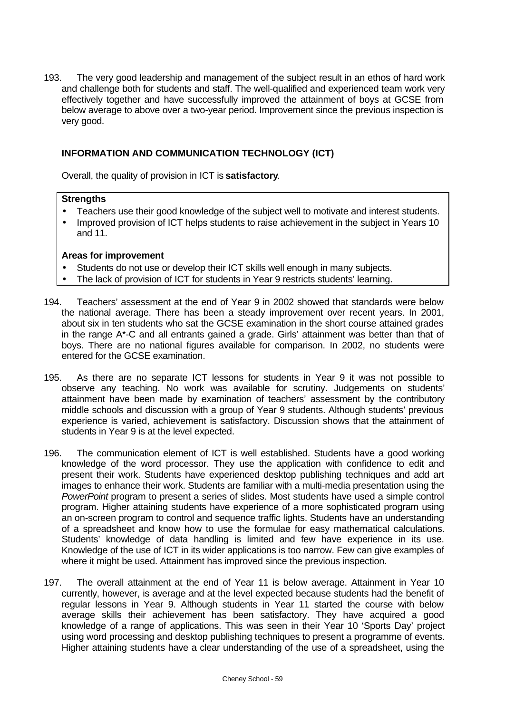193. The very good leadership and management of the subject result in an ethos of hard work and challenge both for students and staff. The well-qualified and experienced team work very effectively together and have successfully improved the attainment of boys at GCSE from below average to above over a two-year period. Improvement since the previous inspection is very good.

# **INFORMATION AND COMMUNICATION TECHNOLOGY (ICT)**

Overall, the quality of provision in ICT is **satisfactory**.

#### **Strengths**

- Teachers use their good knowledge of the subject well to motivate and interest students.
- Improved provision of ICT helps students to raise achievement in the subject in Years 10 and 11.

- Students do not use or develop their ICT skills well enough in many subjects.
- The lack of provision of ICT for students in Year 9 restricts students' learning.
- 194. Teachers' assessment at the end of Year 9 in 2002 showed that standards were below the national average. There has been a steady improvement over recent years. In 2001, about six in ten students who sat the GCSE examination in the short course attained grades in the range A\*-C and all entrants gained a grade. Girls' attainment was better than that of boys. There are no national figures available for comparison. In 2002, no students were entered for the GCSE examination.
- 195. As there are no separate ICT lessons for students in Year 9 it was not possible to observe any teaching. No work was available for scrutiny. Judgements on students' attainment have been made by examination of teachers' assessment by the contributory middle schools and discussion with a group of Year 9 students. Although students' previous experience is varied, achievement is satisfactory. Discussion shows that the attainment of students in Year 9 is at the level expected.
- 196. The communication element of ICT is well established. Students have a good working knowledge of the word processor. They use the application with confidence to edit and present their work. Students have experienced desktop publishing techniques and add art images to enhance their work. Students are familiar with a multi-media presentation using the *PowerPoint* program to present a series of slides. Most students have used a simple control program. Higher attaining students have experience of a more sophisticated program using an on-screen program to control and sequence traffic lights. Students have an understanding of a spreadsheet and know how to use the formulae for easy mathematical calculations. Students' knowledge of data handling is limited and few have experience in its use. Knowledge of the use of ICT in its wider applications is too narrow. Few can give examples of where it might be used. Attainment has improved since the previous inspection.
- 197. The overall attainment at the end of Year 11 is below average. Attainment in Year 10 currently, however, is average and at the level expected because students had the benefit of regular lessons in Year 9. Although students in Year 11 started the course with below average skills their achievement has been satisfactory. They have acquired a good knowledge of a range of applications. This was seen in their Year 10 'Sports Day' project using word processing and desktop publishing techniques to present a programme of events. Higher attaining students have a clear understanding of the use of a spreadsheet, using the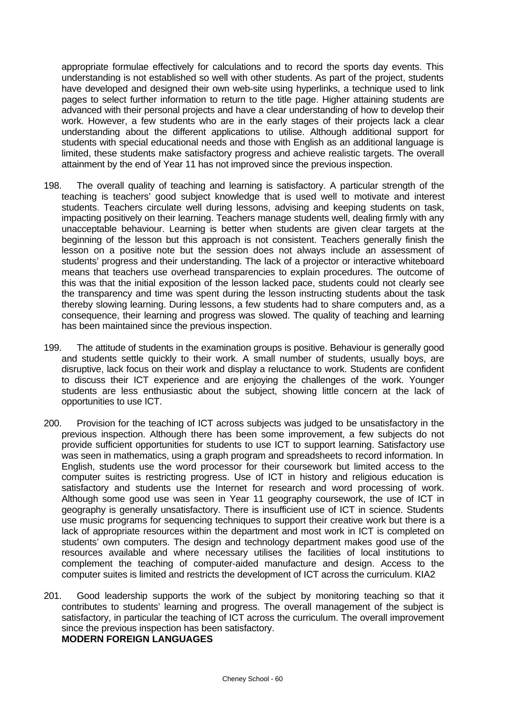appropriate formulae effectively for calculations and to record the sports day events. This understanding is not established so well with other students. As part of the project, students have developed and designed their own web-site using hyperlinks, a technique used to link pages to select further information to return to the title page. Higher attaining students are advanced with their personal projects and have a clear understanding of how to develop their work. However, a few students who are in the early stages of their projects lack a clear understanding about the different applications to utilise. Although additional support for students with special educational needs and those with English as an additional language is limited, these students make satisfactory progress and achieve realistic targets. The overall attainment by the end of Year 11 has not improved since the previous inspection.

- 198. The overall quality of teaching and learning is satisfactory. A particular strength of the teaching is teachers' good subject knowledge that is used well to motivate and interest students. Teachers circulate well during lessons, advising and keeping students on task, impacting positively on their learning. Teachers manage students well, dealing firmly with any unacceptable behaviour. Learning is better when students are given clear targets at the beginning of the lesson but this approach is not consistent. Teachers generally finish the lesson on a positive note but the session does not always include an assessment of students' progress and their understanding. The lack of a projector or interactive whiteboard means that teachers use overhead transparencies to explain procedures. The outcome of this was that the initial exposition of the lesson lacked pace, students could not clearly see the transparency and time was spent during the lesson instructing students about the task thereby slowing learning. During lessons, a few students had to share computers and, as a consequence, their learning and progress was slowed. The quality of teaching and learning has been maintained since the previous inspection.
- 199. The attitude of students in the examination groups is positive. Behaviour is generally good and students settle quickly to their work. A small number of students, usually boys, are disruptive, lack focus on their work and display a reluctance to work. Students are confident to discuss their ICT experience and are enjoying the challenges of the work. Younger students are less enthusiastic about the subject, showing little concern at the lack of opportunities to use ICT.
- 200. Provision for the teaching of ICT across subjects was judged to be unsatisfactory in the previous inspection. Although there has been some improvement, a few subjects do not provide sufficient opportunities for students to use ICT to support learning. Satisfactory use was seen in mathematics, using a graph program and spreadsheets to record information. In English, students use the word processor for their coursework but limited access to the computer suites is restricting progress. Use of ICT in history and religious education is satisfactory and students use the Internet for research and word processing of work. Although some good use was seen in Year 11 geography coursework, the use of ICT in geography is generally unsatisfactory. There is insufficient use of ICT in science. Students use music programs for sequencing techniques to support their creative work but there is a lack of appropriate resources within the department and most work in ICT is completed on students' own computers. The design and technology department makes good use of the resources available and where necessary utilises the facilities of local institutions to complement the teaching of computer-aided manufacture and design. Access to the computer suites is limited and restricts the development of ICT across the curriculum. KIA2
- 201. Good leadership supports the work of the subject by monitoring teaching so that it contributes to students' learning and progress. The overall management of the subject is satisfactory, in particular the teaching of ICT across the curriculum. The overall improvement since the previous inspection has been satisfactory. **MODERN FOREIGN LANGUAGES**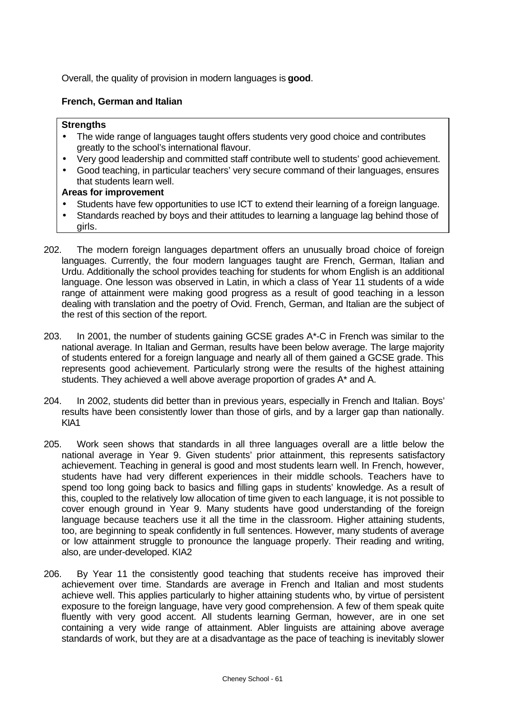Overall, the quality of provision in modern languages is **good**.

# **French, German and Italian**

## **Strengths**

- The wide range of languages taught offers students very good choice and contributes greatly to the school's international flavour.
- Very good leadership and committed staff contribute well to students' good achievement.
- Good teaching, in particular teachers' very secure command of their languages, ensures that students learn well.

- Students have few opportunities to use ICT to extend their learning of a foreign language.
- Standards reached by boys and their attitudes to learning a language lag behind those of girls.
- 202. The modern foreign languages department offers an unusually broad choice of foreign languages. Currently, the four modern languages taught are French, German, Italian and Urdu. Additionally the school provides teaching for students for whom English is an additional language. One lesson was observed in Latin, in which a class of Year 11 students of a wide range of attainment were making good progress as a result of good teaching in a lesson dealing with translation and the poetry of Ovid. French, German, and Italian are the subject of the rest of this section of the report.
- 203. In 2001, the number of students gaining GCSE grades A\*-C in French was similar to the national average. In Italian and German, results have been below average. The large majority of students entered for a foreign language and nearly all of them gained a GCSE grade. This represents good achievement. Particularly strong were the results of the highest attaining students. They achieved a well above average proportion of grades A\* and A.
- 204. In 2002, students did better than in previous years, especially in French and Italian. Boys' results have been consistently lower than those of girls, and by a larger gap than nationally. KIA1
- 205. Work seen shows that standards in all three languages overall are a little below the national average in Year 9. Given students' prior attainment, this represents satisfactory achievement. Teaching in general is good and most students learn well. In French, however, students have had very different experiences in their middle schools. Teachers have to spend too long going back to basics and filling gaps in students' knowledge. As a result of this, coupled to the relatively low allocation of time given to each language, it is not possible to cover enough ground in Year 9. Many students have good understanding of the foreign language because teachers use it all the time in the classroom. Higher attaining students, too, are beginning to speak confidently in full sentences. However, many students of average or low attainment struggle to pronounce the language properly. Their reading and writing, also, are under-developed. KIA2
- 206. By Year 11 the consistently good teaching that students receive has improved their achievement over time. Standards are average in French and Italian and most students achieve well. This applies particularly to higher attaining students who, by virtue of persistent exposure to the foreign language, have very good comprehension. A few of them speak quite fluently with very good accent. All students learning German, however, are in one set containing a very wide range of attainment. Abler linguists are attaining above average standards of work, but they are at a disadvantage as the pace of teaching is inevitably slower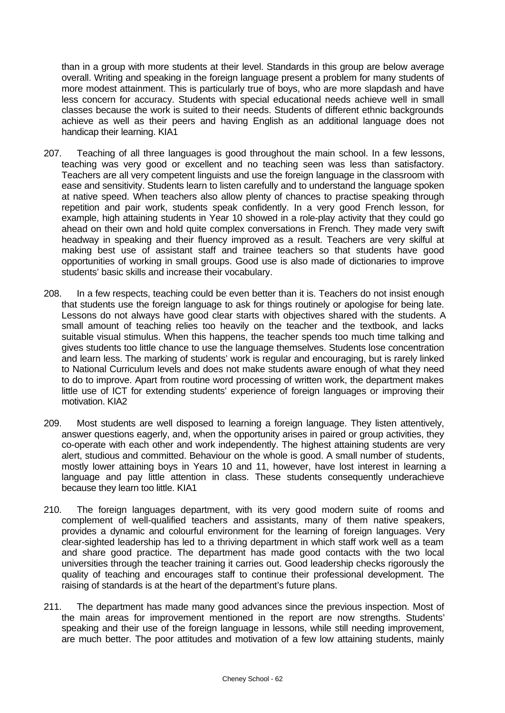than in a group with more students at their level. Standards in this group are below average overall. Writing and speaking in the foreign language present a problem for many students of more modest attainment. This is particularly true of boys, who are more slapdash and have less concern for accuracy. Students with special educational needs achieve well in small classes because the work is suited to their needs. Students of different ethnic backgrounds achieve as well as their peers and having English as an additional language does not handicap their learning. KIA1

- 207. Teaching of all three languages is good throughout the main school. In a few lessons, teaching was very good or excellent and no teaching seen was less than satisfactory. Teachers are all very competent linguists and use the foreign language in the classroom with ease and sensitivity. Students learn to listen carefully and to understand the language spoken at native speed. When teachers also allow plenty of chances to practise speaking through repetition and pair work, students speak confidently. In a very good French lesson, for example, high attaining students in Year 10 showed in a role-play activity that they could go ahead on their own and hold quite complex conversations in French. They made very swift headway in speaking and their fluency improved as a result. Teachers are very skilful at making best use of assistant staff and trainee teachers so that students have good opportunities of working in small groups. Good use is also made of dictionaries to improve students' basic skills and increase their vocabulary.
- 208. In a few respects, teaching could be even better than it is. Teachers do not insist enough that students use the foreign language to ask for things routinely or apologise for being late. Lessons do not always have good clear starts with objectives shared with the students. A small amount of teaching relies too heavily on the teacher and the textbook, and lacks suitable visual stimulus. When this happens, the teacher spends too much time talking and gives students too little chance to use the language themselves. Students lose concentration and learn less. The marking of students' work is regular and encouraging, but is rarely linked to National Curriculum levels and does not make students aware enough of what they need to do to improve. Apart from routine word processing of written work, the department makes little use of ICT for extending students' experience of foreign languages or improving their motivation. KIA2
- 209. Most students are well disposed to learning a foreign language. They listen attentively, answer questions eagerly, and, when the opportunity arises in paired or group activities, they co-operate with each other and work independently. The highest attaining students are very alert, studious and committed. Behaviour on the whole is good. A small number of students, mostly lower attaining boys in Years 10 and 11, however, have lost interest in learning a language and pay little attention in class. These students consequently underachieve because they learn too little. KIA1
- 210. The foreign languages department, with its very good modern suite of rooms and complement of well-qualified teachers and assistants, many of them native speakers, provides a dynamic and colourful environment for the learning of foreign languages. Very clear-sighted leadership has led to a thriving department in which staff work well as a team and share good practice. The department has made good contacts with the two local universities through the teacher training it carries out. Good leadership checks rigorously the quality of teaching and encourages staff to continue their professional development. The raising of standards is at the heart of the department's future plans.
- 211. The department has made many good advances since the previous inspection. Most of the main areas for improvement mentioned in the report are now strengths. Students' speaking and their use of the foreign language in lessons, while still needing improvement, are much better. The poor attitudes and motivation of a few low attaining students, mainly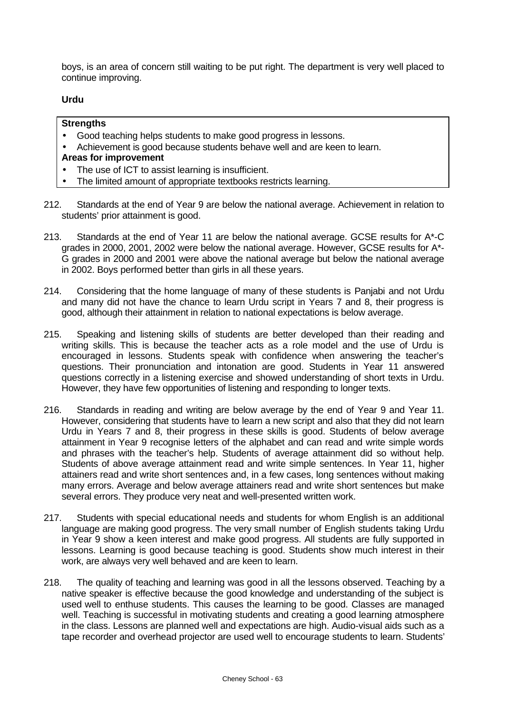boys, is an area of concern still waiting to be put right. The department is very well placed to continue improving.

# **Urdu**

## **Strengths**

- Good teaching helps students to make good progress in lessons.
- Achievement is good because students behave well and are keen to learn.

- The use of ICT to assist learning is insufficient.
- The limited amount of appropriate textbooks restricts learning.
- 212. Standards at the end of Year 9 are below the national average. Achievement in relation to students' prior attainment is good.
- 213. Standards at the end of Year 11 are below the national average. GCSE results for A\*-C grades in 2000, 2001, 2002 were below the national average. However, GCSE results for A\*- G grades in 2000 and 2001 were above the national average but below the national average in 2002. Boys performed better than girls in all these years.
- 214. Considering that the home language of many of these students is Panjabi and not Urdu and many did not have the chance to learn Urdu script in Years 7 and 8, their progress is good, although their attainment in relation to national expectations is below average.
- 215. Speaking and listening skills of students are better developed than their reading and writing skills. This is because the teacher acts as a role model and the use of Urdu is encouraged in lessons. Students speak with confidence when answering the teacher's questions. Their pronunciation and intonation are good. Students in Year 11 answered questions correctly in a listening exercise and showed understanding of short texts in Urdu. However, they have few opportunities of listening and responding to longer texts.
- 216. Standards in reading and writing are below average by the end of Year 9 and Year 11. However, considering that students have to learn a new script and also that they did not learn Urdu in Years 7 and 8, their progress in these skills is good. Students of below average attainment in Year 9 recognise letters of the alphabet and can read and write simple words and phrases with the teacher's help. Students of average attainment did so without help. Students of above average attainment read and write simple sentences. In Year 11, higher attainers read and write short sentences and, in a few cases, long sentences without making many errors. Average and below average attainers read and write short sentences but make several errors. They produce very neat and well-presented written work.
- 217. Students with special educational needs and students for whom English is an additional language are making good progress. The very small number of English students taking Urdu in Year 9 show a keen interest and make good progress. All students are fully supported in lessons. Learning is good because teaching is good. Students show much interest in their work, are always very well behaved and are keen to learn.
- 218. The quality of teaching and learning was good in all the lessons observed. Teaching by a native speaker is effective because the good knowledge and understanding of the subject is used well to enthuse students. This causes the learning to be good. Classes are managed well. Teaching is successful in motivating students and creating a good learning atmosphere in the class. Lessons are planned well and expectations are high. Audio-visual aids such as a tape recorder and overhead projector are used well to encourage students to learn. Students'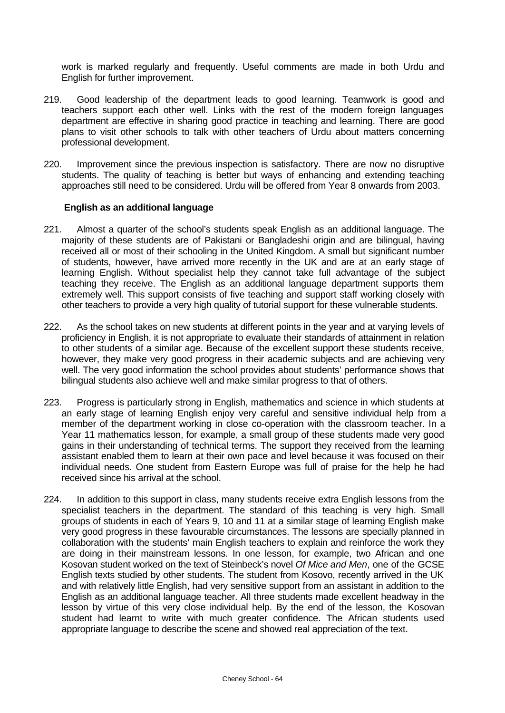work is marked regularly and frequently. Useful comments are made in both Urdu and English for further improvement.

- 219. Good leadership of the department leads to good learning. Teamwork is good and teachers support each other well. Links with the rest of the modern foreign languages department are effective in sharing good practice in teaching and learning. There are good plans to visit other schools to talk with other teachers of Urdu about matters concerning professional development.
- 220. Improvement since the previous inspection is satisfactory. There are now no disruptive students. The quality of teaching is better but ways of enhancing and extending teaching approaches still need to be considered. Urdu will be offered from Year 8 onwards from 2003.

## **English as an additional language**

- 221. Almost a quarter of the school's students speak English as an additional language. The majority of these students are of Pakistani or Bangladeshi origin and are bilingual, having received all or most of their schooling in the United Kingdom. A small but significant number of students, however, have arrived more recently in the UK and are at an early stage of learning English. Without specialist help they cannot take full advantage of the subject teaching they receive. The English as an additional language department supports them extremely well. This support consists of five teaching and support staff working closely with other teachers to provide a very high quality of tutorial support for these vulnerable students.
- 222. As the school takes on new students at different points in the year and at varying levels of proficiency in English, it is not appropriate to evaluate their standards of attainment in relation to other students of a similar age. Because of the excellent support these students receive, however, they make very good progress in their academic subjects and are achieving very well. The very good information the school provides about students' performance shows that bilingual students also achieve well and make similar progress to that of others.
- 223. Progress is particularly strong in English, mathematics and science in which students at an early stage of learning English enjoy very careful and sensitive individual help from a member of the department working in close co-operation with the classroom teacher. In a Year 11 mathematics lesson, for example, a small group of these students made very good gains in their understanding of technical terms. The support they received from the learning assistant enabled them to learn at their own pace and level because it was focused on their individual needs. One student from Eastern Europe was full of praise for the help he had received since his arrival at the school.
- 224. In addition to this support in class, many students receive extra English lessons from the specialist teachers in the department. The standard of this teaching is very high. Small groups of students in each of Years 9, 10 and 11 at a similar stage of learning English make very good progress in these favourable circumstances. The lessons are specially planned in collaboration with the students' main English teachers to explain and reinforce the work they are doing in their mainstream lessons. In one lesson, for example, two African and one Kosovan student worked on the text of Steinbeck's novel *Of Mice and Men*, one of the GCSE English texts studied by other students. The student from Kosovo, recently arrived in the UK and with relatively little English, had very sensitive support from an assistant in addition to the English as an additional language teacher. All three students made excellent headway in the lesson by virtue of this very close individual help. By the end of the lesson, the Kosovan student had learnt to write with much greater confidence. The African students used appropriate language to describe the scene and showed real appreciation of the text.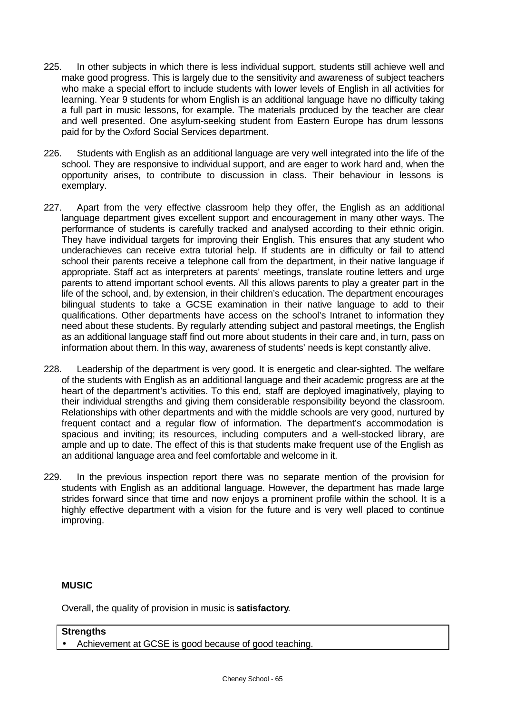- 225. In other subjects in which there is less individual support, students still achieve well and make good progress. This is largely due to the sensitivity and awareness of subject teachers who make a special effort to include students with lower levels of English in all activities for learning. Year 9 students for whom English is an additional language have no difficulty taking a full part in music lessons, for example. The materials produced by the teacher are clear and well presented. One asylum-seeking student from Eastern Europe has drum lessons paid for by the Oxford Social Services department.
- 226. Students with English as an additional language are very well integrated into the life of the school. They are responsive to individual support, and are eager to work hard and, when the opportunity arises, to contribute to discussion in class. Their behaviour in lessons is exemplary.
- 227. Apart from the very effective classroom help they offer, the English as an additional language department gives excellent support and encouragement in many other ways. The performance of students is carefully tracked and analysed according to their ethnic origin. They have individual targets for improving their English. This ensures that any student who underachieves can receive extra tutorial help. If students are in difficulty or fail to attend school their parents receive a telephone call from the department, in their native language if appropriate. Staff act as interpreters at parents' meetings, translate routine letters and urge parents to attend important school events. All this allows parents to play a greater part in the life of the school, and, by extension, in their children's education. The department encourages bilingual students to take a GCSE examination in their native language to add to their qualifications. Other departments have access on the school's Intranet to information they need about these students. By regularly attending subject and pastoral meetings, the English as an additional language staff find out more about students in their care and, in turn, pass on information about them. In this way, awareness of students' needs is kept constantly alive.
- 228. Leadership of the department is very good. It is energetic and clear-sighted. The welfare of the students with English as an additional language and their academic progress are at the heart of the department's activities. To this end, staff are deployed imaginatively, playing to their individual strengths and giving them considerable responsibility beyond the classroom. Relationships with other departments and with the middle schools are very good, nurtured by frequent contact and a regular flow of information. The department's accommodation is spacious and inviting; its resources, including computers and a well-stocked library, are ample and up to date. The effect of this is that students make frequent use of the English as an additional language area and feel comfortable and welcome in it.
- 229. In the previous inspection report there was no separate mention of the provision for students with English as an additional language. However, the department has made large strides forward since that time and now enjoys a prominent profile within the school. It is a highly effective department with a vision for the future and is very well placed to continue improving.

# **MUSIC**

Overall, the quality of provision in music is **satisfactory**.

# **Strengths**

• Achievement at GCSE is good because of good teaching.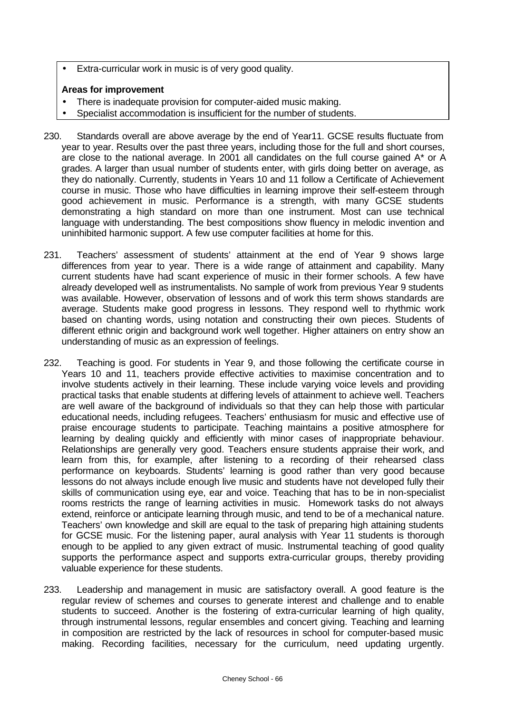• Extra-curricular work in music is of very good quality.

- There is inadequate provision for computer-aided music making.
- Specialist accommodation is insufficient for the number of students.
- 230. Standards overall are above average by the end of Year11. GCSE results fluctuate from year to year. Results over the past three years, including those for the full and short courses, are close to the national average. In 2001 all candidates on the full course gained A\* or A grades. A larger than usual number of students enter, with girls doing better on average, as they do nationally. Currently, students in Years 10 and 11 follow a Certificate of Achievement course in music. Those who have difficulties in learning improve their self-esteem through good achievement in music. Performance is a strength, with many GCSE students demonstrating a high standard on more than one instrument. Most can use technical language with understanding. The best compositions show fluency in melodic invention and uninhibited harmonic support. A few use computer facilities at home for this.
- 231. Teachers' assessment of students' attainment at the end of Year 9 shows large differences from year to year. There is a wide range of attainment and capability. Many current students have had scant experience of music in their former schools. A few have already developed well as instrumentalists. No sample of work from previous Year 9 students was available. However, observation of lessons and of work this term shows standards are average. Students make good progress in lessons. They respond well to rhythmic work based on chanting words, using notation and constructing their own pieces. Students of different ethnic origin and background work well together. Higher attainers on entry show an understanding of music as an expression of feelings.
- 232. Teaching is good. For students in Year 9, and those following the certificate course in Years 10 and 11, teachers provide effective activities to maximise concentration and to involve students actively in their learning. These include varying voice levels and providing practical tasks that enable students at differing levels of attainment to achieve well. Teachers are well aware of the background of individuals so that they can help those with particular educational needs, including refugees. Teachers' enthusiasm for music and effective use of praise encourage students to participate. Teaching maintains a positive atmosphere for learning by dealing quickly and efficiently with minor cases of inappropriate behaviour. Relationships are generally very good. Teachers ensure students appraise their work, and learn from this, for example, after listening to a recording of their rehearsed class performance on keyboards. Students' learning is good rather than very good because lessons do not always include enough live music and students have not developed fully their skills of communication using eye, ear and voice. Teaching that has to be in non-specialist rooms restricts the range of learning activities in music. Homework tasks do not always extend, reinforce or anticipate learning through music, and tend to be of a mechanical nature. Teachers' own knowledge and skill are equal to the task of preparing high attaining students for GCSE music. For the listening paper, aural analysis with Year 11 students is thorough enough to be applied to any given extract of music. Instrumental teaching of good quality supports the performance aspect and supports extra-curricular groups, thereby providing valuable experience for these students.
- 233. Leadership and management in music are satisfactory overall. A good feature is the regular review of schemes and courses to generate interest and challenge and to enable students to succeed. Another is the fostering of extra-curricular learning of high quality, through instrumental lessons, regular ensembles and concert giving. Teaching and learning in composition are restricted by the lack of resources in school for computer-based music making. Recording facilities, necessary for the curriculum, need updating urgently.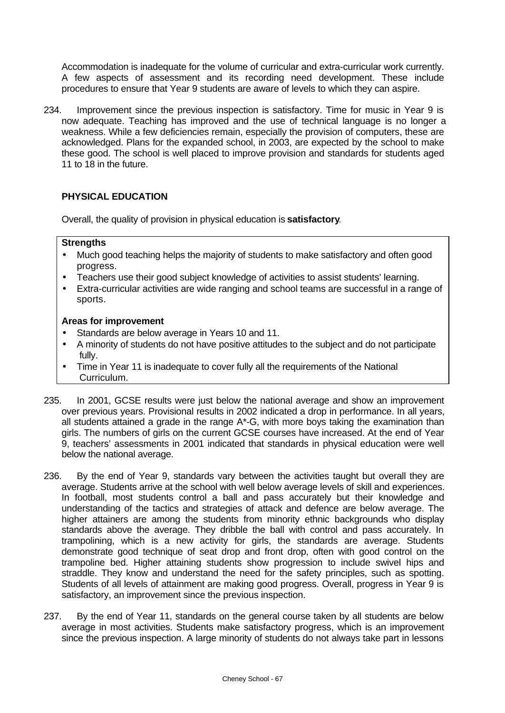Accommodation is inadequate for the volume of curricular and extra-curricular work currently. A few aspects of assessment and its recording need development. These include procedures to ensure that Year 9 students are aware of levels to which they can aspire.

234. Improvement since the previous inspection is satisfactory. Time for music in Year 9 is now adequate. Teaching has improved and the use of technical language is no longer a weakness. While a few deficiencies remain, especially the provision of computers, these are acknowledged. Plans for the expanded school, in 2003, are expected by the school to make these good. The school is well placed to improve provision and standards for students aged 11 to 18 in the future.

# **PHYSICAL EDUCATION**

Overall, the quality of provision in physical education is **satisfactory**.

# **Strengths**

- Much good teaching helps the majority of students to make satisfactory and often good progress.
- Teachers use their good subject knowledge of activities to assist students' learning.
- Extra-curricular activities are wide ranging and school teams are successful in a range of sports.

- Standards are below average in Years 10 and 11.
- A minority of students do not have positive attitudes to the subject and do not participate fully.
- Time in Year 11 is inadequate to cover fully all the requirements of the National Curriculum.
- 235. In 2001, GCSE results were just below the national average and show an improvement over previous years. Provisional results in 2002 indicated a drop in performance. In all years, all students attained a grade in the range A\*-G, with more boys taking the examination than girls. The numbers of girls on the current GCSE courses have increased. At the end of Year 9, teachers' assessments in 2001 indicated that standards in physical education were well below the national average.
- 236. By the end of Year 9, standards vary between the activities taught but overall they are average. Students arrive at the school with well below average levels of skill and experiences. In football, most students control a ball and pass accurately but their knowledge and understanding of the tactics and strategies of attack and defence are below average. The higher attainers are among the students from minority ethnic backgrounds who display standards above the average. They dribble the ball with control and pass accurately. In trampolining, which is a new activity for girls, the standards are average. Students demonstrate good technique of seat drop and front drop, often with good control on the trampoline bed. Higher attaining students show progression to include swivel hips and straddle. They know and understand the need for the safety principles, such as spotting. Students of all levels of attainment are making good progress. Overall, progress in Year 9 is satisfactory, an improvement since the previous inspection.
- 237. By the end of Year 11, standards on the general course taken by all students are below average in most activities. Students make satisfactory progress, which is an improvement since the previous inspection. A large minority of students do not always take part in lessons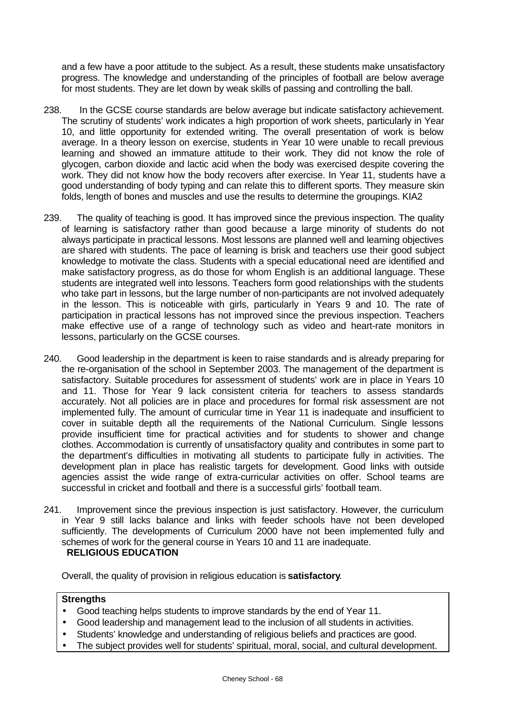and a few have a poor attitude to the subject. As a result, these students make unsatisfactory progress. The knowledge and understanding of the principles of football are below average for most students. They are let down by weak skills of passing and controlling the ball.

- 238. In the GCSE course standards are below average but indicate satisfactory achievement. The scrutiny of students' work indicates a high proportion of work sheets, particularly in Year 10, and little opportunity for extended writing. The overall presentation of work is below average. In a theory lesson on exercise, students in Year 10 were unable to recall previous learning and showed an immature attitude to their work. They did not know the role of glycogen, carbon dioxide and lactic acid when the body was exercised despite covering the work. They did not know how the body recovers after exercise. In Year 11, students have a good understanding of body typing and can relate this to different sports. They measure skin folds, length of bones and muscles and use the results to determine the groupings. KIA2
- 239. The quality of teaching is good. It has improved since the previous inspection. The quality of learning is satisfactory rather than good because a large minority of students do not always participate in practical lessons. Most lessons are planned well and learning objectives are shared with students. The pace of learning is brisk and teachers use their good subject knowledge to motivate the class. Students with a special educational need are identified and make satisfactory progress, as do those for whom English is an additional language. These students are integrated well into lessons. Teachers form good relationships with the students who take part in lessons, but the large number of non-participants are not involved adequately in the lesson. This is noticeable with girls, particularly in Years 9 and 10. The rate of participation in practical lessons has not improved since the previous inspection. Teachers make effective use of a range of technology such as video and heart-rate monitors in lessons, particularly on the GCSE courses.
- 240. Good leadership in the department is keen to raise standards and is already preparing for the re-organisation of the school in September 2003. The management of the department is satisfactory. Suitable procedures for assessment of students' work are in place in Years 10 and 11. Those for Year 9 lack consistent criteria for teachers to assess standards accurately. Not all policies are in place and procedures for formal risk assessment are not implemented fully. The amount of curricular time in Year 11 is inadequate and insufficient to cover in suitable depth all the requirements of the National Curriculum. Single lessons provide insufficient time for practical activities and for students to shower and change clothes. Accommodation is currently of unsatisfactory quality and contributes in some part to the department's difficulties in motivating all students to participate fully in activities. The development plan in place has realistic targets for development. Good links with outside agencies assist the wide range of extra-curricular activities on offer. School teams are successful in cricket and football and there is a successful girls' football team.
- 241. Improvement since the previous inspection is just satisfactory. However, the curriculum in Year 9 still lacks balance and links with feeder schools have not been developed sufficiently. The developments of Curriculum 2000 have not been implemented fully and schemes of work for the general course in Years 10 and 11 are inadequate.  **RELIGIOUS EDUCATION**

Overall, the quality of provision in religious education is **satisfactory**.

# **Strengths**

- Good teaching helps students to improve standards by the end of Year 11.
- Good leadership and management lead to the inclusion of all students in activities.
- Students' knowledge and understanding of religious beliefs and practices are good.
- The subject provides well for students' spiritual, moral, social, and cultural development.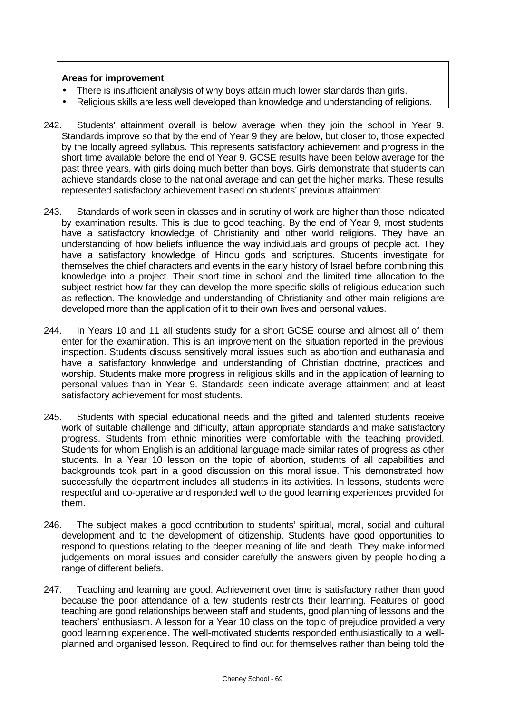- There is insufficient analysis of why boys attain much lower standards than girls.
- Religious skills are less well developed than knowledge and understanding of religions.
- 242. Students' attainment overall is below average when they join the school in Year 9. Standards improve so that by the end of Year 9 they are below, but closer to, those expected by the locally agreed syllabus. This represents satisfactory achievement and progress in the short time available before the end of Year 9. GCSE results have been below average for the past three years, with girls doing much better than boys. Girls demonstrate that students can achieve standards close to the national average and can get the higher marks. These results represented satisfactory achievement based on students' previous attainment.
- 243. Standards of work seen in classes and in scrutiny of work are higher than those indicated by examination results. This is due to good teaching. By the end of Year 9, most students have a satisfactory knowledge of Christianity and other world religions. They have an understanding of how beliefs influence the way individuals and groups of people act. They have a satisfactory knowledge of Hindu gods and scriptures. Students investigate for themselves the chief characters and events in the early history of Israel before combining this knowledge into a project. Their short time in school and the limited time allocation to the subject restrict how far they can develop the more specific skills of religious education such as reflection. The knowledge and understanding of Christianity and other main religions are developed more than the application of it to their own lives and personal values.
- 244. In Years 10 and 11 all students study for a short GCSE course and almost all of them enter for the examination. This is an improvement on the situation reported in the previous inspection. Students discuss sensitively moral issues such as abortion and euthanasia and have a satisfactory knowledge and understanding of Christian doctrine, practices and worship. Students make more progress in religious skills and in the application of learning to personal values than in Year 9. Standards seen indicate average attainment and at least satisfactory achievement for most students.
- 245. Students with special educational needs and the gifted and talented students receive work of suitable challenge and difficulty, attain appropriate standards and make satisfactory progress. Students from ethnic minorities were comfortable with the teaching provided. Students for whom English is an additional language made similar rates of progress as other students. In a Year 10 lesson on the topic of abortion, students of all capabilities and backgrounds took part in a good discussion on this moral issue. This demonstrated how successfully the department includes all students in its activities. In lessons, students were respectful and co-operative and responded well to the good learning experiences provided for them.
- 246. The subject makes a good contribution to students' spiritual, moral, social and cultural development and to the development of citizenship. Students have good opportunities to respond to questions relating to the deeper meaning of life and death. They make informed judgements on moral issues and consider carefully the answers given by people holding a range of different beliefs.
- 247. Teaching and learning are good. Achievement over time is satisfactory rather than good because the poor attendance of a few students restricts their learning. Features of good teaching are good relationships between staff and students, good planning of lessons and the teachers' enthusiasm. A lesson for a Year 10 class on the topic of prejudice provided a very good learning experience. The well-motivated students responded enthusiastically to a wellplanned and organised lesson. Required to find out for themselves rather than being told the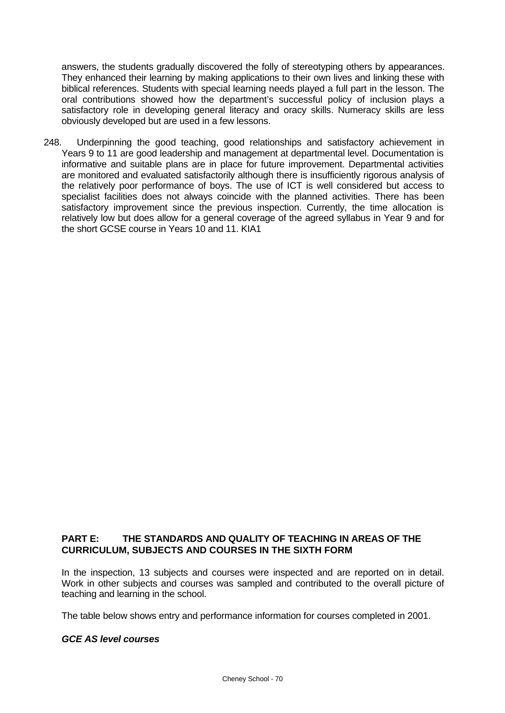answers, the students gradually discovered the folly of stereotyping others by appearances. They enhanced their learning by making applications to their own lives and linking these with biblical references. Students with special learning needs played a full part in the lesson. The oral contributions showed how the department's successful policy of inclusion plays a satisfactory role in developing general literacy and oracy skills. Numeracy skills are less obviously developed but are used in a few lessons.

248. Underpinning the good teaching, good relationships and satisfactory achievement in Years 9 to 11 are good leadership and management at departmental level. Documentation is informative and suitable plans are in place for future improvement. Departmental activities are monitored and evaluated satisfactorily although there is insufficiently rigorous analysis of the relatively poor performance of boys. The use of ICT is well considered but access to specialist facilities does not always coincide with the planned activities. There has been satisfactory improvement since the previous inspection. Currently, the time allocation is relatively low but does allow for a general coverage of the agreed syllabus in Year 9 and for the short GCSE course in Years 10 and 11. KIA1

# **PART E: THE STANDARDS AND QUALITY OF TEACHING IN AREAS OF THE CURRICULUM, SUBJECTS AND COURSES IN THE SIXTH FORM**

In the inspection, 13 subjects and courses were inspected and are reported on in detail. Work in other subjects and courses was sampled and contributed to the overall picture of teaching and learning in the school.

The table below shows entry and performance information for courses completed in 2001.

# *GCE AS level courses*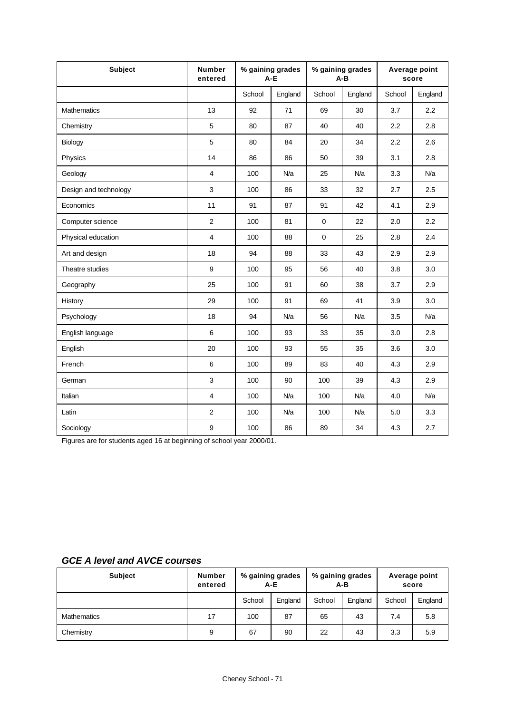| <b>Subject</b>        | <b>Number</b><br>entered | % gaining grades<br>$A-E$ |         | % gaining grades<br>$A - B$ |         | Average point<br>score |         |
|-----------------------|--------------------------|---------------------------|---------|-----------------------------|---------|------------------------|---------|
|                       |                          | School                    | England | School                      | England | School                 | England |
| Mathematics           | 13                       | 92                        | 71      | 69                          | 30      | 3.7                    | 2.2     |
| Chemistry             | 5                        | 80                        | 87      | 40                          | 40      | 2.2                    | 2.8     |
| Biology               | 5                        | 80                        | 84      | 20                          | 34      | 2.2                    | 2.6     |
| Physics               | 14                       | 86                        | 86      | 50                          | 39      | 3.1                    | 2.8     |
| Geology               | $\overline{4}$           | 100                       | N/a     | 25                          | N/a     | 3.3                    | N/a     |
| Design and technology | 3                        | 100                       | 86      | 33                          | 32      | 2.7                    | 2.5     |
| Economics             | 11                       | 91                        | 87      | 91                          | 42      | 4.1                    | 2.9     |
| Computer science      | 2                        | 100                       | 81      | $\mathbf 0$                 | 22      | 2.0                    | 2.2     |
| Physical education    | $\overline{4}$           | 100                       | 88      | $\mathbf 0$                 | 25      | 2.8                    | 2.4     |
| Art and design        | 18                       | 94                        | 88      | 33                          | 43      | 2.9                    | 2.9     |
| Theatre studies       | 9                        | 100                       | 95      | 56                          | 40      | 3.8                    | 3.0     |
| Geography             | 25                       | 100                       | 91      | 60                          | 38      | 3.7                    | 2.9     |
| History               | 29                       | 100                       | 91      | 69                          | 41      | 3.9                    | 3.0     |
| Psychology            | 18                       | 94                        | N/a     | 56                          | N/a     | 3.5                    | N/a     |
| English language      | 6                        | 100                       | 93      | 33                          | 35      | 3.0                    | 2.8     |
| English               | 20                       | 100                       | 93      | 55                          | 35      | 3.6                    | 3.0     |
| French                | 6                        | 100                       | 89      | 83                          | 40      | 4.3                    | 2.9     |
| German                | 3                        | 100                       | 90      | 100                         | 39      | 4.3                    | 2.9     |
| Italian               | $\overline{\mathbf{4}}$  | 100                       | N/a     | 100                         | N/a     | 4.0                    | N/a     |
| Latin                 | 2                        | 100                       | N/a     | 100                         | N/a     | 5.0                    | 3.3     |
| Sociology             | 9                        | 100                       | 86      | 89                          | 34      | 4.3                    | 2.7     |

Figures are for students aged 16 at beginning of school year 2000/01.

| <b>GCE A level and AVCE courses</b> |  |
|-------------------------------------|--|
|-------------------------------------|--|

| Subject            | <b>Number</b><br>entered | % gaining grades<br>$A-E$ |         | % gaining grades<br>$A-B$ |         | Average point<br>score |         |
|--------------------|--------------------------|---------------------------|---------|---------------------------|---------|------------------------|---------|
|                    |                          | School                    | England | School                    | England | School                 | England |
| <b>Mathematics</b> | 17                       | 100                       | 87      | 65                        | 43      | 7.4                    | 5.8     |
| Chemistry          | 9                        | 67                        | 90      | 22                        | 43      | 3.3                    | 5.9     |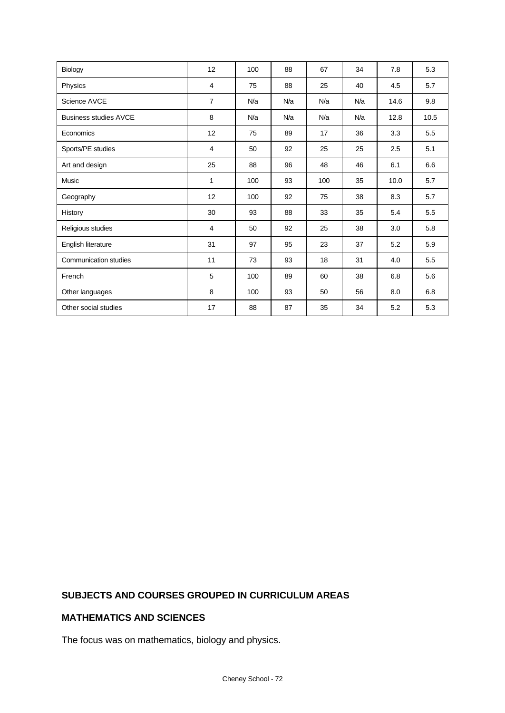| Biology                      | 12             | 100 | 88  | 67  | 34  | 7.8  | 5.3  |
|------------------------------|----------------|-----|-----|-----|-----|------|------|
| Physics                      | 4              | 75  | 88  | 25  | 40  | 4.5  | 5.7  |
| Science AVCE                 | $\overline{7}$ | N/a | N/a | N/a | N/a | 14.6 | 9.8  |
| <b>Business studies AVCE</b> | 8              | N/a | N/a | N/a | N/a | 12.8 | 10.5 |
| Economics                    | 12             | 75  | 89  | 17  | 36  | 3.3  | 5.5  |
| Sports/PE studies            | $\overline{4}$ | 50  | 92  | 25  | 25  | 2.5  | 5.1  |
| Art and design               | 25             | 88  | 96  | 48  | 46  | 6.1  | 6.6  |
| Music                        | $\mathbf{1}$   | 100 | 93  | 100 | 35  | 10.0 | 5.7  |
| Geography                    | 12             | 100 | 92  | 75  | 38  | 8.3  | 5.7  |
| History                      | 30             | 93  | 88  | 33  | 35  | 5.4  | 5.5  |
| Religious studies            | 4              | 50  | 92  | 25  | 38  | 3.0  | 5.8  |
| English literature           | 31             | 97  | 95  | 23  | 37  | 5.2  | 5.9  |
| Communication studies        | 11             | 73  | 93  | 18  | 31  | 4.0  | 5.5  |
| French                       | 5              | 100 | 89  | 60  | 38  | 6.8  | 5.6  |
| Other languages              | 8              | 100 | 93  | 50  | 56  | 8.0  | 6.8  |
| Other social studies         | 17             | 88  | 87  | 35  | 34  | 5.2  | 5.3  |

# **SUBJECTS AND COURSES GROUPED IN CURRICULUM AREAS**

# **MATHEMATICS AND SCIENCES**

The focus was on mathematics, biology and physics.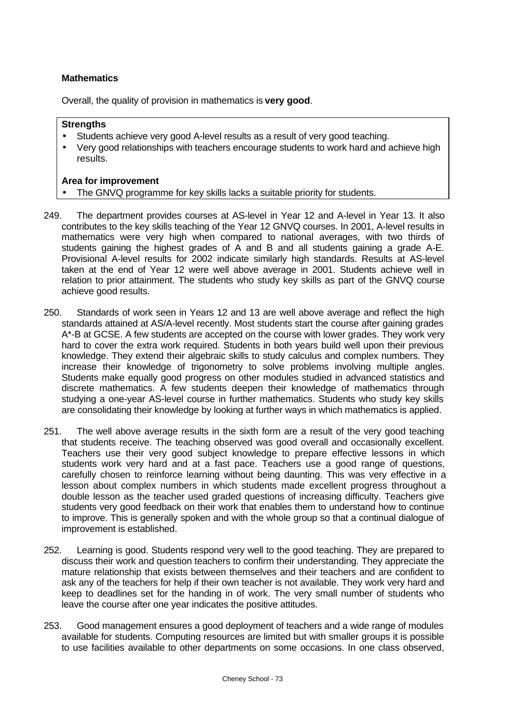## **Mathematics**

Overall, the quality of provision in mathematics is **very good**.

### **Strengths**

- Students achieve very good A-level results as a result of very good teaching.
- Very good relationships with teachers encourage students to work hard and achieve high results.

- The GNVQ programme for key skills lacks a suitable priority for students.
- 249. The department provides courses at AS-level in Year 12 and A-level in Year 13. It also contributes to the key skills teaching of the Year 12 GNVQ courses. In 2001, A-level results in mathematics were very high when compared to national averages, with two thirds of students gaining the highest grades of A and B and all students gaining a grade A-E. Provisional A-level results for 2002 indicate similarly high standards. Results at AS-level taken at the end of Year 12 were well above average in 2001. Students achieve well in relation to prior attainment. The students who study key skills as part of the GNVQ course achieve good results.
- 250. Standards of work seen in Years 12 and 13 are well above average and reflect the high standards attained at AS/A-level recently. Most students start the course after gaining grades A\*-B at GCSE. A few students are accepted on the course with lower grades. They work very hard to cover the extra work required. Students in both years build well upon their previous knowledge. They extend their algebraic skills to study calculus and complex numbers. They increase their knowledge of trigonometry to solve problems involving multiple angles. Students make equally good progress on other modules studied in advanced statistics and discrete mathematics. A few students deepen their knowledge of mathematics through studying a one-year AS-level course in further mathematics. Students who study key skills are consolidating their knowledge by looking at further ways in which mathematics is applied.
- 251. The well above average results in the sixth form are a result of the very good teaching that students receive. The teaching observed was good overall and occasionally excellent. Teachers use their very good subject knowledge to prepare effective lessons in which students work very hard and at a fast pace. Teachers use a good range of questions, carefully chosen to reinforce learning without being daunting. This was very effective in a lesson about complex numbers in which students made excellent progress throughout a double lesson as the teacher used graded questions of increasing difficulty. Teachers give students very good feedback on their work that enables them to understand how to continue to improve. This is generally spoken and with the whole group so that a continual dialogue of improvement is established.
- 252. Learning is good. Students respond very well to the good teaching. They are prepared to discuss their work and question teachers to confirm their understanding. They appreciate the mature relationship that exists between themselves and their teachers and are confident to ask any of the teachers for help if their own teacher is not available. They work very hard and keep to deadlines set for the handing in of work. The very small number of students who leave the course after one year indicates the positive attitudes.
- 253. Good management ensures a good deployment of teachers and a wide range of modules available for students. Computing resources are limited but with smaller groups it is possible to use facilities available to other departments on some occasions. In one class observed,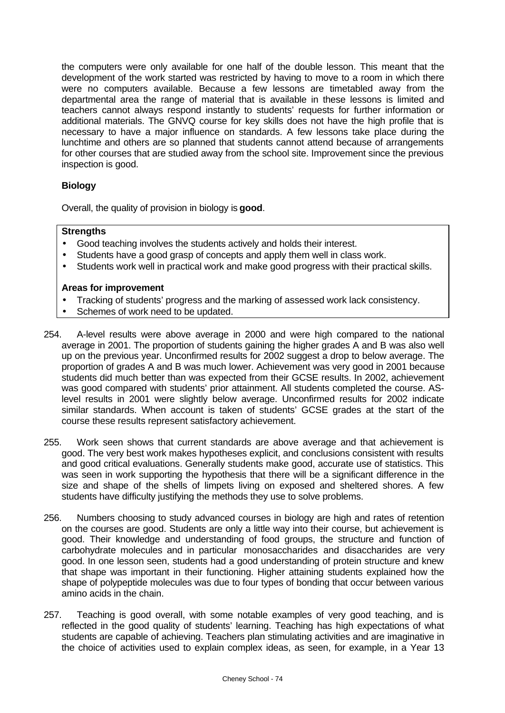the computers were only available for one half of the double lesson. This meant that the development of the work started was restricted by having to move to a room in which there were no computers available. Because a few lessons are timetabled away from the departmental area the range of material that is available in these lessons is limited and teachers cannot always respond instantly to students' requests for further information or additional materials. The GNVQ course for key skills does not have the high profile that is necessary to have a major influence on standards. A few lessons take place during the lunchtime and others are so planned that students cannot attend because of arrangements for other courses that are studied away from the school site. Improvement since the previous inspection is good.

# **Biology**

Overall, the quality of provision in biology is **good**.

### **Strengths**

- Good teaching involves the students actively and holds their interest.
- Students have a good grasp of concepts and apply them well in class work.
- Students work well in practical work and make good progress with their practical skills.

- Tracking of students' progress and the marking of assessed work lack consistency.
- Schemes of work need to be updated.
- 254. A-level results were above average in 2000 and were high compared to the national average in 2001. The proportion of students gaining the higher grades A and B was also well up on the previous year. Unconfirmed results for 2002 suggest a drop to below average. The proportion of grades A and B was much lower. Achievement was very good in 2001 because students did much better than was expected from their GCSE results. In 2002, achievement was good compared with students' prior attainment. All students completed the course. ASlevel results in 2001 were slightly below average. Unconfirmed results for 2002 indicate similar standards. When account is taken of students' GCSE grades at the start of the course these results represent satisfactory achievement.
- 255. Work seen shows that current standards are above average and that achievement is good. The very best work makes hypotheses explicit, and conclusions consistent with results and good critical evaluations. Generally students make good, accurate use of statistics. This was seen in work supporting the hypothesis that there will be a significant difference in the size and shape of the shells of limpets living on exposed and sheltered shores. A few students have difficulty justifying the methods they use to solve problems.
- 256. Numbers choosing to study advanced courses in biology are high and rates of retention on the courses are good. Students are only a little way into their course, but achievement is good. Their knowledge and understanding of food groups, the structure and function of carbohydrate molecules and in particular monosaccharides and disaccharides are very good. In one lesson seen, students had a good understanding of protein structure and knew that shape was important in their functioning. Higher attaining students explained how the shape of polypeptide molecules was due to four types of bonding that occur between various amino acids in the chain.
- 257. Teaching is good overall, with some notable examples of very good teaching, and is reflected in the good quality of students' learning. Teaching has high expectations of what students are capable of achieving. Teachers plan stimulating activities and are imaginative in the choice of activities used to explain complex ideas, as seen, for example, in a Year 13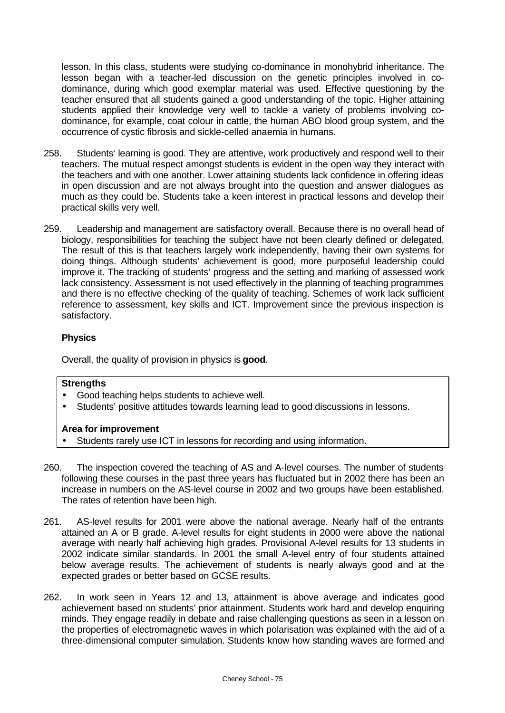lesson. In this class, students were studying co-dominance in monohybrid inheritance. The lesson began with a teacher-led discussion on the genetic principles involved in codominance, during which good exemplar material was used. Effective questioning by the teacher ensured that all students gained a good understanding of the topic. Higher attaining students applied their knowledge very well to tackle a variety of problems involving codominance, for example, coat colour in cattle, the human ABO blood group system, and the occurrence of cystic fibrosis and sickle-celled anaemia in humans.

- 258. Students' learning is good. They are attentive, work productively and respond well to their teachers. The mutual respect amongst students is evident in the open way they interact with the teachers and with one another. Lower attaining students lack confidence in offering ideas in open discussion and are not always brought into the question and answer dialogues as much as they could be. Students take a keen interest in practical lessons and develop their practical skills very well.
- 259. Leadership and management are satisfactory overall. Because there is no overall head of biology, responsibilities for teaching the subject have not been clearly defined or delegated. The result of this is that teachers largely work independently, having their own systems for doing things. Although students' achievement is good, more purposeful leadership could improve it. The tracking of students' progress and the setting and marking of assessed work lack consistency. Assessment is not used effectively in the planning of teaching programmes and there is no effective checking of the quality of teaching. Schemes of work lack sufficient reference to assessment, key skills and ICT. Improvement since the previous inspection is satisfactory.

# **Physics**

Overall, the quality of provision in physics is **good**.

### **Strengths**

- Good teaching helps students to achieve well.
- Students' positive attitudes towards learning lead to good discussions in lessons.

- Students rarely use ICT in lessons for recording and using information.
- 260. The inspection covered the teaching of AS and A-level courses. The number of students following these courses in the past three years has fluctuated but in 2002 there has been an increase in numbers on the AS-level course in 2002 and two groups have been established. The rates of retention have been high.
- 261. AS-level results for 2001 were above the national average. Nearly half of the entrants attained an A or B grade. A-level results for eight students in 2000 were above the national average with nearly half achieving high grades. Provisional A-level results for 13 students in 2002 indicate similar standards. In 2001 the small A-level entry of four students attained below average results. The achievement of students is nearly always good and at the expected grades or better based on GCSE results.
- 262. In work seen in Years 12 and 13, attainment is above average and indicates good achievement based on students' prior attainment. Students work hard and develop enquiring minds. They engage readily in debate and raise challenging questions as seen in a lesson on the properties of electromagnetic waves in which polarisation was explained with the aid of a three-dimensional computer simulation. Students know how standing waves are formed and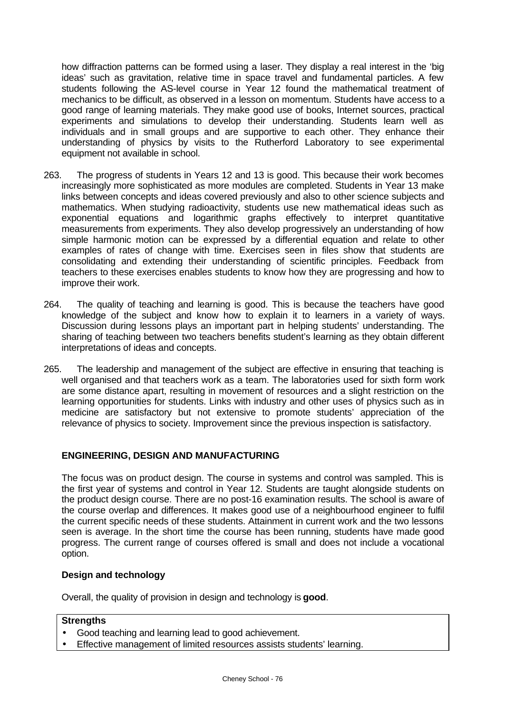how diffraction patterns can be formed using a laser. They display a real interest in the 'big ideas' such as gravitation, relative time in space travel and fundamental particles. A few students following the AS-level course in Year 12 found the mathematical treatment of mechanics to be difficult, as observed in a lesson on momentum. Students have access to a good range of learning materials. They make good use of books, Internet sources, practical experiments and simulations to develop their understanding. Students learn well as individuals and in small groups and are supportive to each other. They enhance their understanding of physics by visits to the Rutherford Laboratory to see experimental equipment not available in school.

- 263. The progress of students in Years 12 and 13 is good. This because their work becomes increasingly more sophisticated as more modules are completed. Students in Year 13 make links between concepts and ideas covered previously and also to other science subjects and mathematics. When studying radioactivity, students use new mathematical ideas such as exponential equations and logarithmic graphs effectively to interpret quantitative measurements from experiments. They also develop progressively an understanding of how simple harmonic motion can be expressed by a differential equation and relate to other examples of rates of change with time. Exercises seen in files show that students are consolidating and extending their understanding of scientific principles. Feedback from teachers to these exercises enables students to know how they are progressing and how to improve their work.
- 264. The quality of teaching and learning is good. This is because the teachers have good knowledge of the subject and know how to explain it to learners in a variety of ways. Discussion during lessons plays an important part in helping students' understanding. The sharing of teaching between two teachers benefits student's learning as they obtain different interpretations of ideas and concepts.
- 265. The leadership and management of the subject are effective in ensuring that teaching is well organised and that teachers work as a team. The laboratories used for sixth form work are some distance apart, resulting in movement of resources and a slight restriction on the learning opportunities for students. Links with industry and other uses of physics such as in medicine are satisfactory but not extensive to promote students' appreciation of the relevance of physics to society. Improvement since the previous inspection is satisfactory.

### **ENGINEERING, DESIGN AND MANUFACTURING**

The focus was on product design. The course in systems and control was sampled. This is the first year of systems and control in Year 12. Students are taught alongside students on the product design course. There are no post-16 examination results. The school is aware of the course overlap and differences. It makes good use of a neighbourhood engineer to fulfil the current specific needs of these students. Attainment in current work and the two lessons seen is average. In the short time the course has been running, students have made good progress. The current range of courses offered is small and does not include a vocational option.

#### **Design and technology**

Overall, the quality of provision in design and technology is **good**.

#### **Strengths**

- Good teaching and learning lead to good achievement.
- Effective management of limited resources assists students' learning.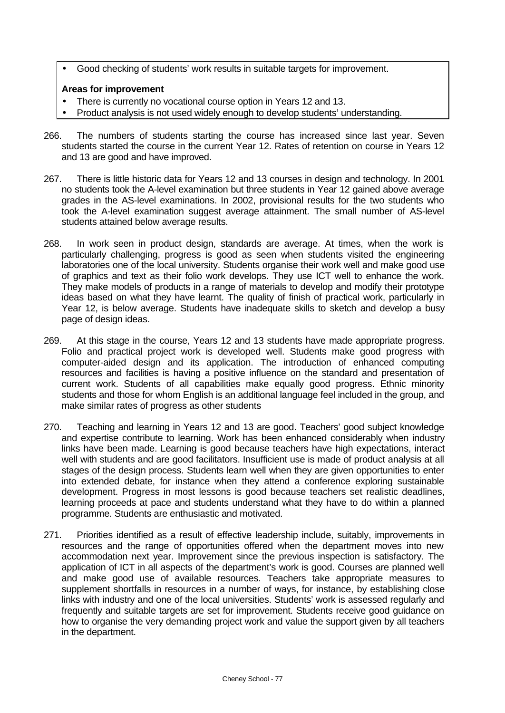• Good checking of students' work results in suitable targets for improvement.

- There is currently no vocational course option in Years 12 and 13.
- Product analysis is not used widely enough to develop students' understanding.
- 266. The numbers of students starting the course has increased since last year. Seven students started the course in the current Year 12. Rates of retention on course in Years 12 and 13 are good and have improved.
- 267. There is little historic data for Years 12 and 13 courses in design and technology. In 2001 no students took the A-level examination but three students in Year 12 gained above average grades in the AS-level examinations. In 2002, provisional results for the two students who took the A-level examination suggest average attainment. The small number of AS-level students attained below average results.
- 268. In work seen in product design, standards are average. At times, when the work is particularly challenging, progress is good as seen when students visited the engineering laboratories one of the local university. Students organise their work well and make good use of graphics and text as their folio work develops. They use ICT well to enhance the work. They make models of products in a range of materials to develop and modify their prototype ideas based on what they have learnt. The quality of finish of practical work, particularly in Year 12, is below average. Students have inadequate skills to sketch and develop a busy page of design ideas.
- 269. At this stage in the course, Years 12 and 13 students have made appropriate progress. Folio and practical project work is developed well. Students make good progress with computer-aided design and its application. The introduction of enhanced computing resources and facilities is having a positive influence on the standard and presentation of current work. Students of all capabilities make equally good progress. Ethnic minority students and those for whom English is an additional language feel included in the group, and make similar rates of progress as other students
- 270. Teaching and learning in Years 12 and 13 are good. Teachers' good subject knowledge and expertise contribute to learning. Work has been enhanced considerably when industry links have been made. Learning is good because teachers have high expectations, interact well with students and are good facilitators. Insufficient use is made of product analysis at all stages of the design process. Students learn well when they are given opportunities to enter into extended debate, for instance when they attend a conference exploring sustainable development. Progress in most lessons is good because teachers set realistic deadlines, learning proceeds at pace and students understand what they have to do within a planned programme. Students are enthusiastic and motivated.
- 271. Priorities identified as a result of effective leadership include, suitably, improvements in resources and the range of opportunities offered when the department moves into new accommodation next year. Improvement since the previous inspection is satisfactory. The application of ICT in all aspects of the department's work is good. Courses are planned well and make good use of available resources. Teachers take appropriate measures to supplement shortfalls in resources in a number of ways, for instance, by establishing close links with industry and one of the local universities. Students' work is assessed regularly and frequently and suitable targets are set for improvement. Students receive good guidance on how to organise the very demanding project work and value the support given by all teachers in the department.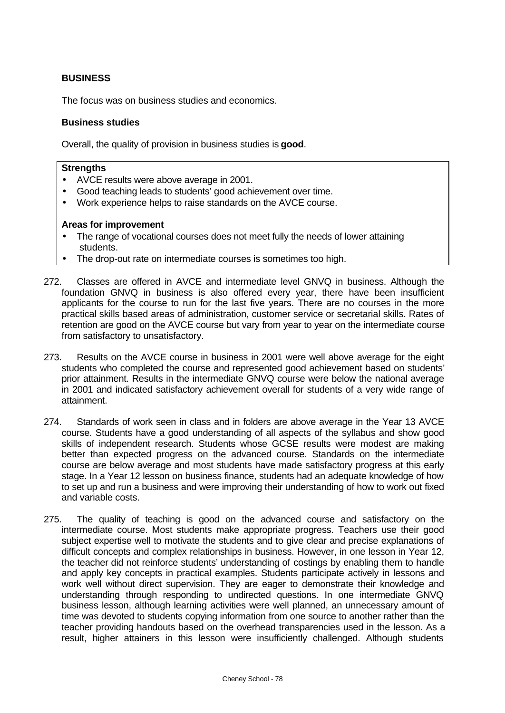## **BUSINESS**

The focus was on business studies and economics.

### **Business studies**

Overall, the quality of provision in business studies is **good**.

#### **Strengths**

- AVCE results were above average in 2001.
- Good teaching leads to students' good achievement over time.
- Work experience helps to raise standards on the AVCE course.

- The range of vocational courses does not meet fully the needs of lower attaining students.
- The drop-out rate on intermediate courses is sometimes too high.
- 272. Classes are offered in AVCE and intermediate level GNVQ in business. Although the foundation GNVQ in business is also offered every year, there have been insufficient applicants for the course to run for the last five years. There are no courses in the more practical skills based areas of administration, customer service or secretarial skills. Rates of retention are good on the AVCE course but vary from year to year on the intermediate course from satisfactory to unsatisfactory.
- 273. Results on the AVCE course in business in 2001 were well above average for the eight students who completed the course and represented good achievement based on students' prior attainment. Results in the intermediate GNVQ course were below the national average in 2001 and indicated satisfactory achievement overall for students of a very wide range of attainment.
- 274. Standards of work seen in class and in folders are above average in the Year 13 AVCE course. Students have a good understanding of all aspects of the syllabus and show good skills of independent research. Students whose GCSE results were modest are making better than expected progress on the advanced course. Standards on the intermediate course are below average and most students have made satisfactory progress at this early stage. In a Year 12 lesson on business finance, students had an adequate knowledge of how to set up and run a business and were improving their understanding of how to work out fixed and variable costs.
- 275. The quality of teaching is good on the advanced course and satisfactory on the intermediate course. Most students make appropriate progress. Teachers use their good subject expertise well to motivate the students and to give clear and precise explanations of difficult concepts and complex relationships in business. However, in one lesson in Year 12, the teacher did not reinforce students' understanding of costings by enabling them to handle and apply key concepts in practical examples. Students participate actively in lessons and work well without direct supervision. They are eager to demonstrate their knowledge and understanding through responding to undirected questions. In one intermediate GNVQ business lesson, although learning activities were well planned, an unnecessary amount of time was devoted to students copying information from one source to another rather than the teacher providing handouts based on the overhead transparencies used in the lesson. As a result, higher attainers in this lesson were insufficiently challenged. Although students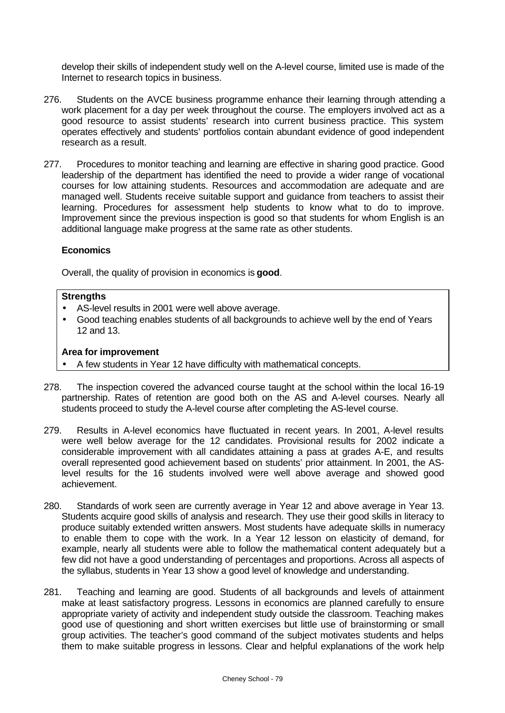develop their skills of independent study well on the A-level course, limited use is made of the Internet to research topics in business.

- 276. Students on the AVCE business programme enhance their learning through attending a work placement for a day per week throughout the course. The employers involved act as a good resource to assist students' research into current business practice. This system operates effectively and students' portfolios contain abundant evidence of good independent research as a result.
- 277. Procedures to monitor teaching and learning are effective in sharing good practice. Good leadership of the department has identified the need to provide a wider range of vocational courses for low attaining students. Resources and accommodation are adequate and are managed well. Students receive suitable support and guidance from teachers to assist their learning. Procedures for assessment help students to know what to do to improve. Improvement since the previous inspection is good so that students for whom English is an additional language make progress at the same rate as other students.

### **Economics**

Overall, the quality of provision in economics is **good**.

### **Strengths**

- AS-level results in 2001 were well above average.
- Good teaching enables students of all backgrounds to achieve well by the end of Years 12 and 13.

- A few students in Year 12 have difficulty with mathematical concepts.
- 278. The inspection covered the advanced course taught at the school within the local 16-19 partnership. Rates of retention are good both on the AS and A-level courses. Nearly all students proceed to study the A-level course after completing the AS-level course.
- 279. Results in A-level economics have fluctuated in recent years. In 2001, A-level results were well below average for the 12 candidates. Provisional results for 2002 indicate a considerable improvement with all candidates attaining a pass at grades A-E, and results overall represented good achievement based on students' prior attainment. In 2001, the ASlevel results for the 16 students involved were well above average and showed good achievement.
- 280. Standards of work seen are currently average in Year 12 and above average in Year 13. Students acquire good skills of analysis and research. They use their good skills in literacy to produce suitably extended written answers. Most students have adequate skills in numeracy to enable them to cope with the work. In a Year 12 lesson on elasticity of demand, for example, nearly all students were able to follow the mathematical content adequately but a few did not have a good understanding of percentages and proportions. Across all aspects of the syllabus, students in Year 13 show a good level of knowledge and understanding.
- 281. Teaching and learning are good. Students of all backgrounds and levels of attainment make at least satisfactory progress. Lessons in economics are planned carefully to ensure appropriate variety of activity and independent study outside the classroom. Teaching makes good use of questioning and short written exercises but little use of brainstorming or small group activities. The teacher's good command of the subject motivates students and helps them to make suitable progress in lessons. Clear and helpful explanations of the work help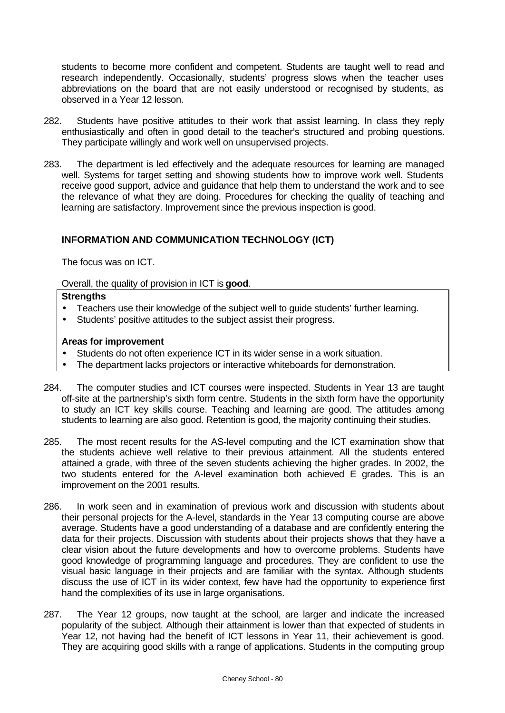students to become more confident and competent. Students are taught well to read and research independently. Occasionally, students' progress slows when the teacher uses abbreviations on the board that are not easily understood or recognised by students, as observed in a Year 12 lesson.

- 282. Students have positive attitudes to their work that assist learning. In class they reply enthusiastically and often in good detail to the teacher's structured and probing questions. They participate willingly and work well on unsupervised projects.
- 283. The department is led effectively and the adequate resources for learning are managed well. Systems for target setting and showing students how to improve work well. Students receive good support, advice and guidance that help them to understand the work and to see the relevance of what they are doing. Procedures for checking the quality of teaching and learning are satisfactory. Improvement since the previous inspection is good.

# **INFORMATION AND COMMUNICATION TECHNOLOGY (ICT)**

The focus was on ICT.

Overall, the quality of provision in ICT is **good**.

### **Strengths**

- Teachers use their knowledge of the subject well to guide students' further learning.
- Students' positive attitudes to the subject assist their progress.

- Students do not often experience ICT in its wider sense in a work situation.
- The department lacks projectors or interactive whiteboards for demonstration.
- 284. The computer studies and ICT courses were inspected. Students in Year 13 are taught off-site at the partnership's sixth form centre. Students in the sixth form have the opportunity to study an ICT key skills course. Teaching and learning are good. The attitudes among students to learning are also good. Retention is good, the majority continuing their studies.
- 285. The most recent results for the AS-level computing and the ICT examination show that the students achieve well relative to their previous attainment. All the students entered attained a grade, with three of the seven students achieving the higher grades. In 2002, the two students entered for the A-level examination both achieved E grades. This is an improvement on the 2001 results.
- 286. In work seen and in examination of previous work and discussion with students about their personal projects for the A-level, standards in the Year 13 computing course are above average. Students have a good understanding of a database and are confidently entering the data for their projects. Discussion with students about their projects shows that they have a clear vision about the future developments and how to overcome problems. Students have good knowledge of programming language and procedures. They are confident to use the visual basic language in their projects and are familiar with the syntax. Although students discuss the use of ICT in its wider context, few have had the opportunity to experience first hand the complexities of its use in large organisations.
- 287. The Year 12 groups, now taught at the school, are larger and indicate the increased popularity of the subject. Although their attainment is lower than that expected of students in Year 12, not having had the benefit of ICT lessons in Year 11, their achievement is good. They are acquiring good skills with a range of applications. Students in the computing group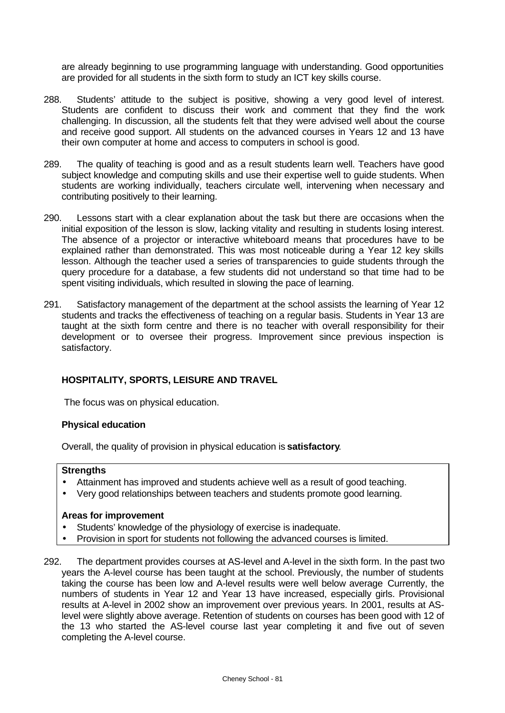are already beginning to use programming language with understanding. Good opportunities are provided for all students in the sixth form to study an ICT key skills course.

- 288. Students' attitude to the subject is positive, showing a very good level of interest. Students are confident to discuss their work and comment that they find the work challenging. In discussion, all the students felt that they were advised well about the course and receive good support. All students on the advanced courses in Years 12 and 13 have their own computer at home and access to computers in school is good.
- 289. The quality of teaching is good and as a result students learn well. Teachers have good subject knowledge and computing skills and use their expertise well to guide students. When students are working individually, teachers circulate well, intervening when necessary and contributing positively to their learning.
- 290. Lessons start with a clear explanation about the task but there are occasions when the initial exposition of the lesson is slow, lacking vitality and resulting in students losing interest. The absence of a projector or interactive whiteboard means that procedures have to be explained rather than demonstrated. This was most noticeable during a Year 12 key skills lesson. Although the teacher used a series of transparencies to guide students through the query procedure for a database, a few students did not understand so that time had to be spent visiting individuals, which resulted in slowing the pace of learning.
- 291. Satisfactory management of the department at the school assists the learning of Year 12 students and tracks the effectiveness of teaching on a regular basis. Students in Year 13 are taught at the sixth form centre and there is no teacher with overall responsibility for their development or to oversee their progress. Improvement since previous inspection is satisfactory.

### **HOSPITALITY, SPORTS, LEISURE AND TRAVEL**

The focus was on physical education.

#### **Physical education**

Overall, the quality of provision in physical education is **satisfactory**.

#### **Strengths**

- Attainment has improved and students achieve well as a result of good teaching.
- Very good relationships between teachers and students promote good learning.

- Students' knowledge of the physiology of exercise is inadequate.
- Provision in sport for students not following the advanced courses is limited.
- 292. The department provides courses at AS-level and A-level in the sixth form. In the past two years the A-level course has been taught at the school. Previously, the number of students taking the course has been low and A-level results were well below average Currently, the numbers of students in Year 12 and Year 13 have increased, especially girls. Provisional results at A-level in 2002 show an improvement over previous years. In 2001, results at ASlevel were slightly above average. Retention of students on courses has been good with 12 of the 13 who started the AS-level course last year completing it and five out of seven completing the A-level course.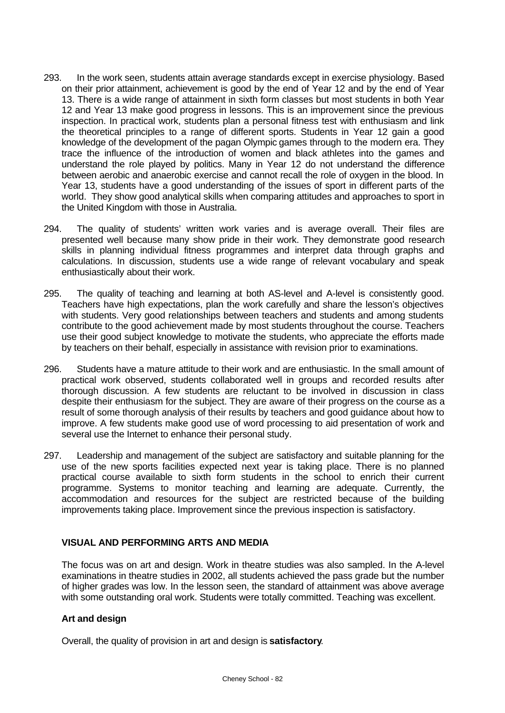- 293. In the work seen, students attain average standards except in exercise physiology. Based on their prior attainment, achievement is good by the end of Year 12 and by the end of Year 13. There is a wide range of attainment in sixth form classes but most students in both Year 12 and Year 13 make good progress in lessons. This is an improvement since the previous inspection. In practical work, students plan a personal fitness test with enthusiasm and link the theoretical principles to a range of different sports. Students in Year 12 gain a good knowledge of the development of the pagan Olympic games through to the modern era. They trace the influence of the introduction of women and black athletes into the games and understand the role played by politics. Many in Year 12 do not understand the difference between aerobic and anaerobic exercise and cannot recall the role of oxygen in the blood. In Year 13, students have a good understanding of the issues of sport in different parts of the world. They show good analytical skills when comparing attitudes and approaches to sport in the United Kingdom with those in Australia.
- 294. The quality of students' written work varies and is average overall. Their files are presented well because many show pride in their work. They demonstrate good research skills in planning individual fitness programmes and interpret data through graphs and calculations. In discussion, students use a wide range of relevant vocabulary and speak enthusiastically about their work.
- 295. The quality of teaching and learning at both AS-level and A-level is consistently good. Teachers have high expectations, plan the work carefully and share the lesson's objectives with students. Very good relationships between teachers and students and among students contribute to the good achievement made by most students throughout the course. Teachers use their good subject knowledge to motivate the students, who appreciate the efforts made by teachers on their behalf, especially in assistance with revision prior to examinations.
- 296. Students have a mature attitude to their work and are enthusiastic. In the small amount of practical work observed, students collaborated well in groups and recorded results after thorough discussion. A few students are reluctant to be involved in discussion in class despite their enthusiasm for the subject. They are aware of their progress on the course as a result of some thorough analysis of their results by teachers and good guidance about how to improve. A few students make good use of word processing to aid presentation of work and several use the Internet to enhance their personal study.
- 297. Leadership and management of the subject are satisfactory and suitable planning for the use of the new sports facilities expected next year is taking place. There is no planned practical course available to sixth form students in the school to enrich their current programme. Systems to monitor teaching and learning are adequate. Currently, the accommodation and resources for the subject are restricted because of the building improvements taking place. Improvement since the previous inspection is satisfactory.

# **VISUAL AND PERFORMING ARTS AND MEDIA**

The focus was on art and design. Work in theatre studies was also sampled. In the A-level examinations in theatre studies in 2002, all students achieved the pass grade but the number of higher grades was low. In the lesson seen, the standard of attainment was above average with some outstanding oral work. Students were totally committed. Teaching was excellent.

### **Art and design**

Overall, the quality of provision in art and design is **satisfactory**.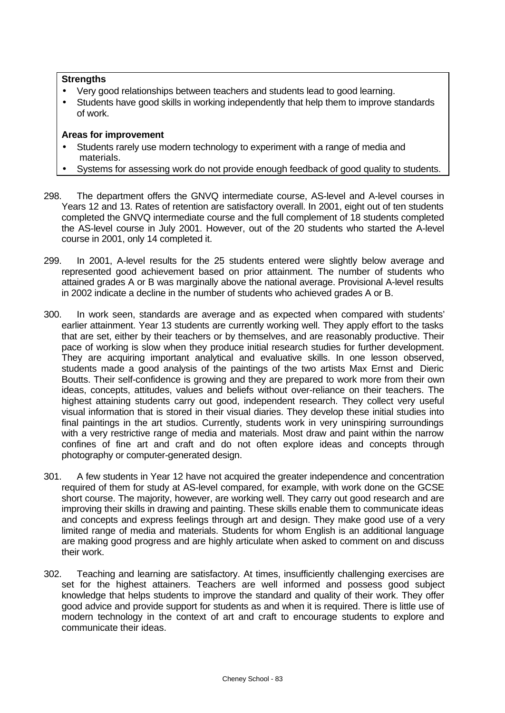### **Strengths**

- Very good relationships between teachers and students lead to good learning.
- Students have good skills in working independently that help them to improve standards of work.

- Students rarely use modern technology to experiment with a range of media and materials.
- Systems for assessing work do not provide enough feedback of good quality to students.
- 298. The department offers the GNVQ intermediate course, AS-level and A-level courses in Years 12 and 13. Rates of retention are satisfactory overall. In 2001, eight out of ten students completed the GNVQ intermediate course and the full complement of 18 students completed the AS-level course in July 2001. However, out of the 20 students who started the A-level course in 2001, only 14 completed it.
- 299. In 2001, A-level results for the 25 students entered were slightly below average and represented good achievement based on prior attainment. The number of students who attained grades A or B was marginally above the national average. Provisional A-level results in 2002 indicate a decline in the number of students who achieved grades A or B.
- 300. In work seen, standards are average and as expected when compared with students' earlier attainment. Year 13 students are currently working well. They apply effort to the tasks that are set, either by their teachers or by themselves, and are reasonably productive. Their pace of working is slow when they produce initial research studies for further development. They are acquiring important analytical and evaluative skills. In one lesson observed, students made a good analysis of the paintings of the two artists Max Ernst and Dieric Boutts. Their self-confidence is growing and they are prepared to work more from their own ideas, concepts, attitudes, values and beliefs without over-reliance on their teachers. The highest attaining students carry out good, independent research. They collect very useful visual information that is stored in their visual diaries. They develop these initial studies into final paintings in the art studios. Currently, students work in very uninspiring surroundings with a very restrictive range of media and materials. Most draw and paint within the narrow confines of fine art and craft and do not often explore ideas and concepts through photography or computer-generated design.
- 301. A few students in Year 12 have not acquired the greater independence and concentration required of them for study at AS-level compared, for example, with work done on the GCSE short course. The majority, however, are working well. They carry out good research and are improving their skills in drawing and painting. These skills enable them to communicate ideas and concepts and express feelings through art and design. They make good use of a very limited range of media and materials. Students for whom English is an additional language are making good progress and are highly articulate when asked to comment on and discuss their work.
- 302. Teaching and learning are satisfactory. At times, insufficiently challenging exercises are set for the highest attainers. Teachers are well informed and possess good subject knowledge that helps students to improve the standard and quality of their work. They offer good advice and provide support for students as and when it is required. There is little use of modern technology in the context of art and craft to encourage students to explore and communicate their ideas.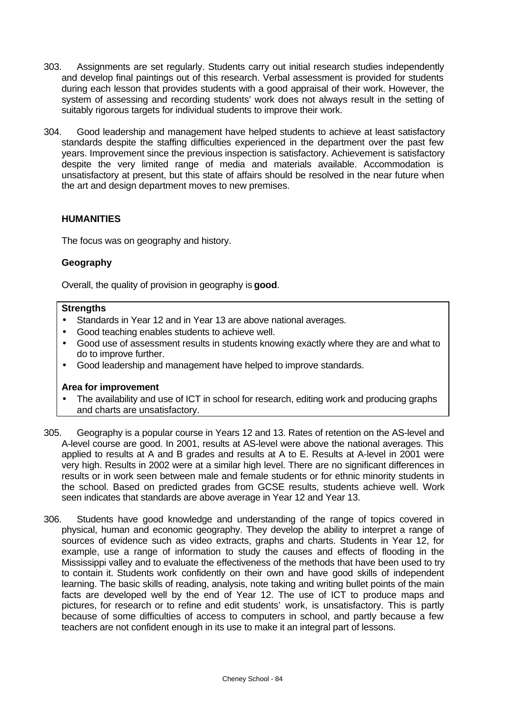- 303. Assignments are set regularly. Students carry out initial research studies independently and develop final paintings out of this research. Verbal assessment is provided for students during each lesson that provides students with a good appraisal of their work. However, the system of assessing and recording students' work does not always result in the setting of suitably rigorous targets for individual students to improve their work.
- 304. Good leadership and management have helped students to achieve at least satisfactory standards despite the staffing difficulties experienced in the department over the past few years. Improvement since the previous inspection is satisfactory. Achievement is satisfactory despite the very limited range of media and materials available. Accommodation is unsatisfactory at present, but this state of affairs should be resolved in the near future when the art and design department moves to new premises.

### **HUMANITIES**

The focus was on geography and history.

### **Geography**

Overall, the quality of provision in geography is **good**.

### **Strengths**

- Standards in Year 12 and in Year 13 are above national averages.
- Good teaching enables students to achieve well.
- Good use of assessment results in students knowing exactly where they are and what to do to improve further.
- Good leadership and management have helped to improve standards.

- The availability and use of ICT in school for research, editing work and producing graphs and charts are unsatisfactory.
- 305. Geography is a popular course in Years 12 and 13. Rates of retention on the AS-level and A-level course are good. In 2001, results at AS-level were above the national averages. This applied to results at A and B grades and results at A to E. Results at A-level in 2001 were very high. Results in 2002 were at a similar high level. There are no significant differences in results or in work seen between male and female students or for ethnic minority students in the school. Based on predicted grades from GCSE results, students achieve well. Work seen indicates that standards are above average in Year 12 and Year 13.
- 306. Students have good knowledge and understanding of the range of topics covered in physical, human and economic geography. They develop the ability to interpret a range of sources of evidence such as video extracts, graphs and charts. Students in Year 12, for example, use a range of information to study the causes and effects of flooding in the Mississippi valley and to evaluate the effectiveness of the methods that have been used to try to contain it. Students work confidently on their own and have good skills of independent learning. The basic skills of reading, analysis, note taking and writing bullet points of the main facts are developed well by the end of Year 12. The use of ICT to produce maps and pictures, for research or to refine and edit students' work, is unsatisfactory. This is partly because of some difficulties of access to computers in school, and partly because a few teachers are not confident enough in its use to make it an integral part of lessons.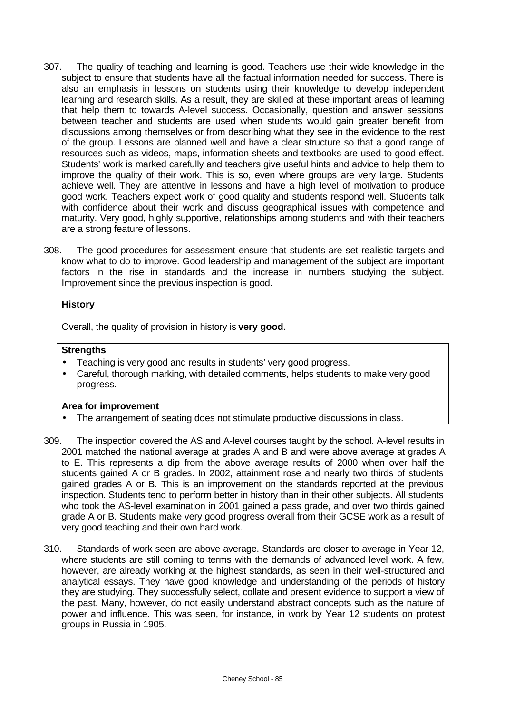- 307. The quality of teaching and learning is good. Teachers use their wide knowledge in the subject to ensure that students have all the factual information needed for success. There is also an emphasis in lessons on students using their knowledge to develop independent learning and research skills. As a result, they are skilled at these important areas of learning that help them to towards A-level success. Occasionally, question and answer sessions between teacher and students are used when students would gain greater benefit from discussions among themselves or from describing what they see in the evidence to the rest of the group. Lessons are planned well and have a clear structure so that a good range of resources such as videos, maps, information sheets and textbooks are used to good effect. Students' work is marked carefully and teachers give useful hints and advice to help them to improve the quality of their work. This is so, even where groups are very large. Students achieve well. They are attentive in lessons and have a high level of motivation to produce good work. Teachers expect work of good quality and students respond well. Students talk with confidence about their work and discuss geographical issues with competence and maturity. Very good, highly supportive, relationships among students and with their teachers are a strong feature of lessons.
- 308. The good procedures for assessment ensure that students are set realistic targets and know what to do to improve. Good leadership and management of the subject are important factors in the rise in standards and the increase in numbers studying the subject. Improvement since the previous inspection is good.

# **History**

Overall, the quality of provision in history is **very good**.

# **Strengths**

- Teaching is very good and results in students' very good progress.
- Careful, thorough marking, with detailed comments, helps students to make very good progress.

- The arrangement of seating does not stimulate productive discussions in class.
- 309. The inspection covered the AS and A-level courses taught by the school. A-level results in 2001 matched the national average at grades A and B and were above average at grades A to E. This represents a dip from the above average results of 2000 when over half the students gained A or B grades. In 2002, attainment rose and nearly two thirds of students gained grades A or B. This is an improvement on the standards reported at the previous inspection. Students tend to perform better in history than in their other subjects. All students who took the AS-level examination in 2001 gained a pass grade, and over two thirds gained grade A or B. Students make very good progress overall from their GCSE work as a result of very good teaching and their own hard work.
- 310. Standards of work seen are above average. Standards are closer to average in Year 12, where students are still coming to terms with the demands of advanced level work. A few, however, are already working at the highest standards, as seen in their well-structured and analytical essays. They have good knowledge and understanding of the periods of history they are studying. They successfully select, collate and present evidence to support a view of the past. Many, however, do not easily understand abstract concepts such as the nature of power and influence. This was seen, for instance, in work by Year 12 students on protest groups in Russia in 1905.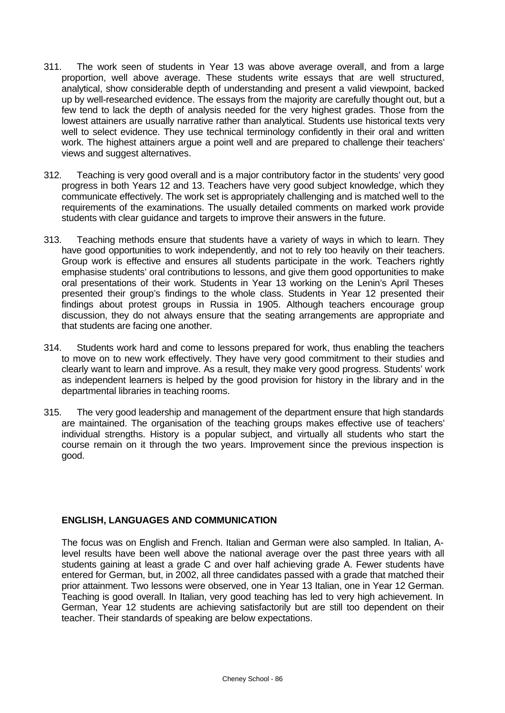- 311. The work seen of students in Year 13 was above average overall, and from a large proportion, well above average. These students write essays that are well structured, analytical, show considerable depth of understanding and present a valid viewpoint, backed up by well-researched evidence. The essays from the majority are carefully thought out, but a few tend to lack the depth of analysis needed for the very highest grades. Those from the lowest attainers are usually narrative rather than analytical. Students use historical texts very well to select evidence. They use technical terminology confidently in their oral and written work. The highest attainers argue a point well and are prepared to challenge their teachers' views and suggest alternatives.
- 312. Teaching is very good overall and is a major contributory factor in the students' very good progress in both Years 12 and 13. Teachers have very good subject knowledge, which they communicate effectively. The work set is appropriately challenging and is matched well to the requirements of the examinations. The usually detailed comments on marked work provide students with clear guidance and targets to improve their answers in the future.
- 313. Teaching methods ensure that students have a variety of ways in which to learn. They have good opportunities to work independently, and not to rely too heavily on their teachers. Group work is effective and ensures all students participate in the work. Teachers rightly emphasise students' oral contributions to lessons, and give them good opportunities to make oral presentations of their work. Students in Year 13 working on the Lenin's April Theses presented their group's findings to the whole class. Students in Year 12 presented their findings about protest groups in Russia in 1905. Although teachers encourage group discussion, they do not always ensure that the seating arrangements are appropriate and that students are facing one another.
- 314. Students work hard and come to lessons prepared for work, thus enabling the teachers to move on to new work effectively. They have very good commitment to their studies and clearly want to learn and improve. As a result, they make very good progress. Students' work as independent learners is helped by the good provision for history in the library and in the departmental libraries in teaching rooms.
- 315. The very good leadership and management of the department ensure that high standards are maintained. The organisation of the teaching groups makes effective use of teachers' individual strengths. History is a popular subject, and virtually all students who start the course remain on it through the two years. Improvement since the previous inspection is good.

### **ENGLISH, LANGUAGES AND COMMUNICATION**

The focus was on English and French. Italian and German were also sampled. In Italian, Alevel results have been well above the national average over the past three years with all students gaining at least a grade C and over half achieving grade A. Fewer students have entered for German, but, in 2002, all three candidates passed with a grade that matched their prior attainment. Two lessons were observed, one in Year 13 Italian, one in Year 12 German. Teaching is good overall. In Italian, very good teaching has led to very high achievement. In German, Year 12 students are achieving satisfactorily but are still too dependent on their teacher. Their standards of speaking are below expectations.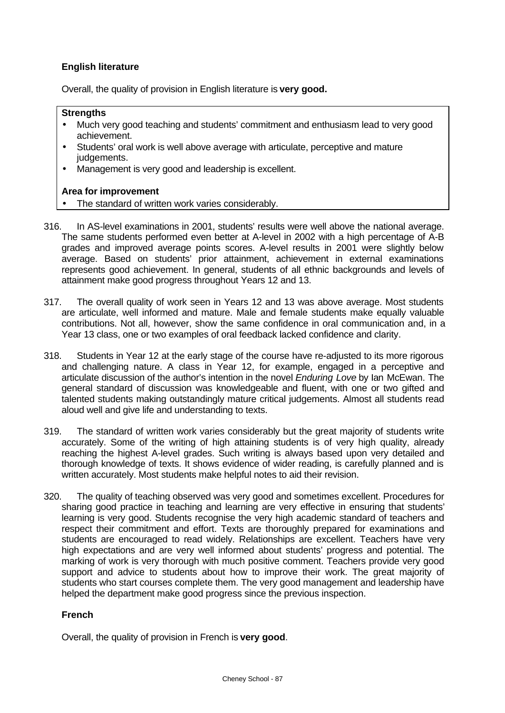# **English literature**

Overall, the quality of provision in English literature is **very good.**

### **Strengths**

- Much very good teaching and students' commitment and enthusiasm lead to very good achievement.
- Students' oral work is well above average with articulate, perceptive and mature judgements.
- Management is very good and leadership is excellent.

### **Area for improvement**

- The standard of written work varies considerably.
- 316. In AS-level examinations in 2001, students' results were well above the national average. The same students performed even better at A-level in 2002 with a high percentage of A-B grades and improved average points scores. A-level results in 2001 were slightly below average. Based on students' prior attainment, achievement in external examinations represents good achievement. In general, students of all ethnic backgrounds and levels of attainment make good progress throughout Years 12 and 13.
- 317. The overall quality of work seen in Years 12 and 13 was above average. Most students are articulate, well informed and mature. Male and female students make equally valuable contributions. Not all, however, show the same confidence in oral communication and, in a Year 13 class, one or two examples of oral feedback lacked confidence and clarity.
- 318. Students in Year 12 at the early stage of the course have re-adjusted to its more rigorous and challenging nature. A class in Year 12, for example, engaged in a perceptive and articulate discussion of the author's intention in the novel *Enduring Love* by Ian McEwan. The general standard of discussion was knowledgeable and fluent, with one or two gifted and talented students making outstandingly mature critical judgements. Almost all students read aloud well and give life and understanding to texts.
- 319. The standard of written work varies considerably but the great majority of students write accurately. Some of the writing of high attaining students is of very high quality, already reaching the highest A-level grades. Such writing is always based upon very detailed and thorough knowledge of texts. It shows evidence of wider reading, is carefully planned and is written accurately. Most students make helpful notes to aid their revision.
- 320. The quality of teaching observed was very good and sometimes excellent. Procedures for sharing good practice in teaching and learning are very effective in ensuring that students' learning is very good. Students recognise the very high academic standard of teachers and respect their commitment and effort. Texts are thoroughly prepared for examinations and students are encouraged to read widely. Relationships are excellent. Teachers have very high expectations and are very well informed about students' progress and potential. The marking of work is very thorough with much positive comment. Teachers provide very good support and advice to students about how to improve their work. The great majority of students who start courses complete them. The very good management and leadership have helped the department make good progress since the previous inspection.

### **French**

Overall, the quality of provision in French is **very good**.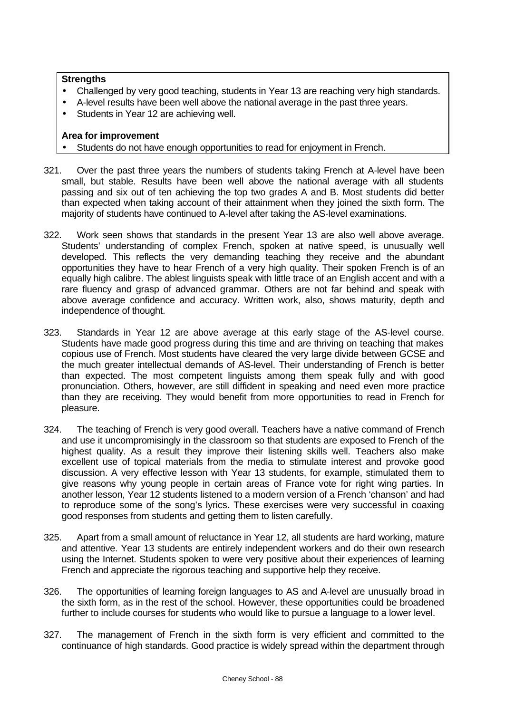### **Strengths**

- Challenged by very good teaching, students in Year 13 are reaching very high standards.
- A-level results have been well above the national average in the past three years.
- Students in Year 12 are achieving well.

- Students do not have enough opportunities to read for enjoyment in French.
- 321. Over the past three years the numbers of students taking French at A-level have been small, but stable. Results have been well above the national average with all students passing and six out of ten achieving the top two grades A and B. Most students did better than expected when taking account of their attainment when they joined the sixth form. The majority of students have continued to A-level after taking the AS-level examinations.
- 322. Work seen shows that standards in the present Year 13 are also well above average. Students' understanding of complex French, spoken at native speed, is unusually well developed. This reflects the very demanding teaching they receive and the abundant opportunities they have to hear French of a very high quality. Their spoken French is of an equally high calibre. The ablest linguists speak with little trace of an English accent and with a rare fluency and grasp of advanced grammar. Others are not far behind and speak with above average confidence and accuracy. Written work, also, shows maturity, depth and independence of thought.
- 323. Standards in Year 12 are above average at this early stage of the AS-level course. Students have made good progress during this time and are thriving on teaching that makes copious use of French. Most students have cleared the very large divide between GCSE and the much greater intellectual demands of AS-level. Their understanding of French is better than expected. The most competent linguists among them speak fully and with good pronunciation. Others, however, are still diffident in speaking and need even more practice than they are receiving. They would benefit from more opportunities to read in French for pleasure.
- 324. The teaching of French is very good overall. Teachers have a native command of French and use it uncompromisingly in the classroom so that students are exposed to French of the highest quality. As a result they improve their listening skills well. Teachers also make excellent use of topical materials from the media to stimulate interest and provoke good discussion. A very effective lesson with Year 13 students, for example, stimulated them to give reasons why young people in certain areas of France vote for right wing parties. In another lesson, Year 12 students listened to a modern version of a French 'chanson' and had to reproduce some of the song's lyrics. These exercises were very successful in coaxing good responses from students and getting them to listen carefully.
- 325. Apart from a small amount of reluctance in Year 12, all students are hard working, mature and attentive. Year 13 students are entirely independent workers and do their own research using the Internet. Students spoken to were very positive about their experiences of learning French and appreciate the rigorous teaching and supportive help they receive.
- 326. The opportunities of learning foreign languages to AS and A-level are unusually broad in the sixth form, as in the rest of the school. However, these opportunities could be broadened further to include courses for students who would like to pursue a language to a lower level.
- 327. The management of French in the sixth form is very efficient and committed to the continuance of high standards. Good practice is widely spread within the department through